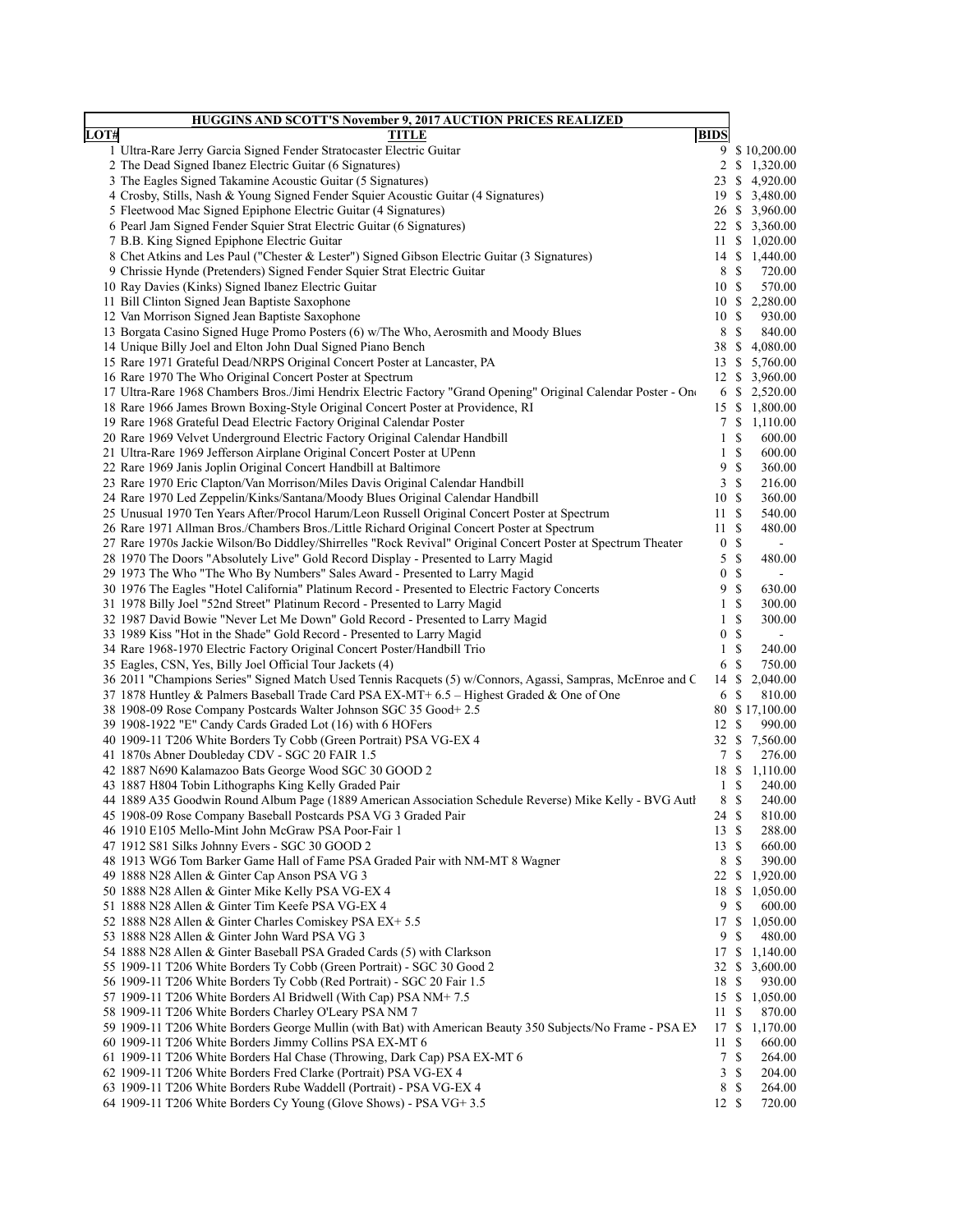|      | <b>HUGGINS AND SCOTT'S November 9, 2017 AUCTION PRICES REALIZED</b>                                                                                                                                |                       |                           |                              |
|------|----------------------------------------------------------------------------------------------------------------------------------------------------------------------------------------------------|-----------------------|---------------------------|------------------------------|
| LOT# | <b>TITLE</b>                                                                                                                                                                                       | <b>BIDS</b>           |                           |                              |
|      | 1 Ultra-Rare Jerry Garcia Signed Fender Stratocaster Electric Guitar                                                                                                                               | 9                     |                           | \$10,200.00                  |
|      | 2 The Dead Signed Ibanez Electric Guitar (6 Signatures)                                                                                                                                            | 2                     |                           | \$1,320.00                   |
|      | 3 The Eagles Signed Takamine Acoustic Guitar (5 Signatures)                                                                                                                                        | 23                    |                           | \$4,920.00                   |
|      | 4 Crosby, Stills, Nash & Young Signed Fender Squier Acoustic Guitar (4 Signatures)                                                                                                                 |                       |                           | 19 \$ 3,480.00               |
|      | 5 Fleetwood Mac Signed Epiphone Electric Guitar (4 Signatures)                                                                                                                                     |                       |                           | 26 \$ 3,960.00               |
|      | 6 Pearl Jam Signed Fender Squier Strat Electric Guitar (6 Signatures)<br>7 B.B. King Signed Epiphone Electric Guitar                                                                               | 11                    |                           | 22 \$ 3,360.00<br>\$1,020.00 |
|      | 8 Chet Atkins and Les Paul ("Chester & Lester") Signed Gibson Electric Guitar (3 Signatures)                                                                                                       |                       |                           | 14 \$ 1,440.00               |
|      | 9 Chrissie Hynde (Pretenders) Signed Fender Squier Strat Electric Guitar                                                                                                                           | 8 \$                  |                           | 720.00                       |
|      | 10 Ray Davies (Kinks) Signed Ibanez Electric Guitar                                                                                                                                                | 10S                   |                           | 570.00                       |
|      | 11 Bill Clinton Signed Jean Baptiste Saxophone                                                                                                                                                     | 10S                   |                           | 2,280.00                     |
|      | 12 Van Morrison Signed Jean Baptiste Saxophone                                                                                                                                                     | 10S                   |                           | 930.00                       |
|      | 13 Borgata Casino Signed Huge Promo Posters (6) w/The Who, Aerosmith and Moody Blues                                                                                                               | 8                     | $\boldsymbol{\mathsf{S}}$ | 840.00                       |
|      | 14 Unique Billy Joel and Elton John Dual Signed Piano Bench                                                                                                                                        | 38                    | $\mathbb{S}$              | 4,080.00                     |
|      | 15 Rare 1971 Grateful Dead/NRPS Original Concert Poster at Lancaster, PA                                                                                                                           | 13                    | \$                        | 5,760.00                     |
|      | 16 Rare 1970 The Who Original Concert Poster at Spectrum                                                                                                                                           | 12S                   |                           | 3,960.00                     |
|      | 17 Ultra-Rare 1968 Chambers Bros./Jimi Hendrix Electric Factory "Grand Opening" Original Calendar Poster - One                                                                                     | 6                     |                           | \$2,520.00                   |
|      | 18 Rare 1966 James Brown Boxing-Style Original Concert Poster at Providence, RI                                                                                                                    | 15                    | \$                        | 1,800.00                     |
|      | 19 Rare 1968 Grateful Dead Electric Factory Original Calendar Poster                                                                                                                               | 7                     | \$                        | 1,110.00                     |
|      | 20 Rare 1969 Velvet Underground Electric Factory Original Calendar Handbill                                                                                                                        | $\mathbf{1}$          | \$                        | 600.00                       |
|      | 21 Ultra-Rare 1969 Jefferson Airplane Original Concert Poster at UPenn                                                                                                                             | 1                     | \$                        | 600.00                       |
|      | 22 Rare 1969 Janis Joplin Original Concert Handbill at Baltimore                                                                                                                                   | 9                     | \$                        | 360.00                       |
|      | 23 Rare 1970 Eric Clapton/Van Morrison/Miles Davis Original Calendar Handbill                                                                                                                      | 3                     | \$                        | 216.00                       |
|      | 24 Rare 1970 Led Zeppelin/Kinks/Santana/Moody Blues Original Calendar Handbill                                                                                                                     | 10S                   |                           | 360.00                       |
|      | 25 Unusual 1970 Ten Years After/Procol Harum/Leon Russell Original Concert Poster at Spectrum                                                                                                      | 11S                   |                           | 540.00                       |
|      | 26 Rare 1971 Allman Bros./Chambers Bros./Little Richard Original Concert Poster at Spectrum                                                                                                        | 11S                   |                           | 480.00                       |
|      | 27 Rare 1970s Jackie Wilson/Bo Diddley/Shirrelles "Rock Revival" Original Concert Poster at Spectrum Theater<br>28 1970 The Doors "Absolutely Live" Gold Record Display - Presented to Larry Magid | $\boldsymbol{0}$<br>5 | \$<br>\$                  | $\blacksquare$<br>480.00     |
|      | 29 1973 The Who "The Who By Numbers" Sales Award - Presented to Larry Magid                                                                                                                        | $\boldsymbol{0}$      | $\mathbb{S}$              | $\blacksquare$               |
|      | 30 1976 The Eagles "Hotel California" Platinum Record - Presented to Electric Factory Concerts                                                                                                     | 9                     | \$                        | 630.00                       |
|      | 31 1978 Billy Joel "52nd Street" Platinum Record - Presented to Larry Magid                                                                                                                        | $\mathbf{1}$          | \$                        | 300.00                       |
|      | 32 1987 David Bowie "Never Let Me Down" Gold Record - Presented to Larry Magid                                                                                                                     | 1                     | \$                        | 300.00                       |
|      | 33 1989 Kiss "Hot in the Shade" Gold Record - Presented to Larry Magid                                                                                                                             | $\boldsymbol{0}$      | $\mathbb{S}$              | $\blacksquare$               |
|      | 34 Rare 1968-1970 Electric Factory Original Concert Poster/Handbill Trio                                                                                                                           | $\mathbf{1}$          | \$                        | 240.00                       |
|      | 35 Eagles, CSN, Yes, Billy Joel Official Tour Jackets (4)                                                                                                                                          | 6                     | \$                        | 750.00                       |
|      | 36 2011 "Champions Series" Signed Match Used Tennis Racquets (5) w/Connors, Agassi, Sampras, McEnroe and C                                                                                         | 14                    | \$                        | 2,040.00                     |
|      | 37 1878 Huntley & Palmers Baseball Trade Card PSA EX-MT+ 6.5 - Highest Graded & One of One                                                                                                         | 6                     | S                         | 810.00                       |
|      | 38 1908-09 Rose Company Postcards Walter Johnson SGC 35 Good+2.5                                                                                                                                   |                       |                           | 80 \$17,100.00               |
|      | 39 1908-1922 "E" Candy Cards Graded Lot (16) with 6 HOFers                                                                                                                                         | 12                    | \$                        | 990.00                       |
|      | 40 1909-11 T206 White Borders Ty Cobb (Green Portrait) PSA VG-EX 4                                                                                                                                 | 32 \$                 |                           | 7,560.00                     |
|      | 41 1870s Abner Doubleday CDV - SGC 20 FAIR 1.5                                                                                                                                                     | 7                     | \$                        | 276.00                       |
|      | 42 1887 N690 Kalamazoo Bats George Wood SGC 30 GOOD 2                                                                                                                                              |                       |                           | 18 \$ 1,110.00               |
|      | 43 1887 H804 Tobin Lithographs King Kelly Graded Pair                                                                                                                                              | $\mathbf{1}$          | \$                        | 240.00                       |
|      | 44 1889 A35 Goodwin Round Album Page (1889 American Association Schedule Reverse) Mike Kelly - BVG Auth                                                                                            | 8                     | \$                        | 240.00                       |
|      | 45 1908-09 Rose Company Baseball Postcards PSA VG 3 Graded Pair                                                                                                                                    | 24 \$<br>13S          |                           | 810.00<br>288.00             |
|      | 46 1910 E105 Mello-Mint John McGraw PSA Poor-Fair 1<br>47 1912 S81 Silks Johnny Evers - SGC 30 GOOD 2                                                                                              | 13S                   |                           | 660.00                       |
|      | 48 1913 WG6 Tom Barker Game Hall of Fame PSA Graded Pair with NM-MT 8 Wagner                                                                                                                       | $\,8\,$               | \$                        | 390.00                       |
|      | 49 1888 N28 Allen & Ginter Cap Anson PSA VG 3                                                                                                                                                      | 22                    | \$                        | 1,920.00                     |
|      | 50 1888 N28 Allen & Ginter Mike Kelly PSA VG-EX 4                                                                                                                                                  |                       |                           | 18 \$ 1,050.00               |
|      | 51 1888 N28 Allen & Ginter Tim Keefe PSA VG-EX 4                                                                                                                                                   | 9                     | \$                        | 600.00                       |
|      | 52 1888 N28 Allen & Ginter Charles Comiskey PSA EX+ 5.5                                                                                                                                            | 17                    | \$                        | 1,050.00                     |
|      | 53 1888 N28 Allen & Ginter John Ward PSA VG 3                                                                                                                                                      | 9                     | \$                        | 480.00                       |
|      | 54 1888 N28 Allen & Ginter Baseball PSA Graded Cards (5) with Clarkson                                                                                                                             |                       |                           | 17 \$ 1,140.00               |
|      | 55 1909-11 T206 White Borders Ty Cobb (Green Portrait) - SGC 30 Good 2                                                                                                                             | 32                    |                           | \$3,600.00                   |
|      | 56 1909-11 T206 White Borders Ty Cobb (Red Portrait) - SGC 20 Fair 1.5                                                                                                                             | 18 \$                 |                           | 930.00                       |
|      | 57 1909-11 T206 White Borders Al Bridwell (With Cap) PSA NM+7.5                                                                                                                                    | 15S                   |                           | 1,050.00                     |
|      | 58 1909-11 T206 White Borders Charley O'Leary PSA NM 7                                                                                                                                             | 11                    | S                         | 870.00                       |
|      | 59 1909-11 T206 White Borders George Mullin (with Bat) with American Beauty 350 Subjects/No Frame - PSA EX                                                                                         | 17 \$                 |                           | 1,170.00                     |
|      | 60 1909-11 T206 White Borders Jimmy Collins PSA EX-MT 6                                                                                                                                            | 11                    | \$                        | 660.00                       |
|      | 61 1909-11 T206 White Borders Hal Chase (Throwing, Dark Cap) PSA EX-MT 6                                                                                                                           | 7                     | \$                        | 264.00                       |
|      | 62 1909-11 T206 White Borders Fred Clarke (Portrait) PSA VG-EX 4                                                                                                                                   | 3                     | S                         | 204.00                       |
|      | 63 1909-11 T206 White Borders Rube Waddell (Portrait) - PSA VG-EX 4                                                                                                                                | 8                     | S                         | 264.00                       |
|      | 64 1909-11 T206 White Borders Cy Young (Glove Shows) - PSA VG+3.5                                                                                                                                  | 12S                   |                           | 720.00                       |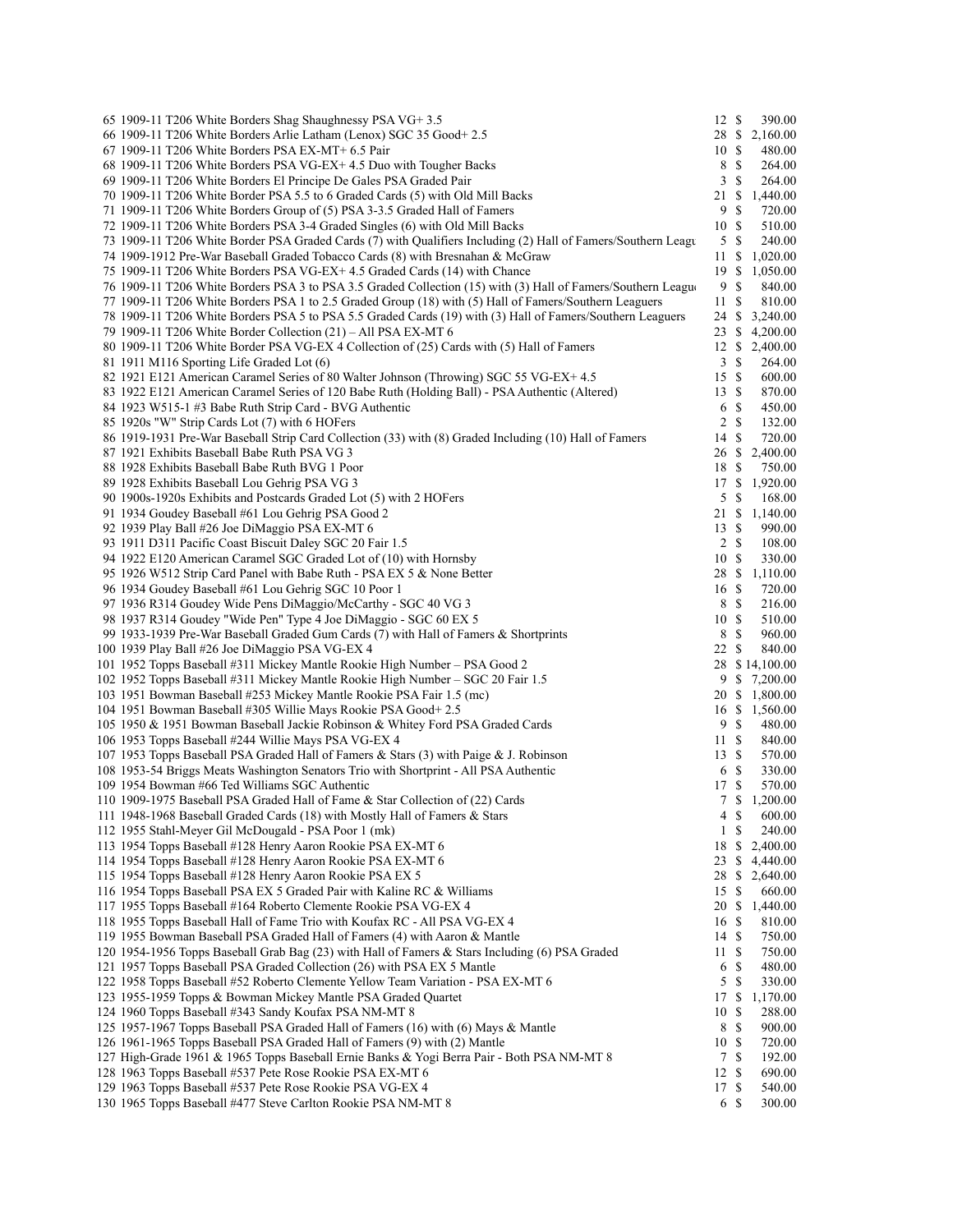| 65 1909-11 T206 White Borders Shag Shaughnessy PSA VG+ 3.5                                                    | 12S            |               | 390.00         |
|---------------------------------------------------------------------------------------------------------------|----------------|---------------|----------------|
| 66 1909-11 T206 White Borders Arlie Latham (Lenox) SGC 35 Good+2.5                                            |                |               | 28 \$ 2,160.00 |
| 67 1909-11 T206 White Borders PSA EX-MT+ 6.5 Pair                                                             | 10S            |               | 480.00         |
| 68 1909-11 T206 White Borders PSA VG-EX+ 4.5 Duo with Tougher Backs                                           | 8              | -S            | 264.00         |
| 69 1909-11 T206 White Borders El Principe De Gales PSA Graded Pair                                            | 3              | \$            | 264.00         |
| 70 1909-11 T206 White Border PSA 5.5 to 6 Graded Cards (5) with Old Mill Backs                                | 21             | \$            | 1,440.00       |
|                                                                                                               |                |               | 720.00         |
| 71 1909-11 T206 White Borders Group of (5) PSA 3-3.5 Graded Hall of Famers                                    | 9              | S             |                |
| 72 1909-11 T206 White Borders PSA 3-4 Graded Singles (6) with Old Mill Backs                                  | 10S            |               | 510.00         |
| 73 1909-11 T206 White Border PSA Graded Cards (7) with Qualifiers Including (2) Hall of Famers/Southern Leagu | 5 <sup>5</sup> | S             | 240.00         |
| 74 1909-1912 Pre-War Baseball Graded Tobacco Cards (8) with Bresnahan & McGraw                                | 11             | \$            | 1,020.00       |
| 75 1909-11 T206 White Borders PSA VG-EX+ 4.5 Graded Cards (14) with Chance                                    | 19             | S.            | 1,050.00       |
| 76 1909-11 T206 White Borders PSA 3 to PSA 3.5 Graded Collection (15) with (3) Hall of Famers/Southern League | 9              | $\mathbb{S}$  | 840.00         |
| 77 1909-11 T206 White Borders PSA 1 to 2.5 Graded Group (18) with (5) Hall of Famers/Southern Leaguers        | 11             | -S            | 810.00         |
| 78 1909-11 T206 White Borders PSA 5 to PSA 5.5 Graded Cards (19) with (3) Hall of Famers/Southern Leaguers    | 24             | \$            | 3,240.00       |
| 79 1909-11 T206 White Border Collection (21) – All PSA EX-MT 6                                                | 23             | S             | 4,200.00       |
| 80 1909-11 T206 White Border PSA VG-EX 4 Collection of (25) Cards with (5) Hall of Famers                     | 12S            |               | 2,400.00       |
|                                                                                                               |                |               |                |
| 81 1911 M116 Sporting Life Graded Lot (6)                                                                     | 3              | <sup>\$</sup> | 264.00         |
| 82 1921 E121 American Caramel Series of 80 Walter Johnson (Throwing) SGC 55 VG-EX+4.5                         | 15S            |               | 600.00         |
| 83 1922 E121 American Caramel Series of 120 Babe Ruth (Holding Ball) - PSA Authentic (Altered)                | 13S            |               | 870.00         |
| 84 1923 W515-1 #3 Babe Ruth Strip Card - BVG Authentic                                                        | 6              | - \$          | 450.00         |
| 85 1920s "W" Strip Cards Lot (7) with 6 HOFers                                                                | $\overline{2}$ | <sup>\$</sup> | 132.00         |
| 86 1919-1931 Pre-War Baseball Strip Card Collection (33) with (8) Graded Including (10) Hall of Famers        | 14             | S             | 720.00         |
| 87 1921 Exhibits Baseball Babe Ruth PSA VG 3                                                                  | 26             | S.            | 2,400.00       |
| 88 1928 Exhibits Baseball Babe Ruth BVG 1 Poor                                                                | 18             | S             | 750.00         |
| 89 1928 Exhibits Baseball Lou Gehrig PSA VG 3                                                                 | 17             | \$            | 1,920.00       |
| 90 1900s-1920s Exhibits and Postcards Graded Lot (5) with 2 HOFers                                            | 5              | S             | 168.00         |
| 91 1934 Goudey Baseball #61 Lou Gehrig PSA Good 2                                                             |                |               |                |
|                                                                                                               | 21 \$          |               | 1,140.00       |
| 92 1939 Play Ball #26 Joe DiMaggio PSA EX-MT 6                                                                | 13S            |               | 990.00         |
| 93 1911 D311 Pacific Coast Biscuit Daley SGC 20 Fair 1.5                                                      | 2S             |               | 108.00         |
| 94 1922 E120 American Caramel SGC Graded Lot of (10) with Hornsby                                             | 10             | \$            | 330.00         |
| 95 1926 W512 Strip Card Panel with Babe Ruth - PSA EX 5 & None Better                                         | 28 \$          |               | 1,110.00       |
| 96 1934 Goudey Baseball #61 Lou Gehrig SGC 10 Poor 1                                                          | 16 \$          |               | 720.00         |
| 97 1936 R314 Goudey Wide Pens DiMaggio/McCarthy - SGC 40 VG 3                                                 | 8              | - \$          | 216.00         |
| 98 1937 R314 Goudey "Wide Pen" Type 4 Joe DiMaggio - SGC 60 EX 5                                              | 10             | -S            | 510.00         |
| 99 1933-1939 Pre-War Baseball Graded Gum Cards (7) with Hall of Famers & Shortprints                          | 8              | $\mathbb{S}$  | 960.00         |
| 100 1939 Play Ball #26 Joe DiMaggio PSA VG-EX 4                                                               | 22             | S             | 840.00         |
| 101 1952 Topps Baseball #311 Mickey Mantle Rookie High Number – PSA Good 2                                    |                |               | 28 \$14,100.00 |
|                                                                                                               |                |               |                |
| 102 1952 Topps Baseball #311 Mickey Mantle Rookie High Number – SGC 20 Fair 1.5                               | 9              |               | \$7,200.00     |
| 103 1951 Bowman Baseball #253 Mickey Mantle Rookie PSA Fair 1.5 (mc)                                          |                |               | 20 \$ 1,800.00 |
| 104 1951 Bowman Baseball #305 Willie Mays Rookie PSA Good+ 2.5                                                |                |               | 16 \$ 1,560.00 |
| 105 1950 & 1951 Bowman Baseball Jackie Robinson & Whitey Ford PSA Graded Cards                                | 9S             |               | 480.00         |
| 106 1953 Topps Baseball #244 Willie Mays PSA VG-EX 4                                                          | 11S            |               | 840.00         |
| 107 1953 Topps Baseball PSA Graded Hall of Famers & Stars (3) with Paige & J. Robinson                        | 13S            |               | 570.00         |
| 108 1953-54 Briggs Meats Washington Senators Trio with Shortprint - All PSA Authentic                         | 6              | <sup>\$</sup> | 330.00         |
| 109 1954 Bowman #66 Ted Williams SGC Authentic                                                                | 17             | \$            | 570.00         |
| 110 1909-1975 Baseball PSA Graded Hall of Fame & Star Collection of (22) Cards                                |                |               | 7 \$ 1,200.00  |
|                                                                                                               |                |               |                |
| 111 1948-1968 Baseball Graded Cards (18) with Mostly Hall of Famers & Stars                                   | 4\$            |               | 600.00         |
| 112 1955 Stahl-Meyer Gil McDougald - PSA Poor 1 (mk)                                                          | $\mathbf{1}$   | S             | 240.00         |
| 113 1954 Topps Baseball #128 Henry Aaron Rookie PSA EX-MT 6                                                   | 18             | \$            | 2,400.00       |
| 114 1954 Topps Baseball #128 Henry Aaron Rookie PSA EX-MT 6                                                   | 23             | \$.           | 4,440.00       |
| 115 1954 Topps Baseball #128 Henry Aaron Rookie PSA EX 5                                                      | 28             | \$.           | 2,640.00       |
| 116 1954 Topps Baseball PSA EX 5 Graded Pair with Kaline RC & Williams                                        | 15             | S             | 660.00         |
| 117 1955 Topps Baseball #164 Roberto Clemente Rookie PSA VG-EX 4                                              | 20 \$          |               | 1,440.00       |
| 118 1955 Topps Baseball Hall of Fame Trio with Koufax RC - All PSA VG-EX 4                                    | 16 \$          |               | 810.00         |
| 119 1955 Bowman Baseball PSA Graded Hall of Famers (4) with Aaron & Mantle                                    | 14             | S             | 750.00         |
| 120 1954-1956 Topps Baseball Grab Bag (23) with Hall of Famers & Stars Including (6) PSA Graded               | 11             | S             | 750.00         |
|                                                                                                               |                |               |                |
| 121 1957 Topps Baseball PSA Graded Collection (26) with PSA EX 5 Mantle                                       | 6              | \$            | 480.00         |
| 122 1958 Topps Baseball #52 Roberto Clemente Yellow Team Variation - PSA EX-MT 6                              | 5              | \$            | 330.00         |
| 123 1955-1959 Topps & Bowman Mickey Mantle PSA Graded Quartet                                                 | 17             | \$.           | 1,170.00       |
| 124 1960 Topps Baseball #343 Sandy Koufax PSA NM-MT 8                                                         | 10             | \$            | 288.00         |
| 125 1957-1967 Topps Baseball PSA Graded Hall of Famers (16) with (6) Mays & Mantle                            | 8              | \$            | 900.00         |
| 126 1961-1965 Topps Baseball PSA Graded Hall of Famers (9) with (2) Mantle                                    | 10             | \$            | 720.00         |
| 127 High-Grade 1961 & 1965 Topps Baseball Ernie Banks & Yogi Berra Pair - Both PSA NM-MT 8                    | 7              | S             | 192.00         |
| 128 1963 Topps Baseball #537 Pete Rose Rookie PSA EX-MT 6                                                     | 12             | S             | 690.00         |
| 129 1963 Topps Baseball #537 Pete Rose Rookie PSA VG-EX 4                                                     | 17             | S             | 540.00         |
| 130 1965 Topps Baseball #477 Steve Carlton Rookie PSA NM-MT 8                                                 | 6 \$           |               | 300.00         |
|                                                                                                               |                |               |                |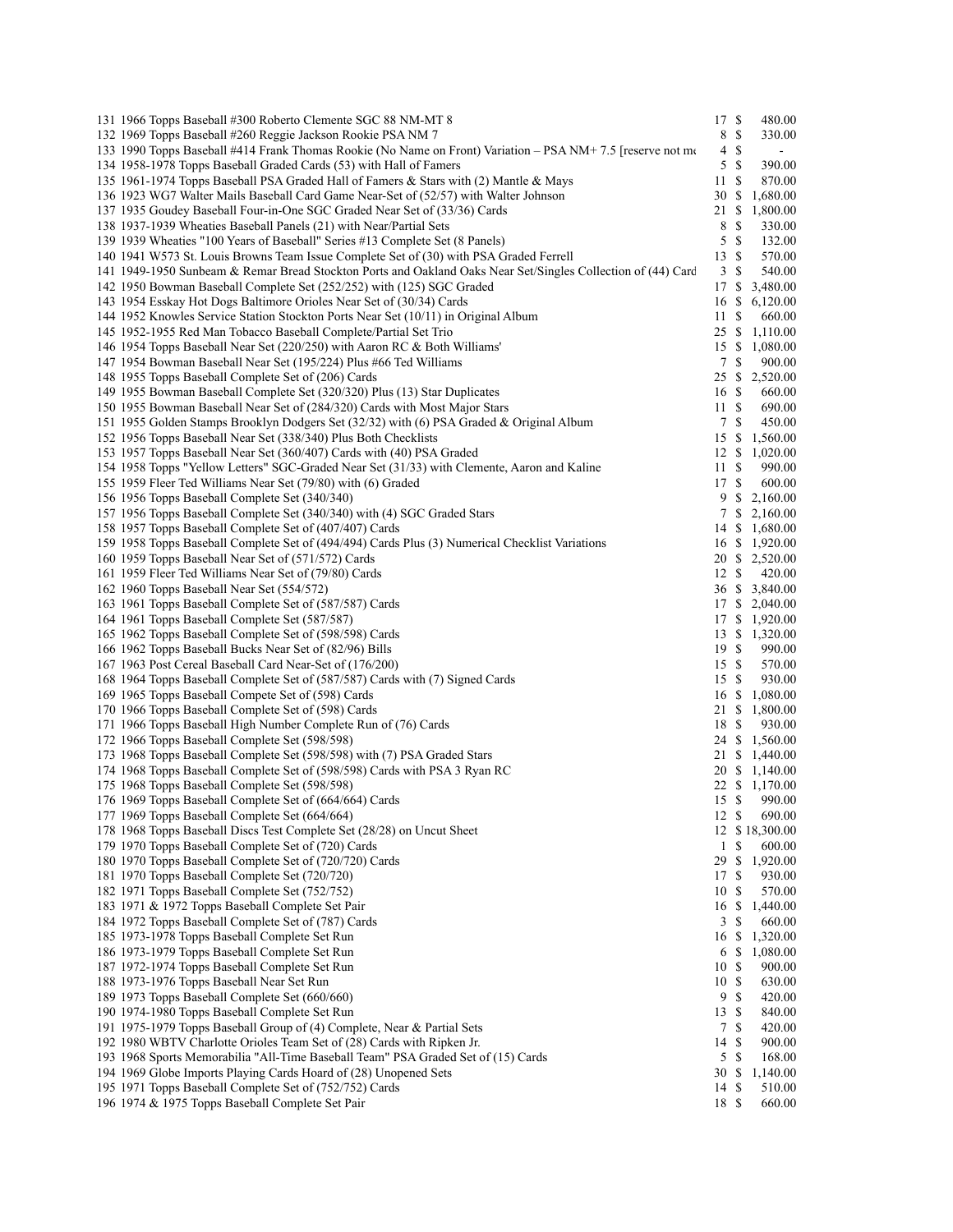| 131 1966 Topps Baseball #300 Roberto Clemente SGC 88 NM-MT 8                                                                                          | 17 \$          |               | 480.00                   |
|-------------------------------------------------------------------------------------------------------------------------------------------------------|----------------|---------------|--------------------------|
| 132 1969 Topps Baseball #260 Reggie Jackson Rookie PSA NM 7                                                                                           | 8              | ${\mathbb S}$ | 330.00                   |
| 133 1990 Topps Baseball #414 Frank Thomas Rookie (No Name on Front) Variation – PSA NM+ 7.5 [reserve not mo                                           | 4              | $\mathbb{S}$  | $\sim$                   |
| 134 1958-1978 Topps Baseball Graded Cards (53) with Hall of Famers                                                                                    | 5              | $\mathbb{S}$  | 390.00                   |
| 135 1961-1974 Topps Baseball PSA Graded Hall of Famers & Stars with (2) Mantle & Mays                                                                 | 11             | S             | 870.00                   |
| 136 1923 WG7 Walter Mails Baseball Card Game Near-Set of (52/57) with Walter Johnson                                                                  | 30             | -S            | 1,680.00                 |
| 137 1935 Goudey Baseball Four-in-One SGC Graded Near Set of (33/36) Cards                                                                             | 21             | -S            | 1,800.00                 |
| 138 1937-1939 Wheaties Baseball Panels (21) with Near/Partial Sets                                                                                    | 8              | S             | 330.00                   |
| 139 1939 Wheaties "100 Years of Baseball" Series #13 Complete Set (8 Panels)                                                                          | 5              | <sup>\$</sup> | 132.00                   |
| 140 1941 W573 St. Louis Browns Team Issue Complete Set of (30) with PSA Graded Ferrell                                                                | 13             | <sup>\$</sup> | 570.00                   |
| 141 1949-1950 Sunbeam & Remar Bread Stockton Ports and Oakland Oaks Near Set/Singles Collection of (44) Card                                          | $\mathfrak{Z}$ | $\mathbb{S}$  | 540.00                   |
| 142 1950 Bowman Baseball Complete Set (252/252) with (125) SGC Graded                                                                                 | 17             | \$            | 3,480.00                 |
| 143 1954 Esskay Hot Dogs Baltimore Orioles Near Set of (30/34) Cards                                                                                  | 16             | \$            | 6,120.00                 |
| 144 1952 Knowles Service Station Stockton Ports Near Set (10/11) in Original Album                                                                    | 11             | <sup>\$</sup> | 660.00                   |
| 145 1952-1955 Red Man Tobacco Baseball Complete/Partial Set Trio                                                                                      | 25 \$          |               | 1,110.00                 |
| 146 1954 Topps Baseball Near Set (220/250) with Aaron RC & Both Williams'                                                                             | 15S<br>7S      |               | 1,080.00                 |
| 147 1954 Bowman Baseball Near Set (195/224) Plus #66 Ted Williams<br>148 1955 Topps Baseball Complete Set of (206) Cards                              | 25             |               | 900.00<br>\$2,520.00     |
| 149 1955 Bowman Baseball Complete Set (320/320) Plus (13) Star Duplicates                                                                             | 16 \$          |               | 660.00                   |
| 150 1955 Bowman Baseball Near Set of (284/320) Cards with Most Major Stars                                                                            | 11             | <sup>\$</sup> | 690.00                   |
| 151 1955 Golden Stamps Brooklyn Dodgers Set (32/32) with (6) PSA Graded & Original Album                                                              | 7              | <sup>\$</sup> | 450.00                   |
| 152 1956 Topps Baseball Near Set (338/340) Plus Both Checklists                                                                                       |                |               | 15 \$ 1,560.00           |
| 153 1957 Topps Baseball Near Set (360/407) Cards with (40) PSA Graded                                                                                 | 12S            |               | 1,020.00                 |
| 154 1958 Topps "Yellow Letters" SGC-Graded Near Set (31/33) with Clemente, Aaron and Kaline                                                           | 11             | \$            | 990.00                   |
| 155 1959 Fleer Ted Williams Near Set (79/80) with (6) Graded                                                                                          | 17             | $\mathbb{S}$  | 600.00                   |
| 156 1956 Topps Baseball Complete Set (340/340)                                                                                                        | 9              | \$            | 2,160.00                 |
| 157 1956 Topps Baseball Complete Set (340/340) with (4) SGC Graded Stars                                                                              |                |               | $7 \t$ 2,160.00$         |
| 158 1957 Topps Baseball Complete Set of (407/407) Cards                                                                                               |                |               | 14 \$ 1,680.00           |
| 159 1958 Topps Baseball Complete Set of (494/494) Cards Plus (3) Numerical Checklist Variations                                                       |                |               | 16 \$ 1,920.00           |
| 160 1959 Topps Baseball Near Set of (571/572) Cards                                                                                                   |                |               | 20 \$ 2,520.00           |
| 161 1959 Fleer Ted Williams Near Set of (79/80) Cards                                                                                                 | 12S            |               | 420.00                   |
| 162 1960 Topps Baseball Near Set (554/572)                                                                                                            |                |               | 36 \$ 3,840.00           |
| 163 1961 Topps Baseball Complete Set of (587/587) Cards                                                                                               |                |               | 17 \$ 2,040.00           |
| 164 1961 Topps Baseball Complete Set (587/587)                                                                                                        |                |               | 17 \$ 1,920.00           |
| 165 1962 Topps Baseball Complete Set of (598/598) Cards                                                                                               |                |               | 13 \$ 1,320.00           |
| 166 1962 Topps Baseball Bucks Near Set of (82/96) Bills                                                                                               | 19S            |               | 990.00                   |
| 167 1963 Post Cereal Baseball Card Near-Set of (176/200)                                                                                              | 15S            |               | 570.00                   |
| 168 1964 Topps Baseball Complete Set of (587/587) Cards with (7) Signed Cards                                                                         | 15S            |               | 930.00                   |
| 169 1965 Topps Baseball Compete Set of (598) Cards                                                                                                    | 16             | \$            | 1,080.00                 |
| 170 1966 Topps Baseball Complete Set of (598) Cards                                                                                                   |                |               | 21 \$ 1,800.00           |
| 171 1966 Topps Baseball High Number Complete Run of (76) Cards                                                                                        | 18             | -S            | 930.00<br>24 \$ 1,560.00 |
| 172 1966 Topps Baseball Complete Set (598/598)<br>173 1968 Topps Baseball Complete Set (598/598) with (7) PSA Graded Stars                            |                |               | 21 \$ 1,440.00           |
| 174 1968 Topps Baseball Complete Set of (598/598) Cards with PSA 3 Ryan RC                                                                            |                |               | 20 \$ 1,140.00           |
| 175 1968 Topps Baseball Complete Set (598/598)                                                                                                        |                |               | 22 \$ 1,170.00           |
| 176 1969 Topps Baseball Complete Set of (664/664) Cards                                                                                               | 15S            |               | 990.00                   |
| 177 1969 Topps Baseball Complete Set (664/664)                                                                                                        | 12 \$          |               | 690.00                   |
| 178 1968 Topps Baseball Discs Test Complete Set (28/28) on Uncut Sheet                                                                                |                |               | 12 \$18,300.00           |
| 179 1970 Topps Baseball Complete Set of (720) Cards                                                                                                   | $\mathbf{1}$   | -S            | 600.00                   |
| 180 1970 Topps Baseball Complete Set of (720/720) Cards                                                                                               | 29             | \$            | 1,920.00                 |
| 181 1970 Topps Baseball Complete Set (720/720)                                                                                                        | 17             | $\mathbb{S}$  | 930.00                   |
| 182 1971 Topps Baseball Complete Set (752/752)                                                                                                        | 10             | <sup>\$</sup> | 570.00                   |
| 183 1971 & 1972 Topps Baseball Complete Set Pair                                                                                                      | 16             | \$            | 1,440.00                 |
| 184 1972 Topps Baseball Complete Set of (787) Cards                                                                                                   | 3              | <sup>\$</sup> | 660.00                   |
| 185 1973-1978 Topps Baseball Complete Set Run                                                                                                         | 16             | \$            | 1,320.00                 |
| 186 1973-1979 Topps Baseball Complete Set Run                                                                                                         | 6              | $\mathbb{S}$  | 1,080.00                 |
| 187 1972-1974 Topps Baseball Complete Set Run                                                                                                         | 10             | $\mathbb{S}$  | 900.00                   |
| 188 1973-1976 Topps Baseball Near Set Run                                                                                                             | 10             | S             | 630.00                   |
| 189 1973 Topps Baseball Complete Set (660/660)                                                                                                        | 9              | <sup>\$</sup> | 420.00                   |
| 190 1974-1980 Topps Baseball Complete Set Run                                                                                                         | 13             | $\mathbb{S}$  | 840.00                   |
| 191 1975-1979 Topps Baseball Group of (4) Complete, Near & Partial Sets                                                                               | 7              | S             | 420.00                   |
| 192 1980 WBTV Charlotte Orioles Team Set of (28) Cards with Ripken Jr.                                                                                | 14             | S             | 900.00                   |
| 193 1968 Sports Memorabilia "All-Time Baseball Team" PSA Graded Set of (15) Cards<br>194 1969 Globe Imports Playing Cards Hoard of (28) Unopened Sets | 5<br>30        | S<br>-S       | 168.00<br>1,140.00       |
| 195 1971 Topps Baseball Complete Set of (752/752) Cards                                                                                               | 14             | \$            | 510.00                   |
| 196 1974 & 1975 Topps Baseball Complete Set Pair                                                                                                      | 18 \$          |               | 660.00                   |
|                                                                                                                                                       |                |               |                          |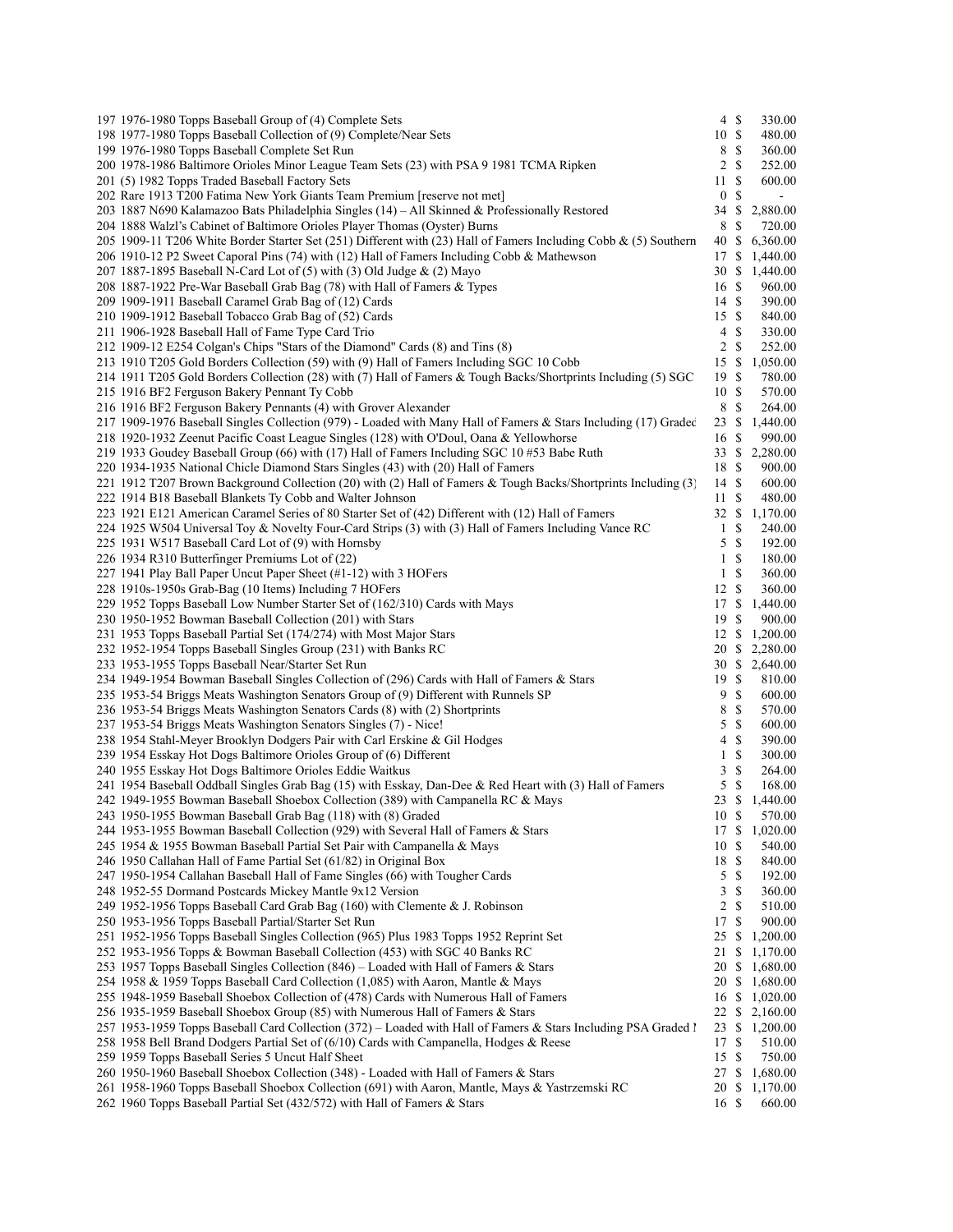| 197 1976-1980 Topps Baseball Group of (4) Complete Sets                                                             | $4 \text{ }$ \$ |              | 330.00                       |
|---------------------------------------------------------------------------------------------------------------------|-----------------|--------------|------------------------------|
| 198 1977-1980 Topps Baseball Collection of (9) Complete/Near Sets                                                   | 10S             |              | 480.00                       |
| 199 1976-1980 Topps Baseball Complete Set Run                                                                       | 8               | \$           | 360.00                       |
| 200 1978-1986 Baltimore Orioles Minor League Team Sets (23) with PSA 9 1981 TCMA Ripken                             | 2               | S            | 252.00                       |
| 201 (5) 1982 Topps Traded Baseball Factory Sets                                                                     | 11              | S            | 600.00                       |
| 202 Rare 1913 T200 Fatima New York Giants Team Premium [reserve not met]                                            | $\bf{0}$        | \$           | $\blacksquare$               |
| 203 1887 N690 Kalamazoo Bats Philadelphia Singles (14) – All Skinned & Professionally Restored                      | 34              | \$           | 2,880.00                     |
| 204 1888 Walzl's Cabinet of Baltimore Orioles Player Thomas (Oyster) Burns                                          | 8               | S            | 720.00                       |
| 205 1909-11 T206 White Border Starter Set (251) Different with (23) Hall of Famers Including Cobb & (5) Southern    | 40              | S            | 6,360.00                     |
| 206 1910-12 P2 Sweet Caporal Pins (74) with (12) Hall of Famers Including Cobb & Mathewson                          | 17              | \$.          | 1,440.00                     |
| 207 1887-1895 Baseball N-Card Lot of (5) with (3) Old Judge & (2) Mayo                                              | 30              | \$           | 1,440.00                     |
| 208 1887-1922 Pre-War Baseball Grab Bag (78) with Hall of Famers & Types                                            | 16 \$           |              | 960.00                       |
| 209 1909-1911 Baseball Caramel Grab Bag of (12) Cards                                                               | 14S             |              | 390.00                       |
| 210 1909-1912 Baseball Tobacco Grab Bag of (52) Cards                                                               | 15S             |              | 840.00                       |
| 211 1906-1928 Baseball Hall of Fame Type Card Trio                                                                  | 4               | \$           | 330.00                       |
|                                                                                                                     |                 |              |                              |
| 212 1909-12 E254 Colgan's Chips "Stars of the Diamond" Cards (8) and Tins (8)                                       | 2               | \$           | 252.00                       |
| 213 1910 T205 Gold Borders Collection (59) with (9) Hall of Famers Including SGC 10 Cobb                            | 15              | \$           | 1,050.00                     |
| 214 1911 T205 Gold Borders Collection (28) with (7) Hall of Famers & Tough Backs/Shortprints Including (5) SGC      | 19              | S            | 780.00                       |
| 215 1916 BF2 Ferguson Bakery Pennant Ty Cobb                                                                        | 10S             |              | 570.00                       |
| 216 1916 BF2 Ferguson Bakery Pennants (4) with Grover Alexander                                                     | 8               | S            | 264.00                       |
| 217 1909-1976 Baseball Singles Collection (979) - Loaded with Many Hall of Famers & Stars Including (17) Gradec     | 23              | \$.          | 1,440.00                     |
| 218 1920-1932 Zeenut Pacific Coast League Singles (128) with O'Doul, Oana & Yellowhorse                             | 16              | \$           | 990.00                       |
| 219 1933 Goudey Baseball Group (66) with (17) Hall of Famers Including SGC 10 #53 Babe Ruth                         | 33              | S            | 2,280.00                     |
| 220 1934-1935 National Chicle Diamond Stars Singles (43) with (20) Hall of Famers                                   | 18              | \$           | 900.00                       |
| 221 1912 T207 Brown Background Collection (20) with (2) Hall of Famers & Tough Backs/Shortprints Including (3)      | 14 \$           |              | 600.00                       |
| 222 1914 B18 Baseball Blankets Ty Cobb and Walter Johnson                                                           | 11              | \$           | 480.00                       |
| 223 1921 E121 American Caramel Series of 80 Starter Set of (42) Different with (12) Hall of Famers                  | 32 \$           |              | 1,170.00                     |
| 224 1925 W504 Universal Toy & Novelty Four-Card Strips (3) with (3) Hall of Famers Including Vance RC               | 1               | \$           | 240.00                       |
| 225 1931 W517 Baseball Card Lot of (9) with Hornsby                                                                 | 5               | S            | 192.00                       |
| 226 1934 R310 Butterfinger Premiums Lot of (22)                                                                     | 1               | \$           | 180.00                       |
| 227 1941 Play Ball Paper Uncut Paper Sheet (#1-12) with 3 HOFers                                                    | $\mathbf{1}$    | S            | 360.00                       |
| 228 1910s-1950s Grab-Bag (10 Items) Including 7 HOFers                                                              | 12              | S            | 360.00                       |
| 229 1952 Topps Baseball Low Number Starter Set of (162/310) Cards with Mays                                         | 17              | \$           | 1,440.00                     |
| 230 1950-1952 Bowman Baseball Collection (201) with Stars                                                           | 19              | S            | 900.00                       |
|                                                                                                                     |                 |              |                              |
| 231 1953 Topps Baseball Partial Set (174/274) with Most Major Stars                                                 | 20              |              | 12 \$ 1,200.00               |
| 232 1952-1954 Topps Baseball Singles Group (231) with Banks RC<br>233 1953-1955 Topps Baseball Near/Starter Set Run |                 |              | \$2,280.00<br>30 \$ 2,640.00 |
| 234 1949-1954 Bowman Baseball Singles Collection of (296) Cards with Hall of Famers & Stars                         | 19S             |              | 810.00                       |
|                                                                                                                     | 9               | \$           |                              |
| 235 1953-54 Briggs Meats Washington Senators Group of (9) Different with Runnels SP                                 |                 |              | 600.00                       |
| 236 1953-54 Briggs Meats Washington Senators Cards (8) with (2) Shortprints                                         | 8               | \$           | 570.00                       |
| 237 1953-54 Briggs Meats Washington Senators Singles (7) - Nice!                                                    | 5               | $\mathbb{S}$ | 600.00                       |
| 238 1954 Stahl-Meyer Brooklyn Dodgers Pair with Carl Erskine & Gil Hodges                                           | 4               | \$           | 390.00                       |
| 239 1954 Esskay Hot Dogs Baltimore Orioles Group of (6) Different                                                   | $\mathbf{1}$    | \$           | 300.00                       |
| 240 1955 Esskay Hot Dogs Baltimore Orioles Eddie Waitkus                                                            | 3               | \$           | 264.00                       |
| 241 1954 Baseball Oddball Singles Grab Bag (15) with Esskay, Dan-Dee & Red Heart with (3) Hall of Famers            | 5               | \$           | 168.00                       |
| 242 1949-1955 Bowman Baseball Shoebox Collection (389) with Campanella RC & Mays                                    | 23S             |              | 1,440.00                     |
| 243 1950-1955 Bowman Baseball Grab Bag (118) with (8) Graded                                                        | 10 \$           |              | 570.00                       |
| 244 1953-1955 Bowman Baseball Collection (929) with Several Hall of Famers & Stars                                  | 17              | \$           | 1,020.00                     |
| 245 1954 & 1955 Bowman Baseball Partial Set Pair with Campanella & Mays                                             | 10              | \$           | 540.00                       |
| 246 1950 Callahan Hall of Fame Partial Set (61/82) in Original Box                                                  | 18              | S            | 840.00                       |
| 247 1950-1954 Callahan Baseball Hall of Fame Singles (66) with Tougher Cards                                        | 5               | \$           | 192.00                       |
| 248 1952-55 Dormand Postcards Mickey Mantle 9x12 Version                                                            | 3               | S            | 360.00                       |
| 249 1952-1956 Topps Baseball Card Grab Bag (160) with Clemente & J. Robinson                                        | $\overline{c}$  | \$           | 510.00                       |
| 250 1953-1956 Topps Baseball Partial/Starter Set Run                                                                | 17              | \$           | 900.00                       |
| 251 1952-1956 Topps Baseball Singles Collection (965) Plus 1983 Topps 1952 Reprint Set                              | 25              | \$.          | 1,200.00                     |
| 252 1953-1956 Topps & Bowman Baseball Collection (453) with SGC 40 Banks RC                                         | 21              | \$.          | 1,170.00                     |
| 253 1957 Topps Baseball Singles Collection (846) – Loaded with Hall of Famers & Stars                               | 20              | \$           | 1,680.00                     |
| 254 1958 & 1959 Topps Baseball Card Collection (1,085) with Aaron, Mantle & Mays                                    | 20              |              | \$1,680.00                   |
| 255 1948-1959 Baseball Shoebox Collection of (478) Cards with Numerous Hall of Famers                               | 16              | \$.          | 1,020.00                     |
| 256 1935-1959 Baseball Shoebox Group (85) with Numerous Hall of Famers & Stars                                      | 22              | \$           | 2,160.00                     |
| 257 1953-1959 Topps Baseball Card Collection (372) - Loaded with Hall of Famers & Stars Including PSA Graded l      | 23              | \$.          | 1,200.00                     |
| 258 1958 Bell Brand Dodgers Partial Set of (6/10) Cards with Campanella, Hodges & Reese                             | 17              | \$           | 510.00                       |
| 259 1959 Topps Baseball Series 5 Uncut Half Sheet                                                                   | 15              |              | 750.00                       |
|                                                                                                                     |                 | \$.          |                              |
| 260 1950-1960 Baseball Shoebox Collection (348) - Loaded with Hall of Famers & Stars                                | 27              | \$           | 1,680.00                     |
| 261 1958-1960 Topps Baseball Shoebox Collection (691) with Aaron, Mantle, Mays & Yastrzemski RC                     | 20              | S            | 1,170.00                     |
| 262 1960 Topps Baseball Partial Set (432/572) with Hall of Famers & Stars                                           | 16 \$           |              | 660.00                       |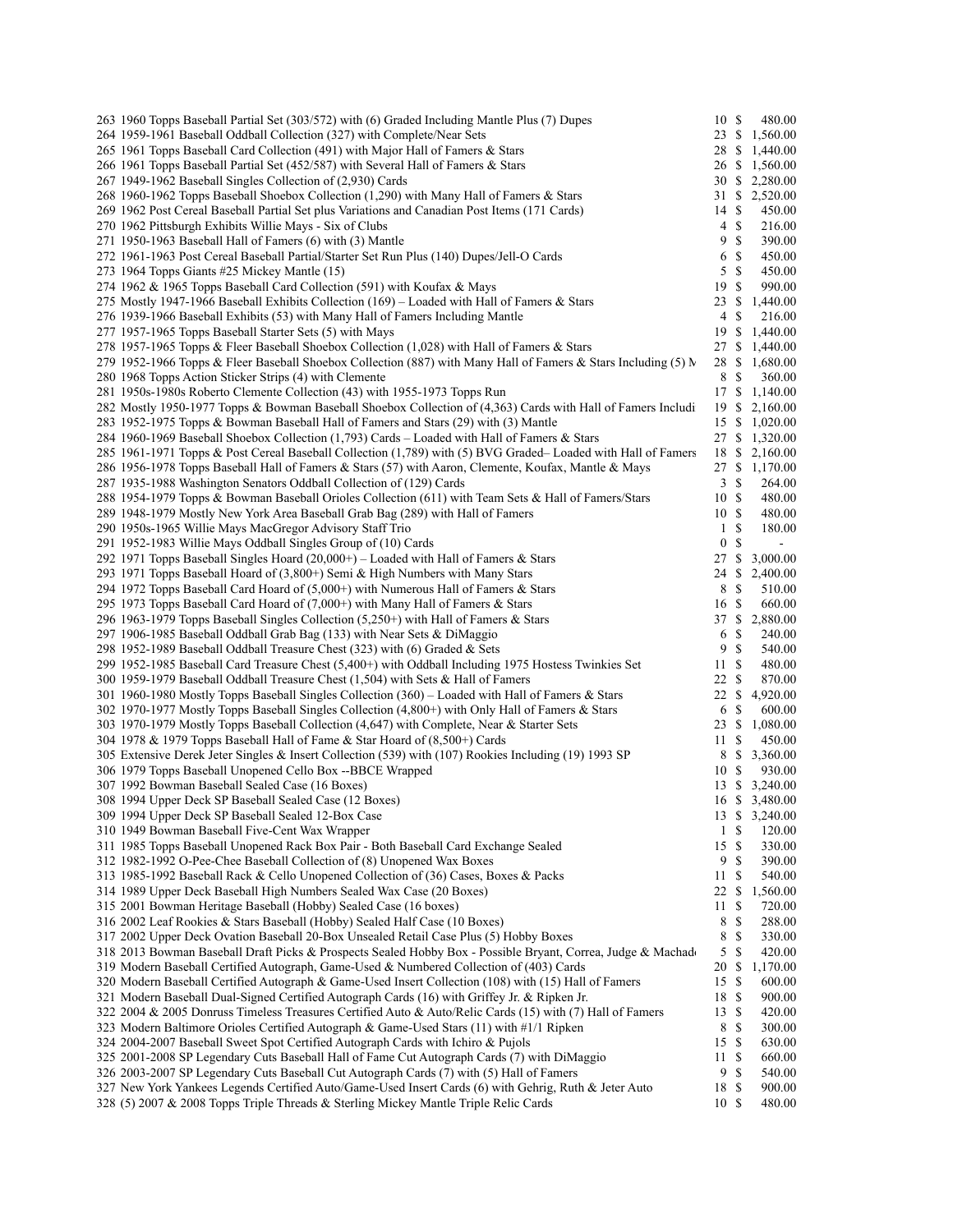| 263 1960 Topps Baseball Partial Set (303/572) with (6) Graded Including Mantle Plus (7) Dupes                  | 10S          |               | 480.00         |
|----------------------------------------------------------------------------------------------------------------|--------------|---------------|----------------|
| 264 1959-1961 Baseball Oddball Collection (327) with Complete/Near Sets                                        |              |               | 23 \$ 1,560.00 |
| 265 1961 Topps Baseball Card Collection (491) with Major Hall of Famers & Stars                                | 28           | -S            | 1,440.00       |
| 266 1961 Topps Baseball Partial Set (452/587) with Several Hall of Famers & Stars                              |              |               | 26 \$ 1,560.00 |
| 267 1949-1962 Baseball Singles Collection of (2,930) Cards                                                     |              |               | 30 \$ 2,280.00 |
|                                                                                                                |              |               |                |
| 268 1960-1962 Topps Baseball Shoebox Collection (1,290) with Many Hall of Famers & Stars                       |              |               | 31 \$ 2,520.00 |
| 269 1962 Post Cereal Baseball Partial Set plus Variations and Canadian Post Items (171 Cards)                  | 14S          |               | 450.00         |
| 270 1962 Pittsburgh Exhibits Willie Mays - Six of Clubs                                                        | 4            | -S            | 216.00         |
| 271 1950-1963 Baseball Hall of Famers (6) with (3) Mantle                                                      | 9            | $\mathbb{S}$  | 390.00         |
| 272 1961-1963 Post Cereal Baseball Partial/Starter Set Run Plus (140) Dupes/Jell-O Cards                       | 6            | \$            | 450.00         |
| 273 1964 Topps Giants #25 Mickey Mantle (15)                                                                   | 5            | <sup>\$</sup> | 450.00         |
| 274 1962 & 1965 Topps Baseball Card Collection (591) with Koufax & Mays                                        | 19           | -S            | 990.00         |
| 275 Mostly 1947-1966 Baseball Exhibits Collection (169) – Loaded with Hall of Famers & Stars                   | 23 \$        |               | 1,440.00       |
| 276 1939-1966 Baseball Exhibits (53) with Many Hall of Famers Including Mantle                                 | 4            | \$            | 216.00         |
| 277 1957-1965 Topps Baseball Starter Sets (5) with Mays                                                        |              |               |                |
|                                                                                                                | 19           | \$            | 1,440.00       |
| 278 1957-1965 Topps & Fleer Baseball Shoebox Collection (1,028) with Hall of Famers & Stars                    |              |               | 27 \$ 1,440.00 |
| 279 1952-1966 Topps & Fleer Baseball Shoebox Collection (887) with Many Hall of Famers & Stars Including (5) N |              |               | 28 \$ 1,680.00 |
| 280 1968 Topps Action Sticker Strips (4) with Clemente                                                         | 8            | \$            | 360.00         |
| 281 1950s-1980s Roberto Clemente Collection (43) with 1955-1973 Topps Run                                      |              |               | 17 \$ 1,140.00 |
| 282 Mostly 1950-1977 Topps & Bowman Baseball Shoebox Collection of (4,363) Cards with Hall of Famers Includi   |              |               | 19 \$ 2,160.00 |
| 283 1952-1975 Topps & Bowman Baseball Hall of Famers and Stars (29) with (3) Mantle                            |              |               | 15 \$ 1,020.00 |
| 284 1960-1969 Baseball Shoebox Collection (1,793) Cards – Loaded with Hall of Famers & Stars                   |              |               | 27 \$ 1,320.00 |
|                                                                                                                |              |               |                |
| 285 1961-1971 Topps & Post Cereal Baseball Collection (1,789) with (5) BVG Graded–Loaded with Hall of Famers   |              |               | 18 \$ 2,160.00 |
| 286 1956-1978 Topps Baseball Hall of Famers & Stars (57) with Aaron, Clemente, Koufax, Mantle & Mays           |              |               | 27 \$ 1,170.00 |
| 287 1935-1988 Washington Senators Oddball Collection of (129) Cards                                            | 3S           |               | 264.00         |
| 288 1954-1979 Topps & Bowman Baseball Orioles Collection (611) with Team Sets & Hall of Famers/Stars           | 10 \$        |               | 480.00         |
| 289 1948-1979 Mostly New York Area Baseball Grab Bag (289) with Hall of Famers                                 | 10S          |               | 480.00         |
| 290 1950s-1965 Willie Mays MacGregor Advisory Staff Trio                                                       | $\mathbf{1}$ | -S            | 180.00         |
| 291 1952-1983 Willie Mays Oddball Singles Group of (10) Cards                                                  | $\bf{0}$     | \$            | $\blacksquare$ |
| 292 1971 Topps Baseball Singles Hoard $(20,000+)$ – Loaded with Hall of Famers & Stars                         | 27           | \$            | 3,000.00       |
| 293 1971 Topps Baseball Hoard of (3,800+) Semi & High Numbers with Many Stars                                  | 24           | \$            | 2,400.00       |
| 294 1972 Topps Baseball Card Hoard of (5,000+) with Numerous Hall of Famers & Stars                            | 8            | $\mathbb{S}$  | 510.00         |
| 295 1973 Topps Baseball Card Hoard of (7,000+) with Many Hall of Famers & Stars                                | 16 \$        |               | 660.00         |
|                                                                                                                |              |               |                |
| 296 1963-1979 Topps Baseball Singles Collection $(5,250+)$ with Hall of Famers & Stars                         |              |               | 37 \$ 2,880.00 |
| 297 1906-1985 Baseball Oddball Grab Bag (133) with Near Sets & DiMaggio                                        | 6            | \$            | 240.00         |
| 298 1952-1989 Baseball Oddball Treasure Chest (323) with (6) Graded & Sets                                     | 9            | S             | 540.00         |
| 299 1952-1985 Baseball Card Treasure Chest (5,400+) with Oddball Including 1975 Hostess Twinkies Set           | 11S          |               | 480.00         |
| 300 1959-1979 Baseball Oddball Treasure Chest (1,504) with Sets & Hall of Famers                               | 22S          |               | 870.00         |
| 301 1960-1980 Mostly Topps Baseball Singles Collection (360) – Loaded with Hall of Famers & Stars              | 22 \$        |               | 4,920.00       |
| 302 1970-1977 Mostly Topps Baseball Singles Collection (4,800+) with Only Hall of Famers & Stars               | 6            | \$            | 600.00         |
| 303 1970-1979 Mostly Topps Baseball Collection (4,647) with Complete, Near & Starter Sets                      | 23 \$        |               | 1,080.00       |
| 304 1978 & 1979 Topps Baseball Hall of Fame & Star Hoard of (8,500+) Cards                                     | 11           | \$            | 450.00         |
| 305 Extensive Derek Jeter Singles & Insert Collection (539) with (107) Rookies Including (19) 1993 SP          | 8            | \$            | 3,360.00       |
| 306 1979 Topps Baseball Unopened Cello Box --BBCE Wrapped                                                      | 10 \$        |               | 930.00         |
|                                                                                                                |              |               |                |
| 307 1992 Bowman Baseball Sealed Case (16 Boxes)                                                                |              |               | 13 \$ 3,240.00 |
| 308 1994 Upper Deck SP Baseball Sealed Case (12 Boxes)                                                         |              |               | 16 \$ 3,480.00 |
| 309 1994 Upper Deck SP Baseball Sealed 12-Box Case                                                             | 13 S         |               | 3,240.00       |
| 310 1949 Bowman Baseball Five-Cent Wax Wrapper                                                                 | $\mathbf{1}$ | \$            | 120.00         |
| 311 1985 Topps Baseball Unopened Rack Box Pair - Both Baseball Card Exchange Sealed                            | 15 \$        |               | 330.00         |
| 312 1982-1992 O-Pee-Chee Baseball Collection of (8) Unopened Wax Boxes                                         | 9            | \$            | 390.00         |
| 313 1985-1992 Baseball Rack & Cello Unopened Collection of (36) Cases, Boxes & Packs                           | 11           | \$            | 540.00         |
| 314 1989 Upper Deck Baseball High Numbers Sealed Wax Case (20 Boxes)                                           | 22           | \$            | 1,560.00       |
| 315 2001 Bowman Heritage Baseball (Hobby) Sealed Case (16 boxes)                                               | 11           | <sup>\$</sup> | 720.00         |
| 316 2002 Leaf Rookies & Stars Baseball (Hobby) Sealed Half Case (10 Boxes)                                     | 8            | S             | 288.00         |
|                                                                                                                |              | \$            |                |
| 317 2002 Upper Deck Ovation Baseball 20-Box Unsealed Retail Case Plus (5) Hobby Boxes                          | 8            |               | 330.00         |
| 318 2013 Bowman Baseball Draft Picks & Prospects Sealed Hobby Box - Possible Bryant, Correa, Judge & Machad    | 5            | \$            | 420.00         |
| 319 Modern Baseball Certified Autograph, Game-Used & Numbered Collection of (403) Cards                        | 20           | \$            | 1,170.00       |
| 320 Modern Baseball Certified Autograph & Game-Used Insert Collection (108) with (15) Hall of Famers           | 15           | \$            | 600.00         |
| 321 Modern Baseball Dual-Signed Certified Autograph Cards (16) with Griffey Jr. & Ripken Jr.                   | 18 \$        |               | 900.00         |
| 322 2004 & 2005 Donruss Timeless Treasures Certified Auto & Auto/Relic Cards (15) with (7) Hall of Famers      | 13S          |               | 420.00         |
| 323 Modern Baltimore Orioles Certified Autograph & Game-Used Stars (11) with #1/1 Ripken                       | 8            | \$            | 300.00         |
| 324 2004-2007 Baseball Sweet Spot Certified Autograph Cards with Ichiro & Pujols                               | 15S          |               | 630.00         |
| 325 2001-2008 SP Legendary Cuts Baseball Hall of Fame Cut Autograph Cards (7) with DiMaggio                    | 11           | \$            | 660.00         |
| 326 2003-2007 SP Legendary Cuts Baseball Cut Autograph Cards (7) with (5) Hall of Famers                       | 9            | \$            | 540.00         |
| 327 New York Yankees Legends Certified Auto/Game-Used Insert Cards (6) with Gehrig, Ruth & Jeter Auto          | 18           | -S            | 900.00         |
|                                                                                                                |              |               |                |
| 328 (5) 2007 & 2008 Topps Triple Threads & Sterling Mickey Mantle Triple Relic Cards                           | 10 \$        |               | 480.00         |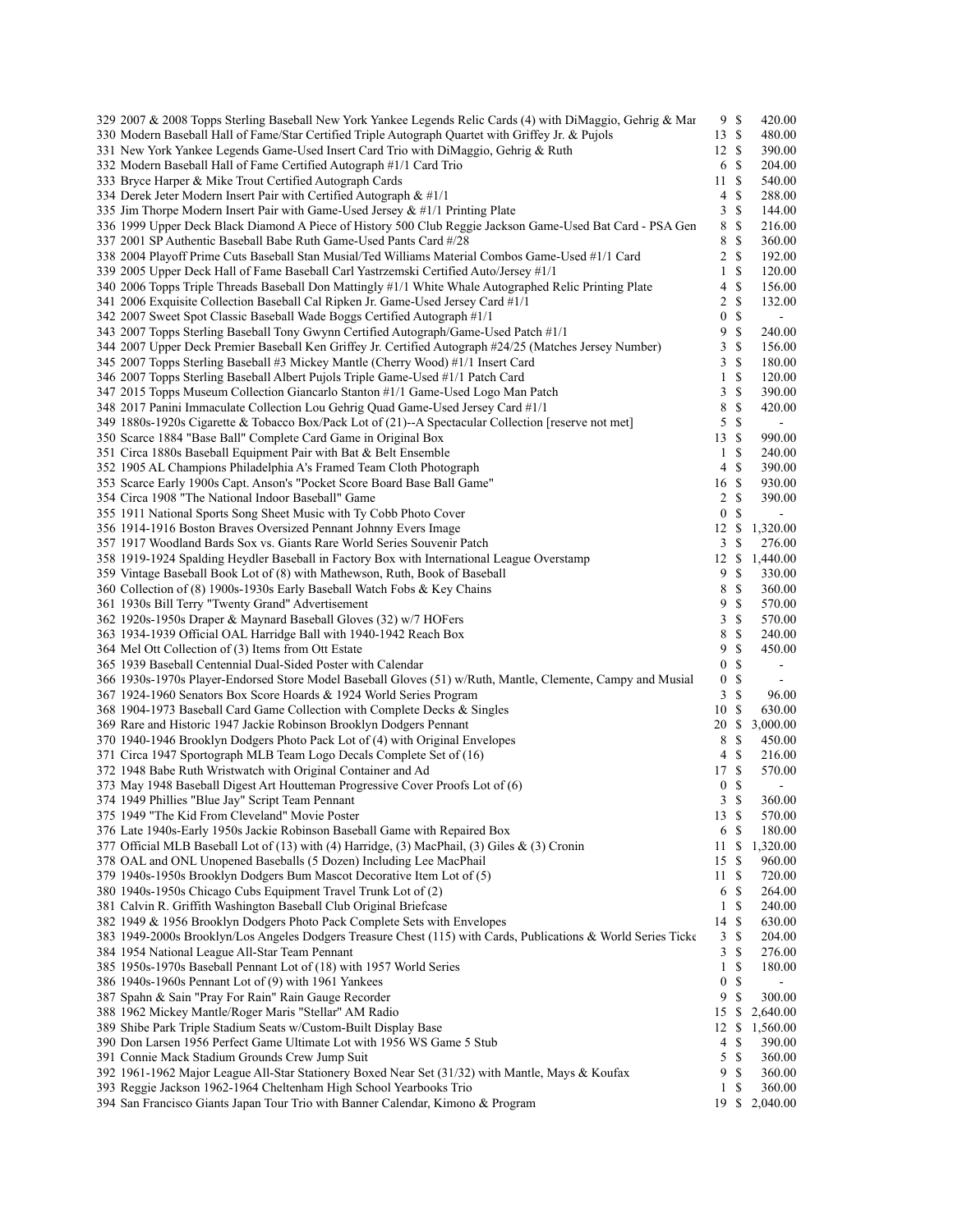| 329 2007 & 2008 Topps Sterling Baseball New York Yankee Legends Relic Cards (4) with DiMaggio, Gehrig & Mar    | 9S               |               | 420.00         |
|----------------------------------------------------------------------------------------------------------------|------------------|---------------|----------------|
| 330 Modern Baseball Hall of Fame/Star Certified Triple Autograph Quartet with Griffey Jr. & Pujols             | 13S              |               | 480.00         |
| 331 New York Yankee Legends Game-Used Insert Card Trio with DiMaggio, Gehrig & Ruth                            | 12S              |               | 390.00         |
|                                                                                                                |                  | <sup>\$</sup> |                |
| 332 Modern Baseball Hall of Fame Certified Autograph #1/1 Card Trio                                            | 6                |               | 204.00         |
| 333 Bryce Harper & Mike Trout Certified Autograph Cards                                                        | 11               | $\mathbb{S}$  | 540.00         |
| 334 Derek Jeter Modern Insert Pair with Certified Autograph $\&$ #1/1                                          | 4                | $\mathbb{S}$  | 288.00         |
| 335 Jim Thorpe Modern Insert Pair with Game-Used Jersey & #1/1 Printing Plate                                  | 3                | $\mathbb{S}$  | 144.00         |
|                                                                                                                | 8                | \$            |                |
| 336 1999 Upper Deck Black Diamond A Piece of History 500 Club Reggie Jackson Game-Used Bat Card - PSA Gen      |                  |               | 216.00         |
| 337 2001 SP Authentic Baseball Babe Ruth Game-Used Pants Card #/28                                             | 8                | \$            | 360.00         |
| 338 2004 Playoff Prime Cuts Baseball Stan Musial/Ted Williams Material Combos Game-Used #1/1 Card              | 2                | $\mathbb{S}$  | 192.00         |
| 339 2005 Upper Deck Hall of Fame Baseball Carl Yastrzemski Certified Auto/Jersey #1/1                          | 1                | \$            | 120.00         |
|                                                                                                                |                  | \$            |                |
| 340 2006 Topps Triple Threads Baseball Don Mattingly #1/1 White Whale Autographed Relic Printing Plate         | 4                |               | 156.00         |
| 341 2006 Exquisite Collection Baseball Cal Ripken Jr. Game-Used Jersey Card #1/1                               | 2                | \$            | 132.00         |
| 342 2007 Sweet Spot Classic Baseball Wade Boggs Certified Autograph #1/1                                       | 0                | \$            | $\blacksquare$ |
| 343 2007 Topps Sterling Baseball Tony Gwynn Certified Autograph/Game-Used Patch #1/1                           | 9                | \$            | 240.00         |
|                                                                                                                |                  | $\mathbb{S}$  |                |
| 344 2007 Upper Deck Premier Baseball Ken Griffey Jr. Certified Autograph #24/25 (Matches Jersey Number)        | 3                |               | 156.00         |
| 345 2007 Topps Sterling Baseball #3 Mickey Mantle (Cherry Wood) #1/1 Insert Card                               | 3                | \$            | 180.00         |
| 346 2007 Topps Sterling Baseball Albert Pujols Triple Game-Used #1/1 Patch Card                                | 1                | $\mathbb{S}$  | 120.00         |
| 347 2015 Topps Museum Collection Giancarlo Stanton #1/1 Game-Used Logo Man Patch                               | 3                | \$            | 390.00         |
|                                                                                                                |                  |               |                |
| 348 2017 Panini Immaculate Collection Lou Gehrig Quad Game-Used Jersey Card #1/1                               | 8                | \$            | 420.00         |
| 349 1880s-1920s Cigarette & Tobacco Box/Pack Lot of (21)--A Spectacular Collection [reserve not met]           | 5                | $\mathbb S$   | $\blacksquare$ |
| 350 Scarce 1884 "Base Ball" Complete Card Game in Original Box                                                 | 13               | $\mathbb{S}$  | 990.00         |
| 351 Circa 1880s Baseball Equipment Pair with Bat & Belt Ensemble                                               | 1                | \$            | 240.00         |
|                                                                                                                |                  |               |                |
| 352 1905 AL Champions Philadelphia A's Framed Team Cloth Photograph                                            | 4                | \$            | 390.00         |
| 353 Scarce Early 1900s Capt. Anson's "Pocket Score Board Base Ball Game"                                       | 16               | \$            | 930.00         |
| 354 Circa 1908 "The National Indoor Baseball" Game                                                             | 2                | S             | 390.00         |
| 355 1911 National Sports Song Sheet Music with Ty Cobb Photo Cover                                             | $\bf{0}$         | \$            | $\blacksquare$ |
|                                                                                                                |                  |               |                |
| 356 1914-1916 Boston Braves Oversized Pennant Johnny Evers Image                                               | 12               | $\mathbb{S}$  | 1,320.00       |
| 357 1917 Woodland Bards Sox vs. Giants Rare World Series Souvenir Patch                                        | 3                | \$            | 276.00         |
| 358 1919-1924 Spalding Heydler Baseball in Factory Box with International League Overstamp                     | 12               | \$            | 1,440.00       |
| 359 Vintage Baseball Book Lot of (8) with Mathewson, Ruth, Book of Baseball                                    | 9                | \$            | 330.00         |
|                                                                                                                |                  |               |                |
| 360 Collection of (8) 1900s-1930s Early Baseball Watch Fobs & Key Chains                                       | 8                | \$            | 360.00         |
| 361 1930s Bill Terry "Twenty Grand" Advertisement                                                              | 9                | \$            | 570.00         |
| 362 1920s-1950s Draper & Maynard Baseball Gloves (32) w/7 HOFers                                               | 3                | $\mathbb{S}$  | 570.00         |
| 363 1934-1939 Official OAL Harridge Ball with 1940-1942 Reach Box                                              | 8                | \$            | 240.00         |
|                                                                                                                |                  |               |                |
| 364 Mel Ott Collection of (3) Items from Ott Estate                                                            | 9                | \$            | 450.00         |
| 365 1939 Baseball Centennial Dual-Sided Poster with Calendar                                                   | $\boldsymbol{0}$ | \$            | $\blacksquare$ |
| 366 1930s-1970s Player-Endorsed Store Model Baseball Gloves (51) w/Ruth, Mantle, Clemente, Campy and Musial    | $\boldsymbol{0}$ | \$            | $\blacksquare$ |
| 367 1924-1960 Senators Box Score Hoards & 1924 World Series Program                                            | 3                | $\mathbb{S}$  | 96.00          |
|                                                                                                                |                  |               |                |
| 368 1904-1973 Baseball Card Game Collection with Complete Decks & Singles                                      | 10               | S             | 630.00         |
| 369 Rare and Historic 1947 Jackie Robinson Brooklyn Dodgers Pennant                                            | 20               | \$            | 3,000.00       |
| 370 1940-1946 Brooklyn Dodgers Photo Pack Lot of (4) with Original Envelopes                                   | 8                | S             | 450.00         |
| 371 Circa 1947 Sportograph MLB Team Logo Decals Complete Set of (16)                                           | 4                | $\mathbb{S}$  | 216.00         |
|                                                                                                                |                  |               |                |
| 372 1948 Babe Ruth Wristwatch with Original Container and Ad                                                   | 17               | <sup>\$</sup> | 570.00         |
| 373 May 1948 Baseball Digest Art Houtteman Progressive Cover Proofs Lot of (6)                                 | $\boldsymbol{0}$ | $\mathbb{S}$  | $\blacksquare$ |
| 374 1949 Phillies "Blue Jay" Script Team Pennant                                                               | 3                | \$            | 360.00         |
| 375 1949 "The Kid From Cleveland" Movie Poster                                                                 | 13               | \$            | 570.00         |
|                                                                                                                |                  |               |                |
| 376 Late 1940s-Early 1950s Jackie Robinson Baseball Game with Repaired Box                                     | 6                | S             | 180.00         |
| 377 Official MLB Baseball Lot of (13) with (4) Harridge, (3) MacPhail, (3) Giles & (3) Cronin                  | 11               | \$            | 1,320.00       |
| 378 OAL and ONL Unopened Baseballs (5 Dozen) Including Lee MacPhail                                            | 15               | \$            | 960.00         |
| 379 1940s-1950s Brooklyn Dodgers Bum Mascot Decorative Item Lot of (5)                                         | 11               | $\mathbb{S}$  | 720.00         |
|                                                                                                                |                  |               |                |
| 380 1940s-1950s Chicago Cubs Equipment Travel Trunk Lot of (2)                                                 | 6                | S             | 264.00         |
| 381 Calvin R. Griffith Washington Baseball Club Original Briefcase                                             | $\mathbf{1}$     | S             | 240.00         |
| 382 1949 & 1956 Brooklyn Dodgers Photo Pack Complete Sets with Envelopes                                       | 14               | S             | 630.00         |
| 383 1949-2000s Brooklyn/Los Angeles Dodgers Treasure Chest (115) with Cards, Publications & World Series Ticke | 3                | S             | 204.00         |
|                                                                                                                |                  |               |                |
| 384 1954 National League All-Star Team Pennant                                                                 | 3                | S             | 276.00         |
| 385 1950s-1970s Baseball Pennant Lot of (18) with 1957 World Series                                            | 1                | \$            | 180.00         |
| 386 1940s-1960s Pennant Lot of (9) with 1961 Yankees                                                           | $\boldsymbol{0}$ | \$            |                |
| 387 Spahn & Sain "Pray For Rain" Rain Gauge Recorder                                                           | 9                | $\mathbb{S}$  | 300.00         |
|                                                                                                                |                  |               |                |
| 388 1962 Mickey Mantle/Roger Maris "Stellar" AM Radio                                                          | 15               | \$            | 2,640.00       |
| 389 Shibe Park Triple Stadium Seats w/Custom-Built Display Base                                                | 12               | \$            | 1,560.00       |
| 390 Don Larsen 1956 Perfect Game Ultimate Lot with 1956 WS Game 5 Stub                                         | 4                | \$            | 390.00         |
| 391 Connie Mack Stadium Grounds Crew Jump Suit                                                                 | 5                | \$            | 360.00         |
|                                                                                                                |                  |               |                |
| 392 1961-1962 Major League All-Star Stationery Boxed Near Set (31/32) with Mantle, Mays & Koufax               | 9                | $\mathbb{S}$  | 360.00         |
| 393 Reggie Jackson 1962-1964 Cheltenham High School Yearbooks Trio                                             | $\mathbf{1}$     | \$            | 360.00         |
| 394 San Francisco Giants Japan Tour Trio with Banner Calendar, Kimono & Program                                |                  |               | 19 \$ 2,040.00 |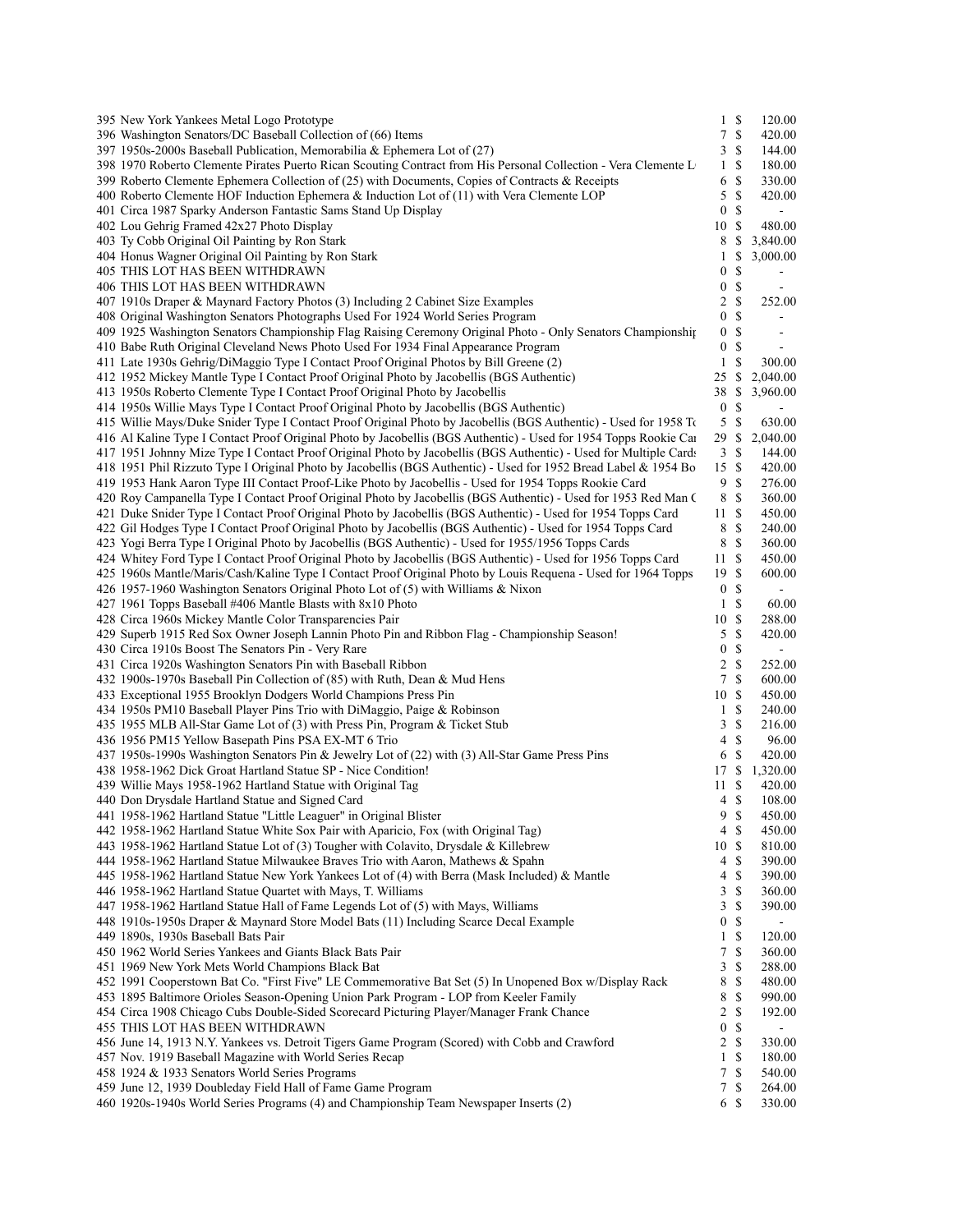| 395 New York Yankees Metal Logo Prototype                                                                                                                                          | $1 \text{ } s$   |               | 120.00                   |  |
|------------------------------------------------------------------------------------------------------------------------------------------------------------------------------------|------------------|---------------|--------------------------|--|
| 396 Washington Senators/DC Baseball Collection of (66) Items                                                                                                                       | 7                | \$            | 420.00                   |  |
| 397 1950s-2000s Baseball Publication, Memorabilia & Ephemera Lot of (27)                                                                                                           | 3                | \$            | 144.00                   |  |
| 398 1970 Roberto Clemente Pirates Puerto Rican Scouting Contract from His Personal Collection - Vera Clemente L                                                                    | $\mathbf{1}$     | -S            | 180.00                   |  |
| 399 Roberto Clemente Ephemera Collection of $(25)$ with Documents, Copies of Contracts & Receipts                                                                                  | 6                | S             | 330.00                   |  |
| 400 Roberto Clemente HOF Induction Ephemera & Induction Lot of (11) with Vera Clemente LOP                                                                                         | 5                | $\mathbb{S}$  | 420.00                   |  |
| 401 Circa 1987 Sparky Anderson Fantastic Sams Stand Up Display                                                                                                                     | $\bf{0}$         | \$            | $\blacksquare$           |  |
| 402 Lou Gehrig Framed 42x27 Photo Display                                                                                                                                          | 10               | -S            | 480.00                   |  |
| 403 Ty Cobb Original Oil Painting by Ron Stark                                                                                                                                     | 8                | \$.           | 3,840.00                 |  |
| 404 Honus Wagner Original Oil Painting by Ron Stark                                                                                                                                | 1                | \$            | 3,000.00                 |  |
| 405 THIS LOT HAS BEEN WITHDRAWN                                                                                                                                                    | $\mathbf{0}$     | \$            |                          |  |
| 406 THIS LOT HAS BEEN WITHDRAWN                                                                                                                                                    | $\bf{0}$         | \$            |                          |  |
| 407 1910s Draper & Maynard Factory Photos (3) Including 2 Cabinet Size Examples                                                                                                    | 2                | \$            | 252.00                   |  |
| 408 Original Washington Senators Photographs Used For 1924 World Series Program                                                                                                    | $\boldsymbol{0}$ | S             | $\overline{a}$           |  |
| 409 1925 Washington Senators Championship Flag Raising Ceremony Original Photo - Only Senators Championship                                                                        | $\bf{0}$         | \$            | $\overline{\phantom{a}}$ |  |
| 410 Babe Ruth Original Cleveland News Photo Used For 1934 Final Appearance Program                                                                                                 | $\boldsymbol{0}$ | \$            |                          |  |
| 411 Late 1930s Gehrig/DiMaggio Type I Contact Proof Original Photos by Bill Greene (2)<br>412 1952 Mickey Mantle Type I Contact Proof Original Photo by Jacobellis (BGS Authentic) | 1<br>25          | \$<br>\$      | 300.00<br>2,040.00       |  |
| 413 1950s Roberto Clemente Type I Contact Proof Original Photo by Jacobellis                                                                                                       | 38               | \$            | 3,960.00                 |  |
| 414 1950s Willie Mays Type I Contact Proof Original Photo by Jacobellis (BGS Authentic)                                                                                            | $\bf{0}$         | \$            |                          |  |
| 415 Willie Mays/Duke Snider Type I Contact Proof Original Photo by Jacobellis (BGS Authentic) - Used for 1958 To                                                                   | 5                | \$            | 630.00                   |  |
| 416 Al Kaline Type I Contact Proof Original Photo by Jacobellis (BGS Authentic) - Used for 1954 Topps Rookie Car                                                                   | 29               | \$            | 2,040.00                 |  |
| 417 1951 Johnny Mize Type I Contact Proof Original Photo by Jacobellis (BGS Authentic) - Used for Multiple Cards                                                                   | 3                | \$            | 144.00                   |  |
| 418 1951 Phil Rizzuto Type I Original Photo by Jacobellis (BGS Authentic) - Used for 1952 Bread Label & 1954 Bo                                                                    | 15               | -S            | 420.00                   |  |
| 419 1953 Hank Aaron Type III Contact Proof-Like Photo by Jacobellis - Used for 1954 Topps Rookie Card                                                                              | 9                | S             | 276.00                   |  |
| 420 Roy Campanella Type I Contact Proof Original Photo by Jacobellis (BGS Authentic) - Used for 1953 Red Man C                                                                     | 8                | \$            | 360.00                   |  |
| 421 Duke Snider Type I Contact Proof Original Photo by Jacobellis (BGS Authentic) - Used for 1954 Topps Card                                                                       | 11               | \$            | 450.00                   |  |
| 422 Gil Hodges Type I Contact Proof Original Photo by Jacobellis (BGS Authentic) - Used for 1954 Topps Card                                                                        | 8                | S             | 240.00                   |  |
| 423 Yogi Berra Type I Original Photo by Jacobellis (BGS Authentic) - Used for 1955/1956 Topps Cards                                                                                | 8                | \$            | 360.00                   |  |
| 424 Whitey Ford Type I Contact Proof Original Photo by Jacobellis (BGS Authentic) - Used for 1956 Topps Card                                                                       | 11               | \$            | 450.00                   |  |
| 425 1960s Mantle/Maris/Cash/Kaline Type I Contact Proof Original Photo by Louis Requena - Used for 1964 Topps                                                                      | 19               | \$            | 600.00                   |  |
| 426 1957-1960 Washington Senators Original Photo Lot of (5) with Williams & Nixon                                                                                                  | $\bf{0}$         | S             | $\blacksquare$           |  |
| 427 1961 Topps Baseball #406 Mantle Blasts with 8x10 Photo                                                                                                                         | 1                | S             | 60.00                    |  |
| 428 Circa 1960s Mickey Mantle Color Transparencies Pair                                                                                                                            | 10               | \$            | 288.00                   |  |
| 429 Superb 1915 Red Sox Owner Joseph Lannin Photo Pin and Ribbon Flag - Championship Season!                                                                                       | 5                | S             | 420.00                   |  |
| 430 Circa 1910s Boost The Senators Pin - Very Rare                                                                                                                                 | $\bf{0}$         | \$            | $\blacksquare$           |  |
| 431 Circa 1920s Washington Senators Pin with Baseball Ribbon                                                                                                                       | 2                | S             | 252.00                   |  |
| 432 1900s-1970s Baseball Pin Collection of (85) with Ruth, Dean & Mud Hens                                                                                                         | 7                | S             | 600.00                   |  |
| 433 Exceptional 1955 Brooklyn Dodgers World Champions Press Pin                                                                                                                    | 10               | -S            | 450.00                   |  |
| 434 1950s PM10 Baseball Player Pins Trio with DiMaggio, Paige & Robinson                                                                                                           | 1                | \$            | 240.00                   |  |
| 435 1955 MLB All-Star Game Lot of (3) with Press Pin, Program & Ticket Stub                                                                                                        | 3                | S             | 216.00                   |  |
| 436 1956 PM15 Yellow Basepath Pins PSA EX-MT 6 Trio                                                                                                                                | 4                | \$            | 96.00                    |  |
| 437 1950s-1990s Washington Senators Pin & Jewelry Lot of (22) with (3) All-Star Game Press Pins                                                                                    | 6                | S             | 420.00                   |  |
| 438 1958-1962 Dick Groat Hartland Statue SP - Nice Condition!                                                                                                                      | 17 S<br>11       | $\mathbb{S}$  | 1,320.00                 |  |
| 439 Willie Mays 1958-1962 Hartland Statue with Original Tag<br>440 Don Drysdale Hartland Statue and Signed Card                                                                    | 4 \$             |               | 420.00<br>108.00         |  |
| 441 1958-1962 Hartland Statue "Little Leaguer" in Original Blister                                                                                                                 | 9S               |               | 450.00                   |  |
| 442 1958-1962 Hartland Statue White Sox Pair with Aparicio, Fox (with Original Tag)                                                                                                | 4 \$             |               | 450.00                   |  |
| 443 1958-1962 Hartland Statue Lot of (3) Tougher with Colavito, Drysdale & Killebrew                                                                                               | 10S              |               | 810.00                   |  |
| 444 1958-1962 Hartland Statue Milwaukee Braves Trio with Aaron, Mathews & Spahn                                                                                                    | 4                | $\mathbb{S}$  | 390.00                   |  |
| 445 1958-1962 Hartland Statue New York Yankees Lot of (4) with Berra (Mask Included) & Mantle                                                                                      | 4                | \$            | 390.00                   |  |
| 446 1958-1962 Hartland Statue Quartet with Mays, T. Williams                                                                                                                       | 3                | \$            | 360.00                   |  |
| 447 1958-1962 Hartland Statue Hall of Fame Legends Lot of (5) with Mays, Williams                                                                                                  | 3                | \$            | 390.00                   |  |
| 448 1910s-1950s Draper & Maynard Store Model Bats (11) Including Scarce Decal Example                                                                                              | $\mathbf{0}$     | \$            |                          |  |
| 449 1890s, 1930s Baseball Bats Pair                                                                                                                                                | 1                | \$            | 120.00                   |  |
| 450 1962 World Series Yankees and Giants Black Bats Pair                                                                                                                           | 7                | S             | 360.00                   |  |
| 451 1969 New York Mets World Champions Black Bat                                                                                                                                   | 3                | \$            | 288.00                   |  |
| 452 1991 Cooperstown Bat Co. "First Five" LE Commemorative Bat Set (5) In Unopened Box w/Display Rack                                                                              | 8                | \$            | 480.00                   |  |
| 453 1895 Baltimore Orioles Season-Opening Union Park Program - LOP from Keeler Family                                                                                              | 8                | S             | 990.00                   |  |
| 454 Circa 1908 Chicago Cubs Double-Sided Scorecard Picturing Player/Manager Frank Chance                                                                                           | $\overline{2}$   | \$            | 192.00                   |  |
| 455 THIS LOT HAS BEEN WITHDRAWN                                                                                                                                                    | $\boldsymbol{0}$ | \$            | $\overline{\phantom{a}}$ |  |
| 456 June 14, 1913 N.Y. Yankees vs. Detroit Tigers Game Program (Scored) with Cobb and Crawford                                                                                     | 2                | S             | 330.00                   |  |
| 457 Nov. 1919 Baseball Magazine with World Series Recap                                                                                                                            | $\mathbf{1}$     | <sup>\$</sup> | 180.00                   |  |
| 458 1924 & 1933 Senators World Series Programs                                                                                                                                     | 7                | \$            | 540.00                   |  |
| 459 June 12, 1939 Doubleday Field Hall of Fame Game Program                                                                                                                        | 7                | \$            | 264.00                   |  |
| 460 1920s-1940s World Series Programs (4) and Championship Team Newspaper Inserts (2)                                                                                              | 6 \$             |               | 330.00                   |  |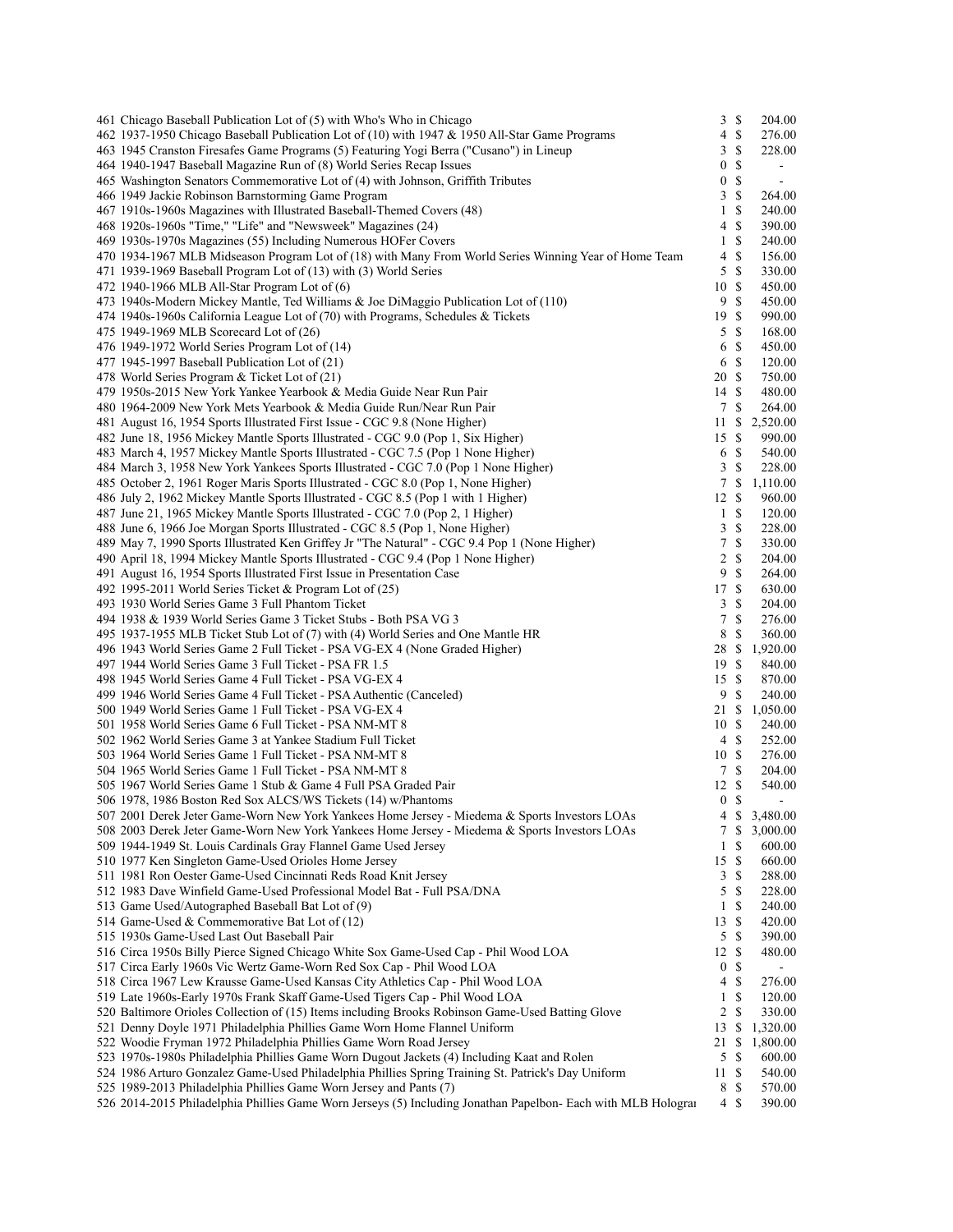| 461 Chicago Baseball Publication Lot of (5) with Who's Who in Chicago                                         | 3                | \$            | 204.00                   |
|---------------------------------------------------------------------------------------------------------------|------------------|---------------|--------------------------|
| 462 1937-1950 Chicago Baseball Publication Lot of (10) with 1947 & 1950 All-Star Game Programs                | 4                | \$            | 276.00                   |
| 463 1945 Cranston Firesafes Game Programs (5) Featuring Yogi Berra ("Cusano") in Lineup                       | 3                | \$            | 228.00                   |
| 464 1940-1947 Baseball Magazine Run of (8) World Series Recap Issues                                          | 0                | \$            | $\sim$                   |
| 465 Washington Senators Commemorative Lot of (4) with Johnson, Griffith Tributes                              | 0                | \$            | $\blacksquare$           |
| 466 1949 Jackie Robinson Barnstorming Game Program                                                            | 3                | \$            | 264.00                   |
| 467 1910s-1960s Magazines with Illustrated Baseball-Themed Covers (48)                                        | 1                | $\mathbb{S}$  | 240.00                   |
| 468 1920s-1960s "Time," "Life" and "Newsweek" Magazines (24)                                                  | 4                | <sup>\$</sup> | 390.00                   |
| 469 1930s-1970s Magazines (55) Including Numerous HOFer Covers                                                | 1                | $\mathbb{S}$  | 240.00                   |
| 470 1934-1967 MLB Midseason Program Lot of (18) with Many From World Series Winning Year of Home Team         | 4                | <sup>\$</sup> | 156.00                   |
| 471 1939-1969 Baseball Program Lot of (13) with (3) World Series                                              | 5                | <sup>\$</sup> | 330.00                   |
| 472 1940-1966 MLB All-Star Program Lot of (6)                                                                 | 10               | <sup>\$</sup> | 450.00                   |
| 473 1940s-Modern Mickey Mantle, Ted Williams & Joe DiMaggio Publication Lot of (110)                          | 9                | $\mathbb{S}$  | 450.00                   |
| 474 1940s-1960s California League Lot of (70) with Programs, Schedules & Tickets                              | 19               | <sup>\$</sup> | 990.00                   |
| 475 1949-1969 MLB Scorecard Lot of (26)                                                                       | 5                | S             | 168.00                   |
| 476 1949-1972 World Series Program Lot of (14)                                                                | 6                | \$            | 450.00                   |
| 477 1945-1997 Baseball Publication Lot of (21)                                                                | 6                | \$            | 120.00                   |
|                                                                                                               |                  | -S            |                          |
| 478 World Series Program & Ticket Lot of (21)                                                                 | 20               |               | 750.00                   |
| 479 1950s-2015 New York Yankee Yearbook & Media Guide Near Run Pair                                           | 14               | <sup>\$</sup> | 480.00                   |
| 480 1964-2009 New York Mets Yearbook & Media Guide Run/Near Run Pair                                          | 7                | S             | 264.00                   |
| 481 August 16, 1954 Sports Illustrated First Issue - CGC 9.8 (None Higher)                                    | 11               | \$            | 2,520.00                 |
| 482 June 18, 1956 Mickey Mantle Sports Illustrated - CGC 9.0 (Pop 1, Six Higher)                              | 15               | S             | 990.00                   |
| 483 March 4, 1957 Mickey Mantle Sports Illustrated - CGC 7.5 (Pop 1 None Higher)                              | 6                | \$            | 540.00                   |
| 484 March 3, 1958 New York Yankees Sports Illustrated - CGC 7.0 (Pop 1 None Higher)                           | 3                | \$            | 228.00                   |
| 485 October 2, 1961 Roger Maris Sports Illustrated - CGC 8.0 (Pop 1, None Higher)                             | 7                | \$            | 1,110.00                 |
| 486 July 2, 1962 Mickey Mantle Sports Illustrated - CGC 8.5 (Pop 1 with 1 Higher)                             | 12               | \$            | 960.00                   |
| 487 June 21, 1965 Mickey Mantle Sports Illustrated - CGC 7.0 (Pop 2, 1 Higher)                                | $\mathbf{1}$     | S             | 120.00                   |
| 488 June 6, 1966 Joe Morgan Sports Illustrated - CGC 8.5 (Pop 1, None Higher)                                 | 3                | \$            | 228.00                   |
| 489 May 7, 1990 Sports Illustrated Ken Griffey Jr "The Natural" - CGC 9.4 Pop 1 (None Higher)                 | 7                | \$            | 330.00                   |
| 490 April 18, 1994 Mickey Mantle Sports Illustrated - CGC 9.4 (Pop 1 None Higher)                             | 2                | \$            | 204.00                   |
| 491 August 16, 1954 Sports Illustrated First Issue in Presentation Case                                       | 9                | \$            | 264.00                   |
| 492 1995-2011 World Series Ticket & Program Lot of (25)                                                       | 17               | <sup>\$</sup> | 630.00                   |
| 493 1930 World Series Game 3 Full Phantom Ticket                                                              | 3                | \$            | 204.00                   |
| 494 1938 & 1939 World Series Game 3 Ticket Stubs - Both PSA VG 3                                              | 7                | \$            | 276.00                   |
| 495 1937-1955 MLB Ticket Stub Lot of (7) with (4) World Series and One Mantle HR                              | 8                | \$            | 360.00                   |
| 496 1943 World Series Game 2 Full Ticket - PSA VG-EX 4 (None Graded Higher)                                   | 28               | \$            | 1,920.00                 |
| 497 1944 World Series Game 3 Full Ticket - PSA FR 1.5                                                         | 19               | S             | 840.00                   |
|                                                                                                               | 15               | S             | 870.00                   |
| 498 1945 World Series Game 4 Full Ticket - PSA VG-EX 4                                                        |                  |               |                          |
| 499 1946 World Series Game 4 Full Ticket - PSA Authentic (Canceled)                                           | 9                | <sup>\$</sup> | 240.00                   |
| 500 1949 World Series Game 1 Full Ticket - PSA VG-EX 4                                                        | 21 \$            |               | 1,050.00                 |
| 501 1958 World Series Game 6 Full Ticket - PSA NM-MT 8                                                        | 10               | $\mathbb{S}$  | 240.00                   |
| 502 1962 World Series Game 3 at Yankee Stadium Full Ticket                                                    | 4                | <sup>\$</sup> | 252.00                   |
| 503 1964 World Series Game 1 Full Ticket - PSA NM-MT 8                                                        | 10S              |               | 276.00                   |
| 504 1965 World Series Game 1 Full Ticket - PSA NM-MT 8                                                        | 7                | S             | 204.00                   |
| 505 1967 World Series Game 1 Stub & Game 4 Full PSA Graded Pair                                               | 12               | S             | 540.00                   |
| 506 1978, 1986 Boston Red Sox ALCS/WS Tickets (14) w/Phantoms                                                 | $\mathbf{0}$     | S             | $\overline{\phantom{a}}$ |
| 507 2001 Derek Jeter Game-Worn New York Yankees Home Jersey - Miedema & Sports Investors LOAs                 | 4                | -S            | 3,480.00                 |
| 508 2003 Derek Jeter Game-Worn New York Yankees Home Jersey - Miedema & Sports Investors LOAs                 | 7                | \$            | 3,000.00                 |
| 509 1944-1949 St. Louis Cardinals Gray Flannel Game Used Jersey                                               | $\mathbf{1}$     | S             | 600.00                   |
| 510 1977 Ken Singleton Game-Used Orioles Home Jersey                                                          | 15               | \$            | 660.00                   |
| 511 1981 Ron Oester Game-Used Cincinnati Reds Road Knit Jersey                                                | 3                | \$            | 288.00                   |
| 512 1983 Dave Winfield Game-Used Professional Model Bat - Full PSA/DNA                                        | 5                | S             | 228.00                   |
| 513 Game Used/Autographed Baseball Bat Lot of (9)                                                             | $\mathbf{1}$     | S             | 240.00                   |
| 514 Game-Used & Commemorative Bat Lot of (12)                                                                 | 13               | S             | 420.00                   |
| 515 1930s Game-Used Last Out Baseball Pair                                                                    | 5                | \$            | 390.00                   |
| 516 Circa 1950s Billy Pierce Signed Chicago White Sox Game-Used Cap - Phil Wood LOA                           | 12               | <sup>\$</sup> | 480.00                   |
| 517 Circa Early 1960s Vic Wertz Game-Worn Red Sox Cap - Phil Wood LOA                                         | $\boldsymbol{0}$ | \$            |                          |
| 518 Circa 1967 Lew Krausse Game-Used Kansas City Athletics Cap - Phil Wood LOA                                | 4                | S             | 276.00                   |
| 519 Late 1960s-Early 1970s Frank Skaff Game-Used Tigers Cap - Phil Wood LOA                                   | $\mathbf{1}$     | \$            | 120.00                   |
| 520 Baltimore Orioles Collection of (15) Items including Brooks Robinson Game-Used Batting Glove              | 2                | \$            | 330.00                   |
| 521 Denny Doyle 1971 Philadelphia Phillies Game Worn Home Flannel Uniform                                     | 13               | \$            | 1,320.00                 |
| 522 Woodie Fryman 1972 Philadelphia Phillies Game Worn Road Jersey                                            | 21               | \$            | 1,800.00                 |
| 523 1970s-1980s Philadelphia Phillies Game Worn Dugout Jackets (4) Including Kaat and Rolen                   | 5                |               | 600.00                   |
|                                                                                                               |                  | \$            |                          |
| 524 1986 Arturo Gonzalez Game-Used Philadelphia Phillies Spring Training St. Patrick's Day Uniform            | 11               | S             | 540.00                   |
| 525 1989-2013 Philadelphia Phillies Game Worn Jersey and Pants (7)                                            | 8                | \$            | 570.00                   |
| 526 2014-2015 Philadelphia Phillies Game Worn Jerseys (5) Including Jonathan Papelbon- Each with MLB Holograi |                  | 4S            | 390.00                   |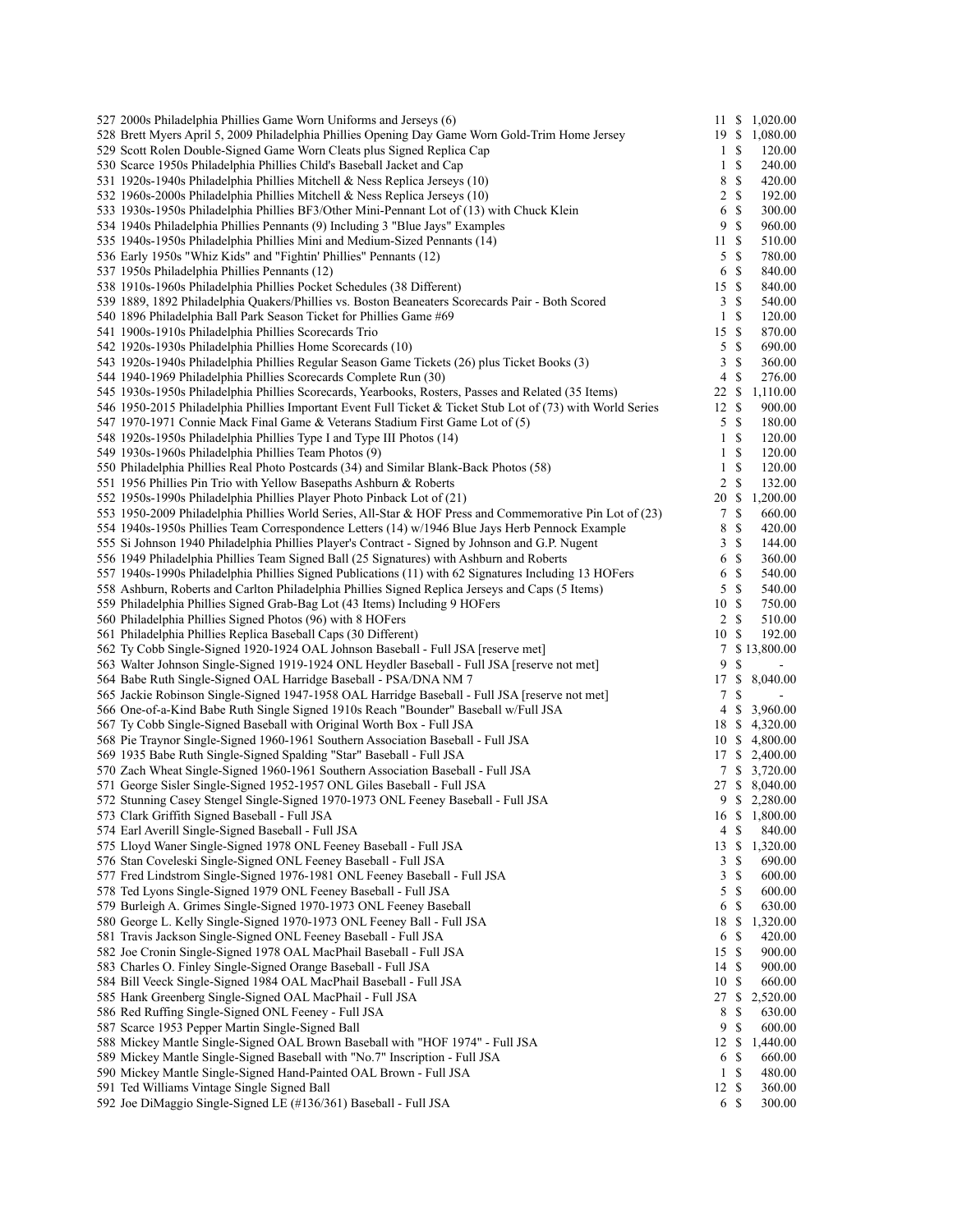| 527 2000s Philadelphia Phillies Game Worn Uniforms and Jerseys (6)                                              | 11             |               | \$1,020.00       |
|-----------------------------------------------------------------------------------------------------------------|----------------|---------------|------------------|
| 528 Brett Myers April 5, 2009 Philadelphia Phillies Opening Day Game Worn Gold-Trim Home Jersey                 | 19S            |               | 1,080.00         |
| 529 Scott Rolen Double-Signed Game Worn Cleats plus Signed Replica Cap                                          | $\mathbf{1}$   | S             | 120.00           |
| 530 Scarce 1950s Philadelphia Phillies Child's Baseball Jacket and Cap                                          | 1              | S             | 240.00           |
| 531 1920s-1940s Philadelphia Phillies Mitchell & Ness Replica Jerseys (10)                                      | 8              | \$            | 420.00           |
| 532 1960s-2000s Philadelphia Phillies Mitchell & Ness Replica Jerseys (10)                                      | 2              | <sup>\$</sup> | 192.00           |
| 533 1930s-1950s Philadelphia Phillies BF3/Other Mini-Pennant Lot of (13) with Chuck Klein                       | 6              | \$            | 300.00           |
|                                                                                                                 |                |               |                  |
| 534 1940s Philadelphia Phillies Pennants (9) Including 3 "Blue Jays" Examples                                   | 9              | <sup>\$</sup> | 960.00           |
| 535 1940s-1950s Philadelphia Phillies Mini and Medium-Sized Pennants (14)                                       | 11             | \$            | 510.00           |
| 536 Early 1950s "Whiz Kids" and "Fightin' Phillies" Pennants (12)                                               | 5              | \$            | 780.00           |
| 537 1950s Philadelphia Phillies Pennants (12)                                                                   | 6              | <sup>\$</sup> | 840.00           |
| 538 1910s-1960s Philadelphia Phillies Pocket Schedules (38 Different)                                           | 15             | \$            | 840.00           |
| 539 1889, 1892 Philadelphia Quakers/Phillies vs. Boston Beaneaters Scorecards Pair - Both Scored                | 3              | <sup>\$</sup> | 540.00           |
| 540 1896 Philadelphia Ball Park Season Ticket for Phillies Game #69                                             | 1              | S             | 120.00           |
| 541 1900s-1910s Philadelphia Phillies Scorecards Trio                                                           | 15             | \$            | 870.00           |
| 542 1920s-1930s Philadelphia Phillies Home Scorecards (10)                                                      | 5              | \$            | 690.00           |
|                                                                                                                 |                |               |                  |
| 543 1920s-1940s Philadelphia Phillies Regular Season Game Tickets (26) plus Ticket Books (3)                    | 3              | \$            | 360.00           |
| 544 1940-1969 Philadelphia Phillies Scorecards Complete Run (30)                                                | 4              | S             | 276.00           |
| 545 1930s-1950s Philadelphia Phillies Scorecards, Yearbooks, Rosters, Passes and Related (35 Items)             | 22             | \$            | 1,110.00         |
| 546 1950-2015 Philadelphia Phillies Important Event Full Ticket & Ticket Stub Lot of (73) with World Series     | 12             | S             | 900.00           |
| 547 1970-1971 Connie Mack Final Game & Veterans Stadium First Game Lot of (5)                                   | 5              | $\mathbb{S}$  | 180.00           |
| 548 1920s-1950s Philadelphia Phillies Type I and Type III Photos (14)                                           | $\mathbf{1}$   | <sup>\$</sup> | 120.00           |
| 549 1930s-1960s Philadelphia Phillies Team Photos (9)                                                           | 1              | \$            | 120.00           |
|                                                                                                                 | 1              | <sup>\$</sup> |                  |
| 550 Philadelphia Phillies Real Photo Postcards (34) and Similar Blank-Back Photos (58)                          |                |               | 120.00           |
| 551 1956 Phillies Pin Trio with Yellow Basepaths Ashburn & Roberts                                              | 2              | \$            | 132.00           |
| 552 1950s-1990s Philadelphia Phillies Player Photo Pinback Lot of (21)                                          | 20             | \$            | 1,200.00         |
| 553 1950-2009 Philadelphia Phillies World Series, All-Star & HOF Press and Commemorative Pin Lot of (23)        | 7              | \$            | 660.00           |
| 554 1940s-1950s Phillies Team Correspondence Letters (14) w/1946 Blue Jays Herb Pennock Example                 | 8              | \$            | 420.00           |
| 555 Si Johnson 1940 Philadelphia Phillies Player's Contract - Signed by Johnson and G.P. Nugent                 | 3              | $\mathbb{S}$  | 144.00           |
| 556 1949 Philadelphia Phillies Team Signed Ball (25 Signatures) with Ashburn and Roberts                        | 6              | <sup>\$</sup> | 360.00           |
| 557 1940s-1990s Philadelphia Phillies Signed Publications (11) with 62 Signatures Including 13 HOFers           | 6              | \$            | 540.00           |
|                                                                                                                 |                |               |                  |
| 558 Ashburn, Roberts and Carlton Philadelphia Phillies Signed Replica Jerseys and Caps (5 Items)                | 5              | <sup>\$</sup> | 540.00           |
| 559 Philadelphia Phillies Signed Grab-Bag Lot (43 Items) Including 9 HOFers                                     | 10             | \$            | 750.00           |
| 560 Philadelphia Phillies Signed Photos (96) with 8 HOFers                                                      | $\overline{2}$ | <sup>\$</sup> | 510.00           |
| 561 Philadelphia Phillies Replica Baseball Caps (30 Different)                                                  | 10             | S             | 192.00           |
| 562 Ty Cobb Single-Signed 1920-1924 OAL Johnson Baseball - Full JSA [reserve met]                               | 7              |               | \$13,800.00      |
| 563 Walter Johnson Single-Signed 1919-1924 ONL Heydler Baseball - Full JSA [reserve not met]                    | 9              | S             |                  |
| 564 Babe Ruth Single-Signed OAL Harridge Baseball - PSA/DNA NM 7                                                | 17             | \$            | 8,040.00         |
| 565 Jackie Robinson Single-Signed 1947-1958 OAL Harridge Baseball - Full JSA [reserve not met]                  | 7              | S             |                  |
|                                                                                                                 |                |               |                  |
| 566 One-of-a-Kind Babe Ruth Single Signed 1910s Reach "Bounder" Baseball w/Full JSA                             | 4              | S             | 3,960.00         |
| 567 Ty Cobb Single-Signed Baseball with Original Worth Box - Full JSA                                           | 18 S           |               | 4,320.00         |
| 568 Pie Traynor Single-Signed 1960-1961 Southern Association Baseball - Full JSA                                |                |               | 10 \$ 4,800.00   |
| 569 1935 Babe Ruth Single-Signed Spalding "Star" Baseball - Full JSA                                            | 17             |               | \$2,400.00       |
| 570 Zach Wheat Single-Signed 1960-1961 Southern Association Baseball - Full JSA                                 |                |               | 7 \$ 3,720.00    |
| 571 George Sisler Single-Signed 1952-1957 ONL Giles Baseball - Full JSA                                         |                |               | 27 \$ 8,040.00   |
| 572 Stunning Casey Stengel Single-Signed 1970-1973 ONL Feeney Baseball - Full JSA                               |                |               | 9 \$ 2,280.00    |
| 573 Clark Griffith Signed Baseball - Full JSA                                                                   |                |               | 16 \$ 1,800.00   |
|                                                                                                                 |                |               |                  |
| 574 Earl Averill Single-Signed Baseball - Full JSA                                                              | 4              | \$            | 840.00           |
| 575 Lloyd Waner Single-Signed 1978 ONL Feeney Baseball - Full JSA                                               | 13             | \$            | 1,320.00         |
| 576 Stan Coveleski Single-Signed ONL Feeney Baseball - Full JSA                                                 | 3              | \$            | 690.00           |
| 577 Fred Lindstrom Single-Signed 1976-1981 ONL Feeney Baseball - Full JSA                                       | 3              | \$            | 600.00           |
| 578 Ted Lyons Single-Signed 1979 ONL Feeney Baseball - Full JSA                                                 | 5              | S             | 600.00           |
| 579 Burleigh A. Grimes Single-Signed 1970-1973 ONL Feeney Baseball                                              | 6              | S             | 630.00           |
| 580 George L. Kelly Single-Signed 1970-1973 ONL Feeney Ball - Full JSA                                          | 18             | \$            | 1,320.00         |
| 581 Travis Jackson Single-Signed ONL Feeney Baseball - Full JSA                                                 | 6              | S             | 420.00           |
|                                                                                                                 |                |               |                  |
| 582 Joe Cronin Single-Signed 1978 OAL MacPhail Baseball - Full JSA                                              | 15             | \$            | 900.00           |
| 583 Charles O. Finley Single-Signed Orange Baseball - Full JSA                                                  | 14             | <sup>\$</sup> | 900.00           |
| 584 Bill Veeck Single-Signed 1984 OAL MacPhail Baseball - Full JSA                                              | 10             | S             | 660.00           |
| 585 Hank Greenberg Single-Signed OAL MacPhail - Full JSA                                                        | 27             | \$            | 2,520.00         |
| 586 Red Ruffing Single-Signed ONL Feeney - Full JSA                                                             | 8              | S             | 630.00           |
| 587 Scarce 1953 Pepper Martin Single-Signed Ball                                                                | 9              | \$            | 600.00           |
| 588 Mickey Mantle Single-Signed OAL Brown Baseball with "HOF 1974" - Full JSA                                   | 12             | \$            | 1,440.00         |
| 589 Mickey Mantle Single-Signed Baseball with "No.7" Inscription - Full JSA                                     | 6              | S             | 660.00           |
|                                                                                                                 |                | \$            |                  |
| 590 Mickey Mantle Single-Signed Hand-Painted OAL Brown - Full JSA                                               | $\mathbf{1}$   |               | 480.00           |
|                                                                                                                 |                |               |                  |
| 591 Ted Williams Vintage Single Signed Ball<br>592 Joe DiMaggio Single-Signed LE (#136/361) Baseball - Full JSA | 12             | S<br>6 \$     | 360.00<br>300.00 |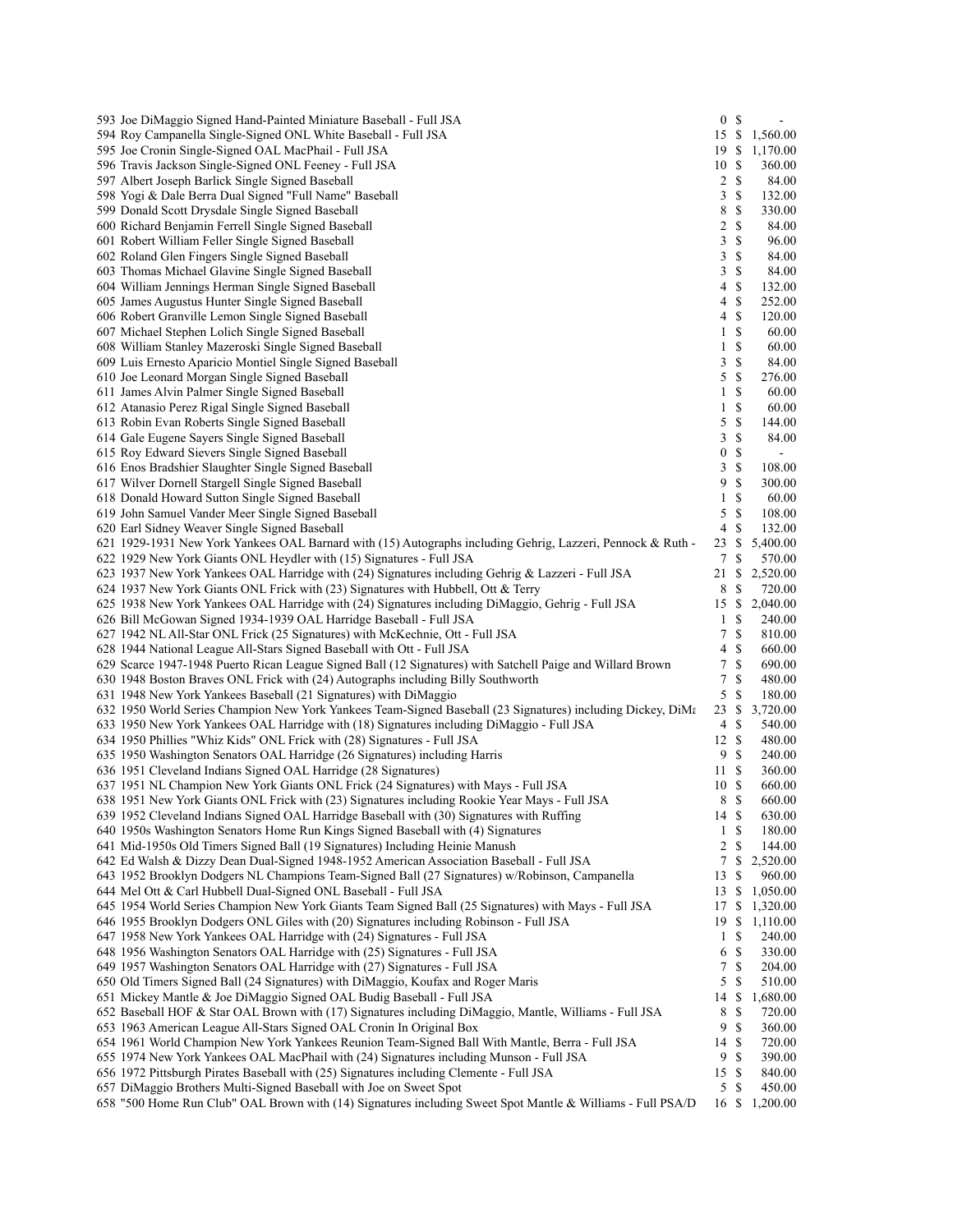| 593 Joe DiMaggio Signed Hand-Painted Miniature Baseball - Full JSA                                          | 0 <sup>5</sup>   |               |                          |
|-------------------------------------------------------------------------------------------------------------|------------------|---------------|--------------------------|
| 594 Roy Campanella Single-Signed ONL White Baseball - Full JSA                                              | 15               | \$            | 1,560.00                 |
| 595 Joe Cronin Single-Signed OAL MacPhail - Full JSA                                                        | 19               | -S            | 1,170.00                 |
| 596 Travis Jackson Single-Signed ONL Feeney - Full JSA                                                      | 10               | $\mathbb{S}$  | 360.00                   |
| 597 Albert Joseph Barlick Single Signed Baseball                                                            | 2                | S             | 84.00                    |
| 598 Yogi & Dale Berra Dual Signed "Full Name" Baseball                                                      | 3                | $\mathbb{S}$  | 132.00                   |
| 599 Donald Scott Drysdale Single Signed Baseball                                                            | 8                | $\mathbb{S}$  | 330.00                   |
| 600 Richard Benjamin Ferrell Single Signed Baseball                                                         | 2                | $\mathbb S$   | 84.00                    |
| 601 Robert William Feller Single Signed Baseball                                                            | 3                | $\mathbb{S}$  | 96.00                    |
| 602 Roland Glen Fingers Single Signed Baseball                                                              | 3                | <sup>\$</sup> | 84.00                    |
| 603 Thomas Michael Glavine Single Signed Baseball                                                           | 3                | $\mathbb{S}$  | 84.00                    |
| 604 William Jennings Herman Single Signed Baseball                                                          | 4                | $\mathbb{S}$  | 132.00                   |
| 605 James Augustus Hunter Single Signed Baseball                                                            | 4                | $\mathbb{S}$  | 252.00                   |
| 606 Robert Granville Lemon Single Signed Baseball                                                           | 4                | $\mathbb{S}$  | 120.00                   |
| 607 Michael Stephen Lolich Single Signed Baseball                                                           | 1                | <sup>\$</sup> | 60.00                    |
| 608 William Stanley Mazeroski Single Signed Baseball                                                        | $\mathbf{1}$     | $\mathbb S$   | 60.00                    |
| 609 Luis Ernesto Aparicio Montiel Single Signed Baseball                                                    | 3                | $\mathbb{S}$  | 84.00                    |
|                                                                                                             | 5                | $\mathbb S$   |                          |
| 610 Joe Leonard Morgan Single Signed Baseball                                                               |                  |               | 276.00                   |
| 611 James Alvin Palmer Single Signed Baseball                                                               | 1                | <sup>\$</sup> | 60.00                    |
| 612 Atanasio Perez Rigal Single Signed Baseball                                                             | $\mathbf{1}$     | $\mathbb{S}$  | 60.00                    |
| 613 Robin Evan Roberts Single Signed Baseball                                                               | 5                | $\mathbb S$   | 144.00                   |
| 614 Gale Eugene Sayers Single Signed Baseball                                                               | 3                | $\mathbb{S}$  | 84.00                    |
| 615 Roy Edward Sievers Single Signed Baseball                                                               | $\boldsymbol{0}$ | $\mathbb{S}$  | $\overline{\phantom{a}}$ |
| 616 Enos Bradshier Slaughter Single Signed Baseball                                                         | 3                | $\mathbb{S}$  | 108.00                   |
| 617 Wilver Dornell Stargell Single Signed Baseball                                                          | 9                | <sup>\$</sup> | 300.00                   |
| 618 Donald Howard Sutton Single Signed Baseball                                                             | $\mathbf{1}$     | $\mathbb{S}$  | 60.00                    |
| 619 John Samuel Vander Meer Single Signed Baseball                                                          | 5                | <sup>\$</sup> | 108.00                   |
| 620 Earl Sidney Weaver Single Signed Baseball                                                               | 4                | $\mathbb{S}$  | 132.00                   |
| 621 1929-1931 New York Yankees OAL Barnard with (15) Autographs including Gehrig, Lazzeri, Pennock & Ruth - | 23               | <sup>\$</sup> | 5,400.00                 |
| 622 1929 New York Giants ONL Heydler with (15) Signatures - Full JSA                                        | $7\phantom{.0}$  | $\mathbb{S}$  | 570.00                   |
| 623 1937 New York Yankees OAL Harridge with (24) Signatures including Gehrig & Lazzeri - Full JSA           | 21               | \$            | 2,520.00                 |
| 624 1937 New York Giants ONL Frick with (23) Signatures with Hubbell, Ott & Terry                           | 8                | $\mathbb{S}$  | 720.00                   |
| 625 1938 New York Yankees OAL Harridge with (24) Signatures including DiMaggio, Gehrig - Full JSA           | 15               | \$            | 2,040.00                 |
| 626 Bill McGowan Signed 1934-1939 OAL Harridge Baseball - Full JSA                                          | $\mathbf{1}$     | \$            | 240.00                   |
| 627 1942 NL All-Star ONL Frick (25 Signatures) with McKechnie, Ott - Full JSA                               | 7                | $\mathbf S$   | 810.00                   |
| 628 1944 National League All-Stars Signed Baseball with Ott - Full JSA                                      | 4                | $\mathbb{S}$  | 660.00                   |
| 629 Scarce 1947-1948 Puerto Rican League Signed Ball (12 Signatures) with Satchell Paige and Willard Brown  | 7                | $\mathbb{S}$  | 690.00                   |
| 630 1948 Boston Braves ONL Frick with (24) Autographs including Billy Southworth                            | 7                | $\mathbf S$   | 480.00                   |
| 631 1948 New York Yankees Baseball (21 Signatures) with DiMaggio                                            | 5                | $\mathbf S$   | 180.00                   |
| 632 1950 World Series Champion New York Yankees Team-Signed Baseball (23 Signatures) including Dickey, DiMa | 23               | \$            | 3,720.00                 |
| 633 1950 New York Yankees OAL Harridge with (18) Signatures including DiMaggio - Full JSA                   | 4                | $\mathbb{S}$  | 540.00                   |
| 634 1950 Phillies "Whiz Kids" ONL Frick with (28) Signatures - Full JSA                                     | 12               | $\mathbb{S}$  |                          |
|                                                                                                             |                  | <sup>\$</sup> | 480.00                   |
| 635 1950 Washington Senators OAL Harridge (26 Signatures) including Harris                                  | 9                |               | 240.00                   |
| 636 1951 Cleveland Indians Signed OAL Harridge (28 Signatures)                                              | 11               | S             | 360.00                   |
| 637 1951 NL Champion New York Giants ONL Frick (24 Signatures) with Mays - Full JSA                         | 10               | $\mathbb{S}$  | 660.00                   |
| 638 1951 New York Giants ONL Frick with (23) Signatures including Rookie Year Mays - Full JSA               | 8 \$             |               | 660.00                   |
| 639 1952 Cleveland Indians Signed OAL Harridge Baseball with (30) Signatures with Ruffing                   | 14 S             |               | 630.00                   |
| 640 1950s Washington Senators Home Run Kings Signed Baseball with (4) Signatures                            | 1                | S             | 180.00                   |
| 641 Mid-1950s Old Timers Signed Ball (19 Signatures) Including Heinie Manush                                | $\overline{c}$   | $\mathbb{S}$  | 144.00                   |
| 642 Ed Walsh & Dizzy Dean Dual-Signed 1948-1952 American Association Baseball - Full JSA                    | 7                | \$            | 2,520.00                 |
| 643 1952 Brooklyn Dodgers NL Champions Team-Signed Ball (27 Signatures) w/Robinson, Campanella              | 13               | S             | 960.00                   |
| 644 Mel Ott & Carl Hubbell Dual-Signed ONL Baseball - Full JSA                                              | 13               | \$            | 1,050.00                 |
| 645 1954 World Series Champion New York Giants Team Signed Ball (25 Signatures) with Mays - Full JSA        | 17               | \$            | 1,320.00                 |
| 646 1955 Brooklyn Dodgers ONL Giles with (20) Signatures including Robinson - Full JSA                      | 19               | \$            | 1,110.00                 |
| 647 1958 New York Yankees OAL Harridge with (24) Signatures - Full JSA                                      | $\mathbf{1}$     | \$            | 240.00                   |
| 648 1956 Washington Senators OAL Harridge with (25) Signatures - Full JSA                                   | 6                | <sup>\$</sup> | 330.00                   |
| 649 1957 Washington Senators OAL Harridge with (27) Signatures - Full JSA                                   | 7                | <sup>\$</sup> | 204.00                   |
| 650 Old Timers Signed Ball (24 Signatures) with DiMaggio, Koufax and Roger Maris                            | 5                | <sup>\$</sup> | 510.00                   |
| 651 Mickey Mantle & Joe DiMaggio Signed OAL Budig Baseball - Full JSA                                       | 14               | \$            | 1,680.00                 |
| 652 Baseball HOF & Star OAL Brown with (17) Signatures including DiMaggio, Mantle, Williams - Full JSA      | 8                | \$            | 720.00                   |
| 653 1963 American League All-Stars Signed OAL Cronin In Original Box                                        | 9                | $\mathbb{S}$  | 360.00                   |
| 654 1961 World Champion New York Yankees Reunion Team-Signed Ball With Mantle, Berra - Full JSA             | 14               | <sup>\$</sup> | 720.00                   |
| 655 1974 New York Yankees OAL MacPhail with (24) Signatures including Munson - Full JSA                     | 9                | <sup>\$</sup> | 390.00                   |
|                                                                                                             | 15               | $\mathbb{S}$  |                          |
| 656 1972 Pittsburgh Pirates Baseball with (25) Signatures including Clemente - Full JSA                     |                  |               | 840.00                   |
| 657 DiMaggio Brothers Multi-Signed Baseball with Joe on Sweet Spot                                          | 5                | \$            | 450.00                   |
| 658 "500 Home Run Club" OAL Brown with (14) Signatures including Sweet Spot Mantle & Williams - Full PSA/D  |                  |               | 16 \$ 1,200.00           |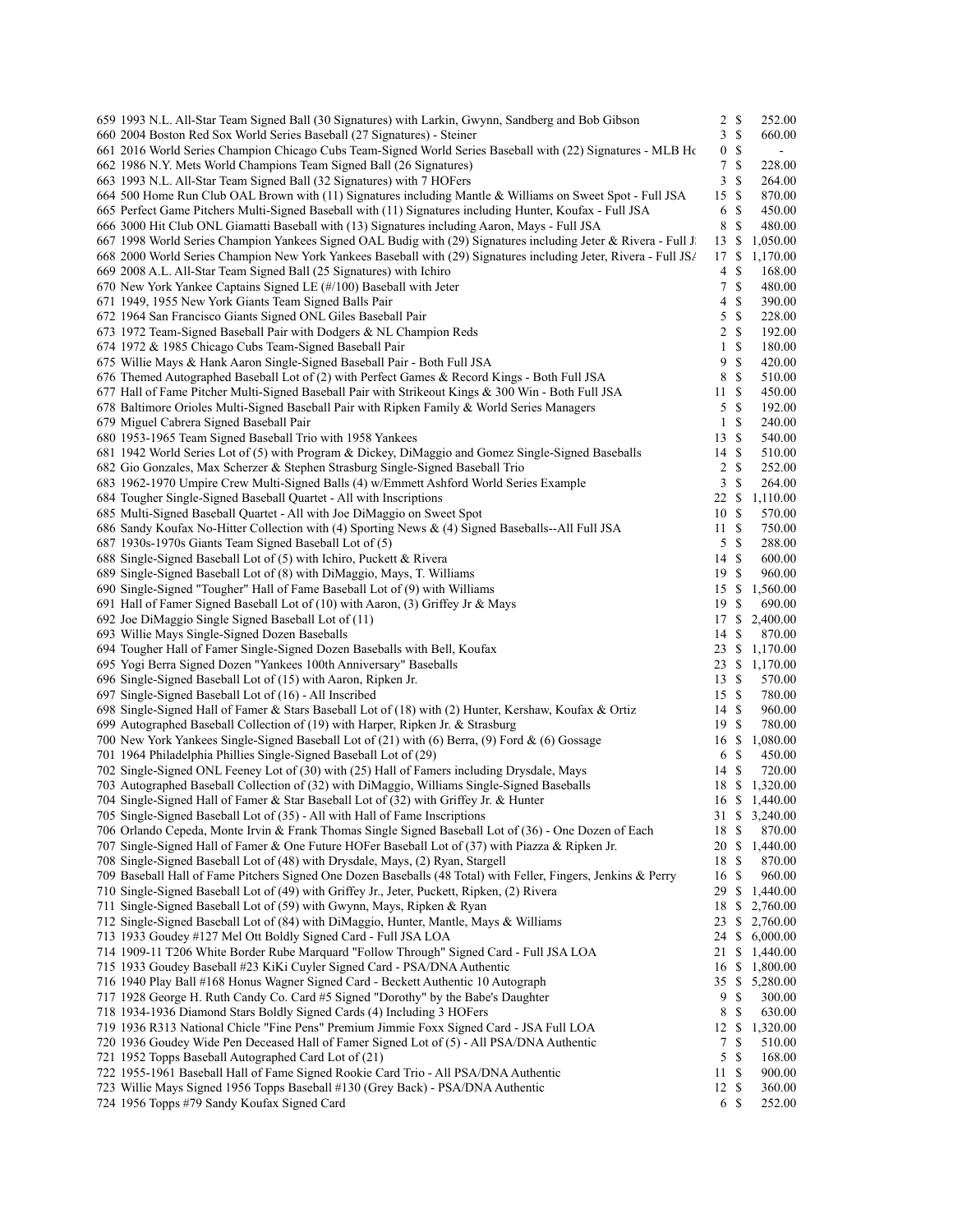| 659 1993 N.L. All-Star Team Signed Ball (30 Signatures) with Larkin, Gwynn, Sandberg and Bob Gibson                                                                   | $2 \sqrt{s}$     |               | 252.00                   |
|-----------------------------------------------------------------------------------------------------------------------------------------------------------------------|------------------|---------------|--------------------------|
| 660 2004 Boston Red Sox World Series Baseball (27 Signatures) - Steiner                                                                                               | 3S               |               | 660.00                   |
| 661 2016 World Series Champion Chicago Cubs Team-Signed World Series Baseball with (22) Signatures - MLB Ho                                                           | 0 <sup>5</sup>   |               | $\overline{\phantom{a}}$ |
| 662 1986 N.Y. Mets World Champions Team Signed Ball (26 Signatures)                                                                                                   | 7S               |               | 228.00                   |
| 663 1993 N.L. All-Star Team Signed Ball (32 Signatures) with 7 HOFers                                                                                                 | 3                | -S            | 264.00                   |
| 664 500 Home Run Club OAL Brown with (11) Signatures including Mantle & Williams on Sweet Spot - Full JSA                                                             | 15S              |               | 870.00                   |
| 665 Perfect Game Pitchers Multi-Signed Baseball with (11) Signatures including Hunter, Koufax - Full JSA                                                              | 6                | - \$          | 450.00                   |
| 666 3000 Hit Club ONL Giamatti Baseball with (13) Signatures including Aaron, Mays - Full JSA                                                                         | 8                | $\mathbb{S}$  | 480.00                   |
| 667 1998 World Series Champion Yankees Signed OAL Budig with (29) Signatures including Jeter & Rivera - Full J                                                        | 13 \$            |               | 1,050.00                 |
| 668 2000 World Series Champion New York Yankees Baseball with (29) Signatures including Jeter, Rivera - Full JS/                                                      | 17S              |               | 1,170.00                 |
| 669 2008 A.L. All-Star Team Signed Ball (25 Signatures) with Ichiro<br>670 New York Yankee Captains Signed LE (#/100) Baseball with Jeter                             | 4<br>7S          | <sup>\$</sup> | 168.00<br>480.00         |
| 671 1949, 1955 New York Giants Team Signed Balls Pair                                                                                                                 | 4                | <sup>\$</sup> | 390.00                   |
| 672 1964 San Francisco Giants Signed ONL Giles Baseball Pair                                                                                                          | 5S               |               | 228.00                   |
| 673 1972 Team-Signed Baseball Pair with Dodgers & NL Champion Reds                                                                                                    | 2 S              |               | 192.00                   |
| 674 1972 & 1985 Chicago Cubs Team-Signed Baseball Pair                                                                                                                | $1 \sqrt{s}$     |               | 180.00                   |
| 675 Willie Mays & Hank Aaron Single-Signed Baseball Pair - Both Full JSA                                                                                              | 9                | -S            | 420.00                   |
| 676 Themed Autographed Baseball Lot of (2) with Perfect Games & Record Kings - Both Full JSA                                                                          | 8                | - S           | 510.00                   |
| 677 Hall of Fame Pitcher Multi-Signed Baseball Pair with Strikeout Kings & 300 Win - Both Full JSA                                                                    | 11S              |               | 450.00                   |
| 678 Baltimore Orioles Multi-Signed Baseball Pair with Ripken Family & World Series Managers                                                                           | 5S               |               | 192.00                   |
| 679 Miguel Cabrera Signed Baseball Pair                                                                                                                               | 1S               |               | 240.00                   |
| 680 1953-1965 Team Signed Baseball Trio with 1958 Yankees                                                                                                             | 13S              |               | 540.00                   |
| 681 1942 World Series Lot of (5) with Program & Dickey, DiMaggio and Gomez Single-Signed Baseballs                                                                    | 14S              |               | 510.00                   |
| 682 Gio Gonzales, Max Scherzer & Stephen Strasburg Single-Signed Baseball Trio                                                                                        | $2 \sqrt{s}$     |               | 252.00                   |
| 683 1962-1970 Umpire Crew Multi-Signed Balls (4) w/Emmett Ashford World Series Example                                                                                | $\mathfrak{Z}$   | -S            | 264.00                   |
| 684 Tougher Single-Signed Baseball Quartet - All with Inscriptions                                                                                                    | 22 \$            |               | 1,110.00                 |
| 685 Multi-Signed Baseball Quartet - All with Joe DiMaggio on Sweet Spot                                                                                               | 10S              |               | 570.00                   |
| 686 Sandy Koufax No-Hitter Collection with (4) Sporting News & (4) Signed Baseballs--All Full JSA                                                                     | 11S              |               | 750.00                   |
| 687 1930s-1970s Giants Team Signed Baseball Lot of (5)                                                                                                                | 5S               |               | 288.00                   |
| 688 Single-Signed Baseball Lot of (5) with Ichiro, Puckett & Rivera                                                                                                   | 14S              |               | 600.00                   |
| 689 Single-Signed Baseball Lot of (8) with DiMaggio, Mays, T. Williams                                                                                                | 19S              |               | 960.00                   |
| 690 Single-Signed "Tougher" Hall of Fame Baseball Lot of (9) with Williams                                                                                            |                  |               | 15 \$ 1,560.00           |
| 691 Hall of Famer Signed Baseball Lot of (10) with Aaron, (3) Griffey Jr & Mays<br>692 Joe DiMaggio Single Signed Baseball Lot of (11)                                | 19S              |               | 690.00<br>17 \$ 2,400.00 |
| 693 Willie Mays Single-Signed Dozen Baseballs                                                                                                                         | 14S              |               | 870.00                   |
| 694 Tougher Hall of Famer Single-Signed Dozen Baseballs with Bell, Koufax                                                                                             |                  |               | 23 \$ 1,170.00           |
| 695 Yogi Berra Signed Dozen "Yankees 100th Anniversary" Baseballs                                                                                                     | 23S              |               | 1,170.00                 |
| 696 Single-Signed Baseball Lot of (15) with Aaron, Ripken Jr.                                                                                                         | 13S              |               | 570.00                   |
| 697 Single-Signed Baseball Lot of (16) - All Inscribed                                                                                                                | 15S              |               | 780.00                   |
| 698 Single-Signed Hall of Famer & Stars Baseball Lot of (18) with (2) Hunter, Kershaw, Koufax & Ortiz                                                                 | 14S              |               | 960.00                   |
| 699 Autographed Baseball Collection of (19) with Harper, Ripken Jr. & Strasburg                                                                                       | 19S              |               | 780.00                   |
| 700 New York Yankees Single-Signed Baseball Lot of (21) with (6) Berra, (9) Ford & (6) Gossage                                                                        | 16 \$            |               | 1,080.00                 |
| 701 1964 Philadelphia Phillies Single-Signed Baseball Lot of (29)                                                                                                     | 6 \$             |               | 450.00                   |
| 702 Single-Signed ONL Feeney Lot of (30) with (25) Hall of Famers including Drysdale, Mays                                                                            | 14S              |               | 720.00                   |
| 703 Autographed Baseball Collection of (32) with DiMaggio, Williams Single-Signed Baseballs                                                                           |                  |               | 18 \$ 1,320.00           |
| 704 Single-Signed Hall of Famer & Star Baseball Lot of (32) with Griffey Jr. & Hunter                                                                                 |                  |               | 16 \$ 1,440.00           |
| 705 Single-Signed Baseball Lot of (35) - All with Hall of Fame Inscriptions                                                                                           |                  |               | 31 \$ 3,240.00           |
| 706 Orlando Cepeda, Monte Irvin & Frank Thomas Single Signed Baseball Lot of (36) - One Dozen of Each                                                                 | 18 \$            |               | 870.00                   |
| 707 Single-Signed Hall of Famer & One Future HOFer Baseball Lot of (37) with Piazza & Ripken Jr.                                                                      | 20 \$            |               | 1,440.00                 |
| 708 Single-Signed Baseball Lot of (48) with Drysdale, Mays, (2) Ryan, Stargell                                                                                        | 18 \$            |               | 870.00                   |
| 709 Baseball Hall of Fame Pitchers Signed One Dozen Baseballs (48 Total) with Feller, Fingers, Jenkins & Perry                                                        | 16 \$            |               | 960.00                   |
| 710 Single-Signed Baseball Lot of (49) with Griffey Jr., Jeter, Puckett, Ripken, (2) Rivera<br>711 Single-Signed Baseball Lot of (59) with Gwynn, Mays, Ripken & Ryan | 29S<br>18        | \$            | 1,440.00<br>2,760.00     |
| 712 Single-Signed Baseball Lot of (84) with DiMaggio, Hunter, Mantle, Mays & Williams                                                                                 | 23               | \$            | 2,760.00                 |
| 713 1933 Goudey #127 Mel Ott Boldly Signed Card - Full JSA LOA                                                                                                        | 24 \$            |               | 6,000.00                 |
| 714 1909-11 T206 White Border Rube Marquard "Follow Through" Signed Card - Full JSA LOA                                                                               | 21               |               | \$1,440.00               |
| 715 1933 Goudey Baseball #23 KiKi Cuyler Signed Card - PSA/DNA Authentic                                                                                              | 16 \$            |               | 1,800.00                 |
| 716 1940 Play Ball #168 Honus Wagner Signed Card - Beckett Authentic 10 Autograph                                                                                     |                  |               | 35 \$ 5,280.00           |
| 717 1928 George H. Ruth Candy Co. Card #5 Signed "Dorothy" by the Babe's Daughter                                                                                     | 9                | \$            | 300.00                   |
| 718 1934-1936 Diamond Stars Boldly Signed Cards (4) Including 3 HOFers                                                                                                | 8 \$             |               | 630.00                   |
| 719 1936 R313 National Chicle "Fine Pens" Premium Jimmie Foxx Signed Card - JSA Full LOA                                                                              | $12 \text{ }$ \$ |               | 1,320.00                 |
| 720 1936 Goudey Wide Pen Deceased Hall of Famer Signed Lot of (5) - All PSA/DNA Authentic                                                                             | $7\phantom{.0}$  | \$            | 510.00                   |
| 721 1952 Topps Baseball Autographed Card Lot of (21)                                                                                                                  | 5                | <sup>\$</sup> | 168.00                   |
| 722 1955-1961 Baseball Hall of Fame Signed Rookie Card Trio - All PSA/DNA Authentic                                                                                   | 11 \$            |               | 900.00                   |
| 723 Willie Mays Signed 1956 Topps Baseball #130 (Grey Back) - PSA/DNA Authentic                                                                                       | 12S              |               | 360.00                   |
| 724 1956 Topps #79 Sandy Koufax Signed Card                                                                                                                           | 6S               |               | 252.00                   |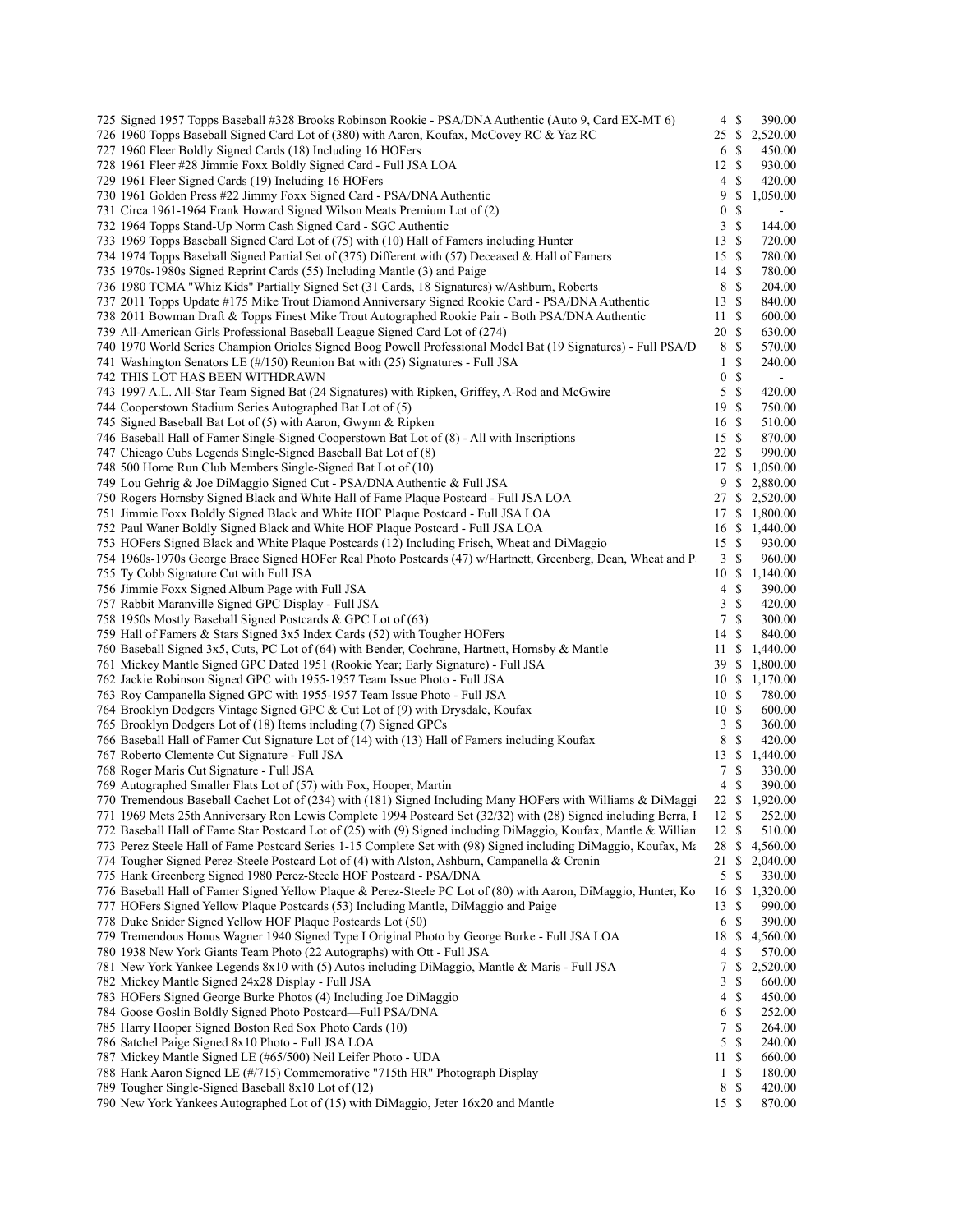| 725 Signed 1957 Topps Baseball #328 Brooks Robinson Rookie - PSA/DNA Authentic (Auto 9, Card EX-MT 6)            | $\overline{4}$   | -S            | 390.00         |
|------------------------------------------------------------------------------------------------------------------|------------------|---------------|----------------|
| 726 1960 Topps Baseball Signed Card Lot of (380) with Aaron, Koufax, McCovey RC & Yaz RC                         | 25               | - S           | 2,520.00       |
| 727 1960 Fleer Boldly Signed Cards (18) Including 16 HOFers                                                      | 6 \$             |               | 450.00         |
| 728 1961 Fleer #28 Jimmie Foxx Boldly Signed Card - Full JSA LOA                                                 | 12S              |               | 930.00         |
| 729 1961 Fleer Signed Cards (19) Including 16 HOFers                                                             | 4                | S             | 420.00         |
| 730 1961 Golden Press #22 Jimmy Foxx Signed Card - PSA/DNA Authentic                                             | 9                | \$            | 1,050.00       |
| 731 Circa 1961-1964 Frank Howard Signed Wilson Meats Premium Lot of (2)                                          | $\bf{0}$         | \$            |                |
| 732 1964 Topps Stand-Up Norm Cash Signed Card - SGC Authentic                                                    | 3                | $\mathbb{S}$  | 144.00         |
| 733 1969 Topps Baseball Signed Card Lot of (75) with (10) Hall of Famers including Hunter                        | 13S              |               | 720.00         |
| 734 1974 Topps Baseball Signed Partial Set of (375) Different with (57) Deceased & Hall of Famers                | 15S              |               | 780.00         |
| 735 1970s-1980s Signed Reprint Cards (55) Including Mantle (3) and Paige                                         | 14S              |               | 780.00         |
| 736 1980 TCMA "Whiz Kids" Partially Signed Set (31 Cards, 18 Signatures) w/Ashburn, Roberts                      | 8                | S             | 204.00         |
| 737 2011 Topps Update #175 Mike Trout Diamond Anniversary Signed Rookie Card - PSA/DNA Authentic                 | 13S              |               | 840.00         |
| 738 2011 Bowman Draft & Topps Finest Mike Trout Autographed Rookie Pair - Both PSA/DNA Authentic                 | 11               | S             | 600.00         |
| 739 All-American Girls Professional Baseball League Signed Card Lot of (274)                                     | 20 \$            |               | 630.00         |
|                                                                                                                  | 8                |               |                |
| 740 1970 World Series Champion Orioles Signed Boog Powell Professional Model Bat (19 Signatures) - Full PSA/D    |                  | \$            | 570.00         |
| 741 Washington Senators LE (#/150) Reunion Bat with (25) Signatures - Full JSA                                   | $\mathbf{1}$     | $\mathbb{S}$  | 240.00         |
| 742 THIS LOT HAS BEEN WITHDRAWN                                                                                  | $\boldsymbol{0}$ | \$            | $\blacksquare$ |
| 743 1997 A.L. All-Star Team Signed Bat (24 Signatures) with Ripken, Griffey, A-Rod and McGwire                   | 5                | $\mathbb{S}$  | 420.00         |
| 744 Cooperstown Stadium Series Autographed Bat Lot of (5)                                                        | 19               | <sup>\$</sup> | 750.00         |
| 745 Signed Baseball Bat Lot of (5) with Aaron, Gwynn & Ripken                                                    | 16 \$            |               | 510.00         |
| 746 Baseball Hall of Famer Single-Signed Cooperstown Bat Lot of (8) - All with Inscriptions                      | 15S              |               | 870.00         |
| 747 Chicago Cubs Legends Single-Signed Baseball Bat Lot of (8)                                                   | 22               | - \$          | 990.00         |
| 748 500 Home Run Club Members Single-Signed Bat Lot of (10)                                                      | 17               | \$            | 1,050.00       |
| 749 Lou Gehrig & Joe DiMaggio Signed Cut - PSA/DNA Authentic & Full JSA                                          | 9                |               | \$2,880.00     |
| 750 Rogers Hornsby Signed Black and White Hall of Fame Plaque Postcard - Full JSA LOA                            |                  |               | 27 \$ 2,520.00 |
| 751 Jimmie Foxx Boldly Signed Black and White HOF Plaque Postcard - Full JSA LOA                                 | 17               |               | \$1,800.00     |
| 752 Paul Waner Boldly Signed Black and White HOF Plaque Postcard - Full JSA LOA                                  |                  |               | 16 \$ 1,440.00 |
| 753 HOFers Signed Black and White Plaque Postcards (12) Including Frisch, Wheat and DiMaggio                     | 15S              |               | 930.00         |
| 754 1960s-1970s George Brace Signed HOFer Real Photo Postcards (47) w/Hartnett, Greenberg, Dean, Wheat and P     | 3S               |               | 960.00         |
| 755 Ty Cobb Signature Cut with Full JSA                                                                          |                  |               | 10 \$ 1,140.00 |
| 756 Jimmie Foxx Signed Album Page with Full JSA                                                                  | 4                | -S            | 390.00         |
| 757 Rabbit Maranville Signed GPC Display - Full JSA                                                              | 3                | $\mathbb{S}$  | 420.00         |
| 758 1950s Mostly Baseball Signed Postcards & GPC Lot of (63)                                                     | 7                | \$            | 300.00         |
| 759 Hall of Famers & Stars Signed 3x5 Index Cards (52) with Tougher HOFers                                       | 14               | \$            | 840.00         |
| 760 Baseball Signed 3x5, Cuts, PC Lot of (64) with Bender, Cochrane, Hartnett, Hornsby & Mantle                  | 11               | \$            | 1,440.00       |
| 761 Mickey Mantle Signed GPC Dated 1951 (Rookie Year; Early Signature) - Full JSA                                | 39               |               | \$1,800.00     |
| 762 Jackie Robinson Signed GPC with 1955-1957 Team Issue Photo - Full JSA                                        |                  |               | 10 \$ 1,170.00 |
| 763 Roy Campanella Signed GPC with 1955-1957 Team Issue Photo - Full JSA                                         | 10S              |               | 780.00         |
| 764 Brooklyn Dodgers Vintage Signed GPC & Cut Lot of (9) with Drysdale, Koufax                                   | 10S              |               | 600.00         |
| 765 Brooklyn Dodgers Lot of (18) Items including (7) Signed GPCs                                                 | 3                | \$            | 360.00         |
| 766 Baseball Hall of Famer Cut Signature Lot of (14) with (13) Hall of Famers including Koufax                   | 8                | $\mathbb{S}$  | 420.00         |
| 767 Roberto Clemente Cut Signature - Full JSA                                                                    | 13               |               | \$1,440.00     |
| 768 Roger Maris Cut Signature - Full JSA                                                                         | 7                | \$            | 330.00         |
| 769 Autographed Smaller Flats Lot of (57) with Fox, Hooper, Martin                                               | 4                | \$            | 390.00         |
| 770 Tremendous Baseball Cachet Lot of (234) with (181) Signed Including Many HOFers with Williams & DiMaggi      |                  |               | 22 \$ 1,920.00 |
| 771 1969 Mets 25th Anniversary Ron Lewis Complete 1994 Postcard Set (32/32) with (28) Signed including Berra, I  | 12               | S             | 252.00         |
| 772 Baseball Hall of Fame Star Postcard Lot of (25) with (9) Signed including DiMaggio, Koufax, Mantle & Willian | 12               | \$            | 510.00         |
| 773 Perez Steele Hall of Fame Postcard Series 1-15 Complete Set with (98) Signed including DiMaggio, Koufax, Ma  | 28               | \$            | 4,560.00       |
| 774 Tougher Signed Perez-Steele Postcard Lot of (4) with Alston, Ashburn, Campanella & Cronin                    | 21               | \$            | 2,040.00       |
| 775 Hank Greenberg Signed 1980 Perez-Steele HOF Postcard - PSA/DNA                                               | 5                | $\mathbb{S}$  | 330.00         |
| 776 Baseball Hall of Famer Signed Yellow Plaque & Perez-Steele PC Lot of (80) with Aaron, DiMaggio, Hunter, Ko   | 16               | -S            | 1,320.00       |
| 777 HOFers Signed Yellow Plaque Postcards (53) Including Mantle, DiMaggio and Paige                              | 13               | \$            | 990.00         |
| 778 Duke Snider Signed Yellow HOF Plaque Postcards Lot (50)                                                      | 6S               |               | 390.00         |
| 779 Tremendous Honus Wagner 1940 Signed Type I Original Photo by George Burke - Full JSA LOA                     | 18               | \$            | 4,560.00       |
| 780 1938 New York Giants Team Photo (22 Autographs) with Ott - Full JSA                                          | 4                | \$            | 570.00         |
| 781 New York Yankee Legends 8x10 with (5) Autos including DiMaggio, Mantle & Maris - Full JSA                    | 7                | \$            | 2,520.00       |
| 782 Mickey Mantle Signed 24x28 Display - Full JSA                                                                | 3                | \$            | 660.00         |
| 783 HOFers Signed George Burke Photos (4) Including Joe DiMaggio                                                 | 4                | S             | 450.00         |
| 784 Goose Goslin Boldly Signed Photo Postcard—Full PSA/DNA                                                       | 6                | \$            | 252.00         |
| 785 Harry Hooper Signed Boston Red Sox Photo Cards (10)                                                          | 7                | \$            | 264.00         |
| 786 Satchel Paige Signed 8x10 Photo - Full JSA LOA                                                               | 5                | \$            | 240.00         |
| 787 Mickey Mantle Signed LE (#65/500) Neil Leifer Photo - UDA                                                    | 11S              |               | 660.00         |
| 788 Hank Aaron Signed LE (#/715) Commemorative "715th HR" Photograph Display                                     | $\mathbf{1}$     | \$            | 180.00         |
| 789 Tougher Single-Signed Baseball 8x10 Lot of (12)                                                              | 8                | \$            | 420.00         |
| 790 New York Yankees Autographed Lot of (15) with DiMaggio, Jeter 16x20 and Mantle                               | 15S              |               | 870.00         |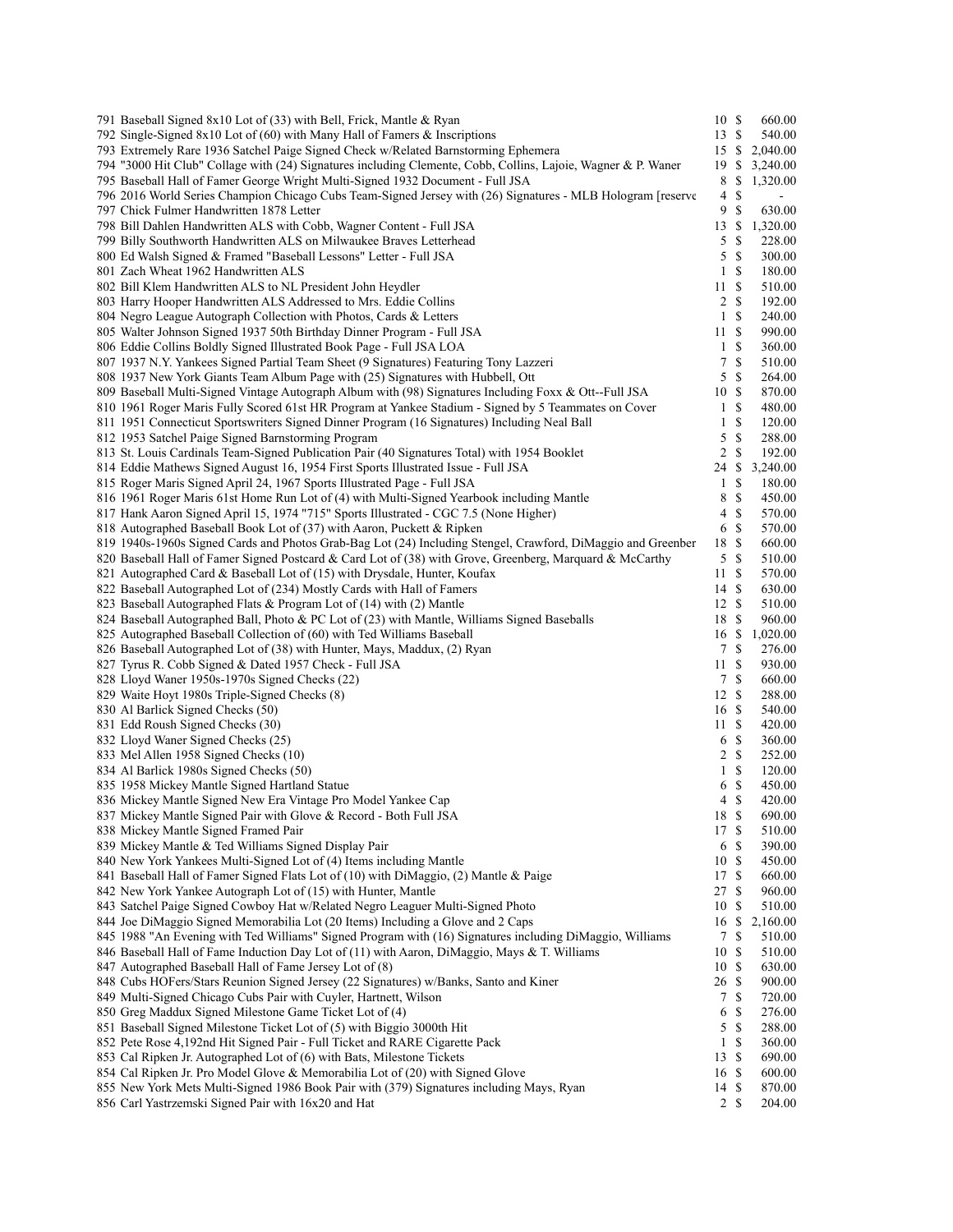| 791 Baseball Signed 8x10 Lot of (33) with Bell, Frick, Mantle & Ryan                                          | 10S            |               | 660.00   |
|---------------------------------------------------------------------------------------------------------------|----------------|---------------|----------|
| 792 Single-Signed 8x10 Lot of (60) with Many Hall of Famers & Inscriptions                                    | 13             | $\mathbb{S}$  | 540.00   |
| 793 Extremely Rare 1936 Satchel Paige Signed Check w/Related Barnstorming Ephemera                            | 15             | \$            | 2,040.00 |
| 794 "3000 Hit Club" Collage with (24) Signatures including Clemente, Cobb, Collins, Lajoie, Wagner & P. Waner | 19             | \$            | 3,240.00 |
| 795 Baseball Hall of Famer George Wright Multi-Signed 1932 Document - Full JSA                                | 8              | \$.           | 1,320.00 |
| 796 2016 World Series Champion Chicago Cubs Team-Signed Jersey with (26) Signatures - MLB Hologram [reserve   | $\overline{4}$ | \$            |          |
| 797 Chick Fulmer Handwritten 1878 Letter                                                                      | 9              | <sup>\$</sup> | 630.00   |
| 798 Bill Dahlen Handwritten ALS with Cobb, Wagner Content - Full JSA                                          | 13             | \$            | 1,320.00 |
| 799 Billy Southworth Handwritten ALS on Milwaukee Braves Letterhead                                           | 5              | S             | 228.00   |
| 800 Ed Walsh Signed & Framed "Baseball Lessons" Letter - Full JSA                                             | 5              | <sup>\$</sup> | 300.00   |
| 801 Zach Wheat 1962 Handwritten ALS                                                                           | $\mathbf{1}$   | <sup>\$</sup> | 180.00   |
| 802 Bill Klem Handwritten ALS to NL President John Heydler                                                    | 11             | $\mathbb{S}$  | 510.00   |
| 803 Harry Hooper Handwritten ALS Addressed to Mrs. Eddie Collins                                              | 2              | <sup>\$</sup> | 192.00   |
| 804 Negro League Autograph Collection with Photos, Cards & Letters                                            | $\mathbf{1}$   | <sup>\$</sup> | 240.00   |
| 805 Walter Johnson Signed 1937 50th Birthday Dinner Program - Full JSA                                        | 11             | <sup>\$</sup> | 990.00   |
|                                                                                                               |                |               |          |
| 806 Eddie Collins Boldly Signed Illustrated Book Page - Full JSA LOA                                          | 1              | S             | 360.00   |
| 807 1937 N.Y. Yankees Signed Partial Team Sheet (9 Signatures) Featuring Tony Lazzeri                         | 7              | S             | 510.00   |
| 808 1937 New York Giants Team Album Page with (25) Signatures with Hubbell, Ott                               | 5              | $\mathbb{S}$  | 264.00   |
| 809 Baseball Multi-Signed Vintage Autograph Album with (98) Signatures Including Foxx & Ott--Full JSA         | 10             | <sup>\$</sup> | 870.00   |
| 810 1961 Roger Maris Fully Scored 61st HR Program at Yankee Stadium - Signed by 5 Teammates on Cover          | $\mathbf{1}$   | $\mathbb{S}$  | 480.00   |
| 811 1951 Connecticut Sportswriters Signed Dinner Program (16 Signatures) Including Neal Ball                  | $\mathbf{1}$   | S             | 120.00   |
| 812 1953 Satchel Paige Signed Barnstorming Program                                                            | 5              | $\mathbb{S}$  | 288.00   |
| 813 St. Louis Cardinals Team-Signed Publication Pair (40 Signatures Total) with 1954 Booklet                  | 2              | <sup>\$</sup> | 192.00   |
| 814 Eddie Mathews Signed August 16, 1954 First Sports Illustrated Issue - Full JSA                            | 24             | \$            | 3,240.00 |
| 815 Roger Maris Signed April 24, 1967 Sports Illustrated Page - Full JSA                                      | $\mathbf{1}$   | $\mathbb{S}$  | 180.00   |
| 816 1961 Roger Maris 61st Home Run Lot of (4) with Multi-Signed Yearbook including Mantle                     | 8              | $\mathbb{S}$  | 450.00   |
| 817 Hank Aaron Signed April 15, 1974 "715" Sports Illustrated - CGC 7.5 (None Higher)                         | 4              | <sup>\$</sup> | 570.00   |
| 818 Autographed Baseball Book Lot of (37) with Aaron, Puckett & Ripken                                        | 6              | <sup>\$</sup> | 570.00   |
| 819 1940s-1960s Signed Cards and Photos Grab-Bag Lot (24) Including Stengel, Crawford, DiMaggio and Greenber  | 18             | $\mathbb{S}$  | 660.00   |
| 820 Baseball Hall of Famer Signed Postcard & Card Lot of (38) with Grove, Greenberg, Marquard & McCarthy      |                | 5S            | 510.00   |
| 821 Autographed Card & Baseball Lot of (15) with Drysdale, Hunter, Koufax                                     | 11             | $\mathbb{S}$  | 570.00   |
| 822 Baseball Autographed Lot of (234) Mostly Cards with Hall of Famers                                        | 14S            |               | 630.00   |
| 823 Baseball Autographed Flats & Program Lot of (14) with (2) Mantle                                          | 12 \$          |               | 510.00   |
|                                                                                                               |                |               |          |
| 824 Baseball Autographed Ball, Photo & PC Lot of (23) with Mantle, Williams Signed Baseballs                  | 18             | -S            | 960.00   |
| 825 Autographed Baseball Collection of (60) with Ted Williams Baseball                                        | 16             | \$            | 1,020.00 |
| 826 Baseball Autographed Lot of (38) with Hunter, Mays, Maddux, (2) Ryan                                      | $\tau$         | $\mathbb{S}$  | 276.00   |
| 827 Tyrus R. Cobb Signed & Dated 1957 Check - Full JSA                                                        | 11             | \$            | 930.00   |
| 828 Lloyd Waner 1950s-1970s Signed Checks (22)                                                                | $\tau$         | $\mathbb{S}$  | 660.00   |
| 829 Waite Hoyt 1980s Triple-Signed Checks (8)                                                                 | 12             | <sup>\$</sup> | 288.00   |
| 830 Al Barlick Signed Checks (50)                                                                             | 16 \$          |               | 540.00   |
| 831 Edd Roush Signed Checks (30)                                                                              | 11S            |               | 420.00   |
| 832 Lloyd Waner Signed Checks (25)                                                                            | 6              | $\mathbb{S}$  | 360.00   |
| 833 Mel Allen 1958 Signed Checks (10)                                                                         |                | 2S            | 252.00   |
| 834 Al Barlick 1980s Signed Checks (50)                                                                       | 1              | $\mathbb{S}$  | 120.00   |
| 835 1958 Mickey Mantle Signed Hartland Statue                                                                 | 6              | $\mathbb{S}$  | 450.00   |
| 836 Mickey Mantle Signed New Era Vintage Pro Model Yankee Cap                                                 | 4              | <sup>\$</sup> | 420.00   |
| 837 Mickey Mantle Signed Pair with Glove & Record - Both Full JSA                                             | 18 S           |               | 690.00   |
| 838 Mickey Mantle Signed Framed Pair                                                                          | 17             | -S            | 510.00   |
| 839 Mickey Mantle & Ted Williams Signed Display Pair                                                          | 6              | - \$          | 390.00   |
| 840 New York Yankees Multi-Signed Lot of (4) Items including Mantle                                           | 10 \$          |               | 450.00   |
| 841 Baseball Hall of Famer Signed Flats Lot of (10) with DiMaggio, (2) Mantle & Paige                         | 17             | $\mathbb{S}$  | 660.00   |
| 842 New York Yankee Autograph Lot of (15) with Hunter, Mantle                                                 | 27             | $\mathbb{S}$  | 960.00   |
| 843 Satchel Paige Signed Cowboy Hat w/Related Negro Leaguer Multi-Signed Photo                                | 10             | -S            | 510.00   |
| 844 Joe DiMaggio Signed Memorabilia Lot (20 Items) Including a Glove and 2 Caps                               | 16             | \$            | 2,160.00 |
| 845 1988 "An Evening with Ted Williams" Signed Program with (16) Signatures including DiMaggio, Williams      | 7              | S             | 510.00   |
|                                                                                                               | 10             | <sup>\$</sup> |          |
| 846 Baseball Hall of Fame Induction Day Lot of (11) with Aaron, DiMaggio, Mays & T. Williams                  |                |               | 510.00   |
| 847 Autographed Baseball Hall of Fame Jersey Lot of (8)                                                       | 10S            |               | 630.00   |
| 848 Cubs HOFers/Stars Reunion Signed Jersey (22 Signatures) w/Banks, Santo and Kiner                          | 26 \$          |               | 900.00   |
| 849 Multi-Signed Chicago Cubs Pair with Cuyler, Hartnett, Wilson                                              | 7              | <sup>\$</sup> | 720.00   |
| 850 Greg Maddux Signed Milestone Game Ticket Lot of (4)                                                       | 6              | S             | 276.00   |
| 851 Baseball Signed Milestone Ticket Lot of (5) with Biggio 3000th Hit                                        | 5              | $\mathbb{S}$  | 288.00   |
| 852 Pete Rose 4,192nd Hit Signed Pair - Full Ticket and RARE Cigarette Pack                                   | 1              | S             | 360.00   |
| 853 Cal Ripken Jr. Autographed Lot of (6) with Bats, Milestone Tickets                                        | 13             | $\mathbb{S}$  | 690.00   |
| 854 Cal Ripken Jr. Pro Model Glove & Memorabilia Lot of (20) with Signed Glove                                | 16 \$          |               | 600.00   |
| 855 New York Mets Multi-Signed 1986 Book Pair with (379) Signatures including Mays, Ryan                      | 14 \$          |               | 870.00   |
| 856 Carl Yastrzemski Signed Pair with 16x20 and Hat                                                           | 2 <sub>s</sub> |               | 204.00   |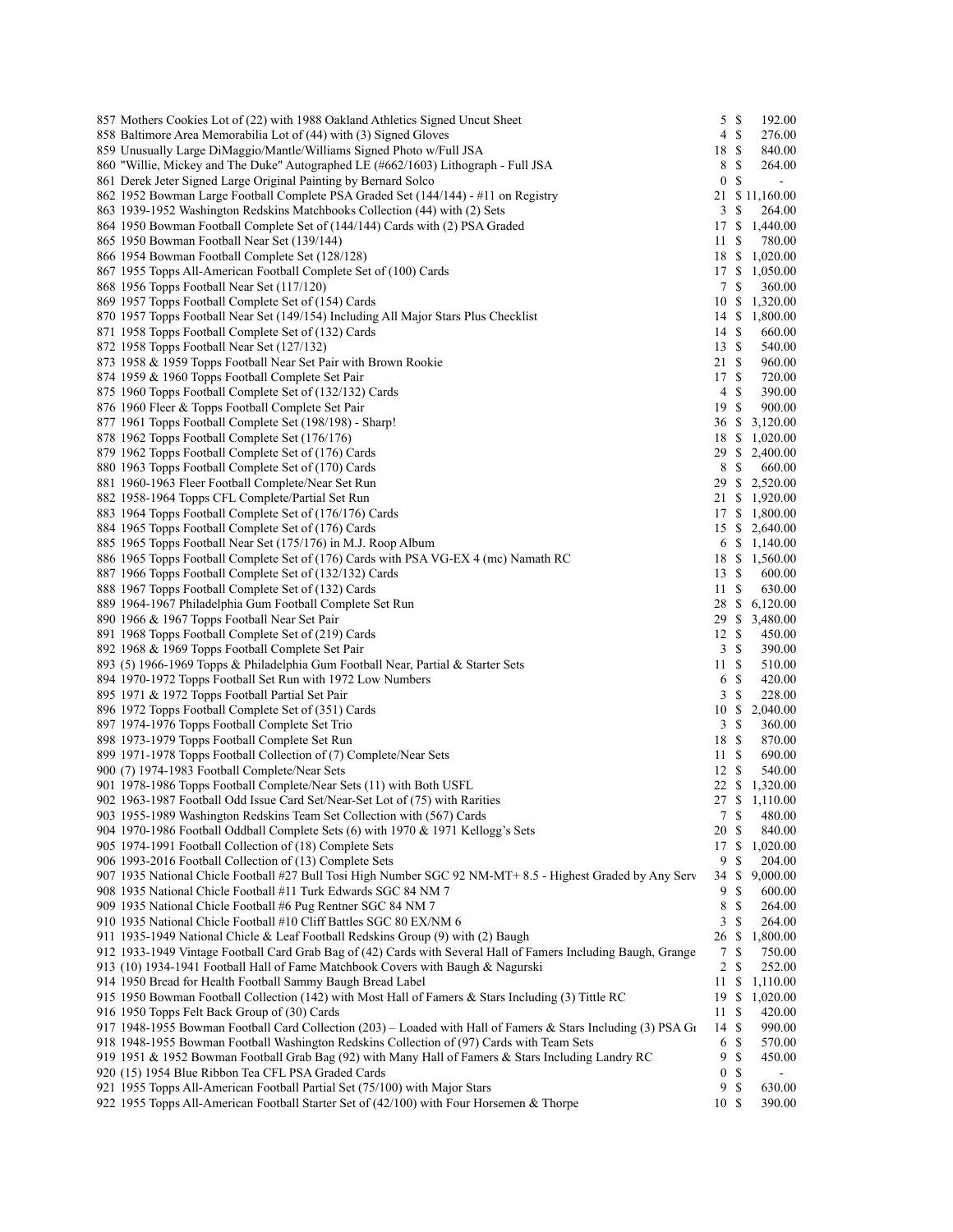| 857 Mothers Cookies Lot of (22) with 1988 Oakland Athletics Signed Uncut Sheet                                 | $5 \text{ }$ \$  |                           | 192.00         |
|----------------------------------------------------------------------------------------------------------------|------------------|---------------------------|----------------|
| 858 Baltimore Area Memorabilia Lot of (44) with (3) Signed Gloves                                              | 4                | <sup>\$</sup>             | 276.00         |
| 859 Unusually Large DiMaggio/Mantle/Williams Signed Photo w/Full JSA                                           | 18               | - \$                      | 840.00         |
| 860 "Willie, Mickey and The Duke" Autographed LE (#662/1603) Lithograph - Full JSA                             | 8                | $\mathbb{S}$              | 264.00         |
| 861 Derek Jeter Signed Large Original Painting by Bernard Solco                                                | $\boldsymbol{0}$ | $\mathbb{S}$              | $\blacksquare$ |
| 862 1952 Bowman Large Football Complete PSA Graded Set (144/144) - #11 on Registry                             |                  |                           | 21 \$11,160.00 |
| 863 1939-1952 Washington Redskins Matchbooks Collection (44) with (2) Sets                                     | 3S               |                           | 264.00         |
| 864 1950 Bowman Football Complete Set of (144/144) Cards with (2) PSA Graded                                   |                  |                           | 17 \$ 1,440.00 |
| 865 1950 Bowman Football Near Set (139/144)                                                                    | 11               | $\mathbb{S}$              | 780.00         |
| 866 1954 Bowman Football Complete Set (128/128)                                                                | 18               | \$                        | 1,020.00       |
| 867 1955 Topps All-American Football Complete Set of (100) Cards                                               | 17               | \$                        | 1,050.00       |
| 868 1956 Topps Football Near Set (117/120)                                                                     | 7S               |                           | 360.00         |
| 869 1957 Topps Football Complete Set of (154) Cards                                                            |                  |                           | 10 \$ 1,320.00 |
| 870 1957 Topps Football Near Set (149/154) Including All Major Stars Plus Checklist                            |                  |                           | 14 \$ 1,800.00 |
| 871 1958 Topps Football Complete Set of (132) Cards                                                            | 14               | $\mathbb{S}$              | 660.00         |
|                                                                                                                | 13S              |                           |                |
| 872 1958 Topps Football Near Set (127/132)                                                                     |                  |                           | 540.00         |
| 873 1958 & 1959 Topps Football Near Set Pair with Brown Rookie                                                 | 21S              |                           | 960.00         |
| 874 1959 & 1960 Topps Football Complete Set Pair                                                               | 17S              |                           | 720.00         |
| 875 1960 Topps Football Complete Set of (132/132) Cards                                                        | 4                | <sup>\$</sup>             | 390.00         |
| 876 1960 Fleer & Topps Football Complete Set Pair                                                              | 19S              |                           | 900.00         |
| 877 1961 Topps Football Complete Set (198/198) - Sharp!                                                        |                  |                           | 36 \$ 3,120.00 |
| 878 1962 Topps Football Complete Set (176/176)                                                                 |                  |                           | 18 \$ 1,020.00 |
| 879 1962 Topps Football Complete Set of (176) Cards                                                            |                  |                           | 29 \$ 2,400.00 |
| 880 1963 Topps Football Complete Set of (170) Cards                                                            | 8 \$             |                           | 660.00         |
| 881 1960-1963 Fleer Football Complete/Near Set Run                                                             |                  |                           | 29 \$ 2,520.00 |
| 882 1958-1964 Topps CFL Complete/Partial Set Run                                                               |                  |                           | 21 \$ 1,920.00 |
| 883 1964 Topps Football Complete Set of (176/176) Cards                                                        |                  |                           | 17 \$ 1,800.00 |
| 884 1965 Topps Football Complete Set of (176) Cards                                                            |                  |                           | 15 \$ 2,640.00 |
| 885 1965 Topps Football Near Set (175/176) in M.J. Roop Album                                                  |                  |                           | 6 $$1,140.00$  |
| 886 1965 Topps Football Complete Set of (176) Cards with PSA VG-EX 4 (mc) Namath RC                            |                  |                           | 18 \$ 1,560.00 |
| 887 1966 Topps Football Complete Set of (132/132) Cards                                                        | 13               | \$                        | 600.00         |
| 888 1967 Topps Football Complete Set of (132) Cards                                                            | 11               | <sup>\$</sup>             | 630.00         |
| 889 1964-1967 Philadelphia Gum Football Complete Set Run                                                       |                  |                           | 28 \$ 6,120.00 |
| 890 1966 & 1967 Topps Football Near Set Pair                                                                   |                  |                           | 29 \$ 3,480.00 |
| 891 1968 Topps Football Complete Set of (219) Cards                                                            | 12S              |                           | 450.00         |
| 892 1968 & 1969 Topps Football Complete Set Pair                                                               | 3                | $\mathbb{S}$              | 390.00         |
| 893 (5) 1966-1969 Topps & Philadelphia Gum Football Near, Partial & Starter Sets                               | 11               | <sup>\$</sup>             | 510.00         |
| 894 1970-1972 Topps Football Set Run with 1972 Low Numbers                                                     | 6                | $\boldsymbol{\mathsf{S}}$ | 420.00         |
| 895 1971 & 1972 Topps Football Partial Set Pair                                                                | 3                | $\mathbb{S}$              | 228.00         |
| 896 1972 Topps Football Complete Set of (351) Cards                                                            | 10               |                           | \$2,040.00     |
| 897 1974-1976 Topps Football Complete Set Trio                                                                 | 3S               |                           | 360.00         |
| 898 1973-1979 Topps Football Complete Set Run                                                                  | 18 \$            |                           | 870.00         |
|                                                                                                                | 11S              |                           |                |
| 899 1971-1978 Topps Football Collection of (7) Complete/Near Sets                                              |                  |                           | 690.00         |
| 900 (7) 1974-1983 Football Complete/Near Sets                                                                  | 12               | $\boldsymbol{\mathsf{S}}$ | 540.00         |
| 901 1978-1986 Topps Football Complete/Near Sets (11) with Both USFL                                            |                  |                           | 22 \$ 1,320.00 |
| 902 1963-1987 Football Odd Issue Card Set/Near-Set Lot of (75) with Rarities                                   |                  |                           | 27 \$ 1,110.00 |
| 903 1955-1989 Washington Redskins Team Set Collection with (567) Cards                                         | 7                | -S                        | 480.00         |
| 904 1970-1986 Football Oddball Complete Sets (6) with 1970 & 1971 Kellogg's Sets                               | 20               | <sup>\$</sup>             | 840.00         |
| 905 1974-1991 Football Collection of (18) Complete Sets                                                        | 17               | \$                        | 1,020.00       |
| 906 1993-2016 Football Collection of (13) Complete Sets                                                        | 9                | S                         | 204.00         |
| 907 1935 National Chicle Football #27 Bull Tosi High Number SGC 92 NM-MT+ 8.5 - Highest Graded by Any Serv     | 34               | \$                        | 9,000.00       |
| 908 1935 National Chicle Football #11 Turk Edwards SGC 84 NM 7                                                 | 9                | S                         | 600.00         |
| 909 1935 National Chicle Football #6 Pug Rentner SGC 84 NM 7                                                   | 8                | <sup>\$</sup>             | 264.00         |
| 910 1935 National Chicle Football #10 Cliff Battles SGC 80 EX/NM 6                                             | 3                | S                         | 264.00         |
| 911 1935-1949 National Chicle & Leaf Football Redskins Group (9) with (2) Baugh                                | 26               | S                         | 1,800.00       |
| 912 1933-1949 Vintage Football Card Grab Bag of (42) Cards with Several Hall of Famers Including Baugh, Grange | 7                | <sup>\$</sup>             | 750.00         |
| 913 (10) 1934-1941 Football Hall of Fame Matchbook Covers with Baugh & Nagurski                                | 2                | $\mathbb{S}$              | 252.00         |
| 914 1950 Bread for Health Football Sammy Baugh Bread Label                                                     | 11               | \$                        | 1,110.00       |
| 915 1950 Bowman Football Collection (142) with Most Hall of Famers & Stars Including (3) Tittle RC             | 19               | $\mathbb{S}$              | 1,020.00       |
| 916 1950 Topps Felt Back Group of (30) Cards                                                                   | 11               | S                         | 420.00         |
| 917 1948-1955 Bowman Football Card Collection (203) – Loaded with Hall of Famers & Stars Including (3) PSA Gr  | 14               | $\mathbb{S}$              | 990.00         |
| 918 1948-1955 Bowman Football Washington Redskins Collection of (97) Cards with Team Sets                      | 6                | $\mathbb{S}$              | 570.00         |
| 919 1951 & 1952 Bowman Football Grab Bag (92) with Many Hall of Famers & Stars Including Landry RC             | 9                | $\mathbb{S}$              | 450.00         |
| 920 (15) 1954 Blue Ribbon Tea CFL PSA Graded Cards                                                             | $\boldsymbol{0}$ | $\mathbb{S}$              |                |
| 921 1955 Topps All-American Football Partial Set (75/100) with Major Stars                                     | 9                | $\mathbb{S}$              | 630.00         |
| 922 1955 Topps All-American Football Starter Set of $(42/100)$ with Four Horsemen & Thorpe                     | 10S              |                           | 390.00         |
|                                                                                                                |                  |                           |                |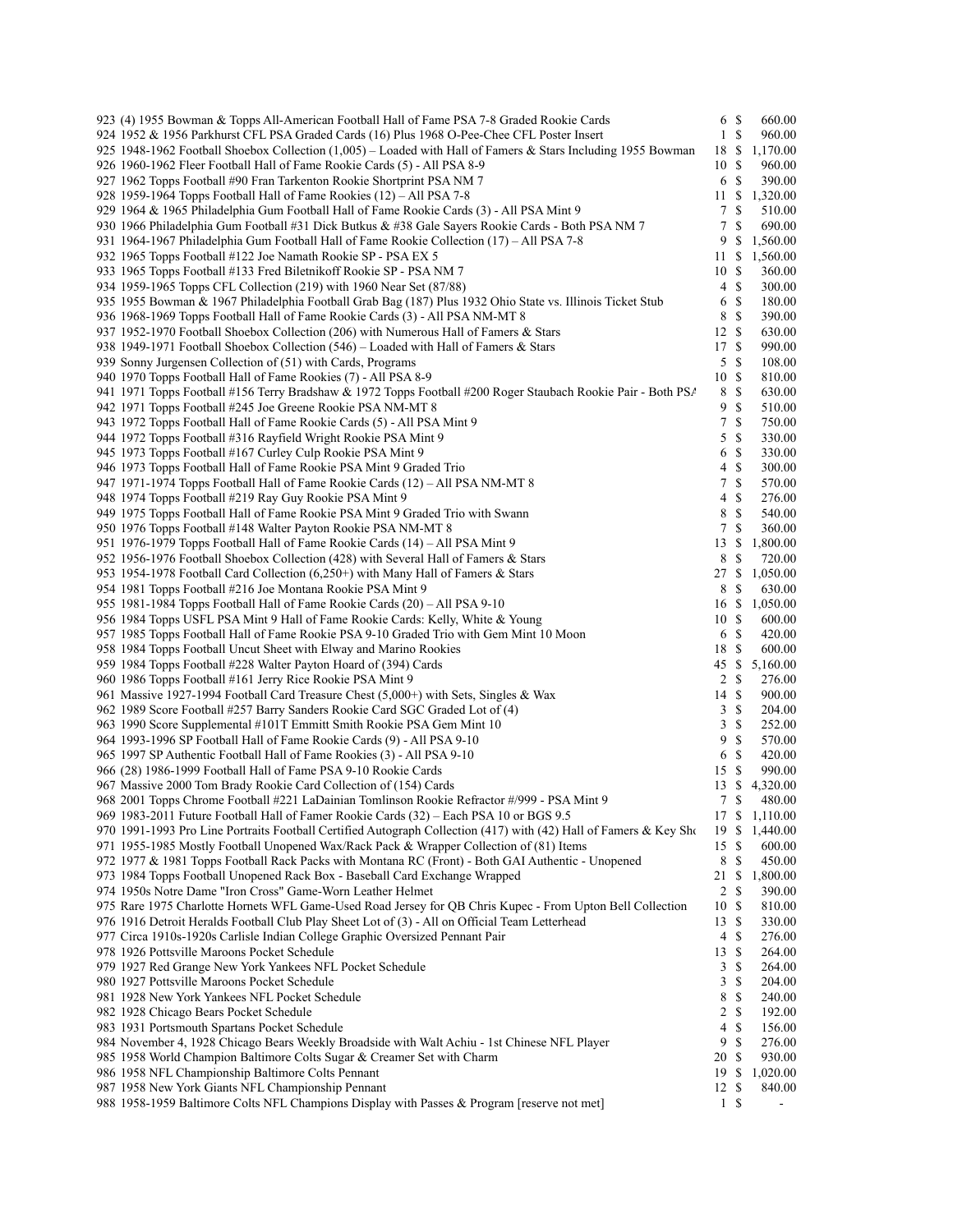| 923 (4) 1955 Bowman & Topps All-American Football Hall of Fame PSA 7-8 Graded Rookie Cards                        | 6 \$                 |                           | 660.00           |
|-------------------------------------------------------------------------------------------------------------------|----------------------|---------------------------|------------------|
| 924 1952 & 1956 Parkhurst CFL PSA Graded Cards (16) Plus 1968 O-Pee-Chee CFL Poster Insert                        | $\mathbf{1}$         | $\mathbb{S}$              | 960.00           |
| 925 1948-1962 Football Shoebox Collection (1,005) – Loaded with Hall of Famers & Stars Including 1955 Bowman      | 18                   | -S                        | 1,170.00         |
| 926 1960-1962 Fleer Football Hall of Fame Rookie Cards (5) - All PSA 8-9                                          | 10                   | <sup>\$</sup>             | 960.00           |
| 927 1962 Topps Football #90 Fran Tarkenton Rookie Shortprint PSA NM 7                                             | 6                    | -S                        | 390.00           |
| 928 1959-1964 Topps Football Hall of Fame Rookies (12) – All PSA 7-8                                              | 11                   | \$                        | 1,320.00         |
| 929 1964 & 1965 Philadelphia Gum Football Hall of Fame Rookie Cards (3) - All PSA Mint 9                          | 7                    | S                         | 510.00           |
| 930 1966 Philadelphia Gum Football #31 Dick Butkus & #38 Gale Sayers Rookie Cards - Both PSA NM 7                 | 7                    | \$                        | 690.00           |
| 931 1964-1967 Philadelphia Gum Football Hall of Fame Rookie Collection (17) – All PSA 7-8                         | 9                    | \$                        | 1,560.00         |
| 932 1965 Topps Football #122 Joe Namath Rookie SP - PSA EX 5                                                      | 11                   | \$                        | 1,560.00         |
| 933 1965 Topps Football #133 Fred Biletnikoff Rookie SP - PSA NM 7                                                | 10                   | S                         | 360.00           |
| 934 1959-1965 Topps CFL Collection (219) with 1960 Near Set (87/88)                                               | 4                    | S                         | 300.00           |
| 935 1955 Bowman & 1967 Philadelphia Football Grab Bag (187) Plus 1932 Ohio State vs. Illinois Ticket Stub         | 6                    | <sup>\$</sup>             | 180.00           |
| 936 1968-1969 Topps Football Hall of Fame Rookie Cards (3) - All PSA NM-MT 8                                      | 8                    | <sup>\$</sup>             | 390.00           |
| 937 1952-1970 Football Shoebox Collection (206) with Numerous Hall of Famers & Stars                              | 12                   | <sup>\$</sup>             | 630.00           |
| 938 1949-1971 Football Shoebox Collection (546) – Loaded with Hall of Famers & Stars                              | 17                   | -S                        | 990.00           |
| 939 Sonny Jurgensen Collection of (51) with Cards, Programs                                                       | 5                    | $\mathbb{S}$              | 108.00           |
| 940 1970 Topps Football Hall of Fame Rookies (7) - All PSA 8-9                                                    | 10                   | <sup>\$</sup>             | 810.00           |
| 941 1971 Topps Football #156 Terry Bradshaw & 1972 Topps Football #200 Roger Staubach Rookie Pair - Both PSA      | 8                    | <sup>\$</sup>             | 630.00           |
| 942 1971 Topps Football #245 Joe Greene Rookie PSA NM-MT 8                                                        | 9                    | <sup>\$</sup>             | 510.00           |
| 943 1972 Topps Football Hall of Fame Rookie Cards (5) - All PSA Mint 9                                            | 7                    | $\mathbb{S}$              | 750.00           |
| 944 1972 Topps Football #316 Rayfield Wright Rookie PSA Mint 9                                                    | 5                    | <sup>\$</sup>             | 330.00           |
| 945 1973 Topps Football #167 Curley Culp Rookie PSA Mint 9                                                        |                      | <sup>\$</sup>             | 330.00           |
| 946 1973 Topps Football Hall of Fame Rookie PSA Mint 9 Graded Trio                                                | 6<br>4               | <sup>\$</sup>             | 300.00           |
|                                                                                                                   |                      | $\mathbb{S}$              |                  |
| 947 1971-1974 Topps Football Hall of Fame Rookie Cards (12) – All PSA NM-MT 8                                     | 7                    |                           | 570.00           |
| 948 1974 Topps Football #219 Ray Guy Rookie PSA Mint 9                                                            | 4                    | $\boldsymbol{\mathsf{S}}$ | 276.00           |
| 949 1975 Topps Football Hall of Fame Rookie PSA Mint 9 Graded Trio with Swann                                     | 8                    | \$                        | 540.00           |
| 950 1976 Topps Football #148 Walter Payton Rookie PSA NM-MT 8                                                     | 7                    | <sup>\$</sup>             | 360.00           |
| 951 1976-1979 Topps Football Hall of Fame Rookie Cards (14) – All PSA Mint 9                                      | 13                   | \$                        | 1,800.00         |
| 952 1956-1976 Football Shoebox Collection (428) with Several Hall of Famers & Stars                               | 8                    | $\boldsymbol{\mathsf{S}}$ | 720.00           |
| 953 1954-1978 Football Card Collection $(6,250+)$ with Many Hall of Famers & Stars                                | 27                   | <sup>\$</sup>             | 1,050.00         |
| 954 1981 Topps Football #216 Joe Montana Rookie PSA Mint 9                                                        | 8                    | \$                        | 630.00           |
| 955 1981-1984 Topps Football Hall of Fame Rookie Cards (20) – All PSA 9-10                                        | 16                   | \$                        | 1,050.00         |
| 956 1984 Topps USFL PSA Mint 9 Hall of Fame Rookie Cards: Kelly, White & Young                                    | 10                   | <sup>\$</sup>             | 600.00           |
| 957 1985 Topps Football Hall of Fame Rookie PSA 9-10 Graded Trio with Gem Mint 10 Moon                            | 6                    | $\mathbb{S}$              | 420.00           |
| 958 1984 Topps Football Uncut Sheet with Elway and Marino Rookies                                                 | 18                   | \$                        | 600.00           |
| 959 1984 Topps Football #228 Walter Payton Hoard of (394) Cards                                                   | 45                   | <sup>\$</sup>             | 5,160.00         |
| 960 1986 Topps Football #161 Jerry Rice Rookie PSA Mint 9                                                         | 2 <sub>s</sub>       |                           | 276.00           |
| 961 Massive 1927-1994 Football Card Treasure Chest (5,000+) with Sets, Singles & Wax                              | 14                   | -S                        | 900.00           |
| 962 1989 Score Football #257 Barry Sanders Rookie Card SGC Graded Lot of (4)                                      | 3                    | <sup>\$</sup>             | 204.00           |
| 963 1990 Score Supplemental #101T Emmitt Smith Rookie PSA Gem Mint 10                                             | 3                    | S                         | 252.00           |
| 964 1993-1996 SP Football Hall of Fame Rookie Cards (9) - All PSA 9-10                                            | 9                    | <sup>\$</sup>             | 570.00           |
| 965 1997 SP Authentic Football Hall of Fame Rookies (3) - All PSA 9-10                                            | 6                    | $\mathbb{S}$              | 420.00           |
| 966 (28) 1986-1999 Football Hall of Fame PSA 9-10 Rookie Cards                                                    | 15                   | $\boldsymbol{\mathsf{S}}$ | 990.00           |
| 967 Massive 2000 Tom Brady Rookie Card Collection of (154) Cards                                                  | 13                   | \$                        | 4,320.00         |
| 968 2001 Topps Chrome Football #221 LaDainian Tomlinson Rookie Refractor #/999 - PSA Mint 9                       | 7S                   |                           | 480.00           |
| 969 1983-2011 Future Football Hall of Famer Rookie Cards (32) - Each PSA 10 or BGS 9.5                            | 17 \$                |                           | 1,110.00         |
| 970 1991-1993 Pro Line Portraits Football Certified Autograph Collection (417) with (42) Hall of Famers & Key Sho | 19S                  |                           | 1,440.00         |
| 971 1955-1985 Mostly Football Unopened Wax/Rack Pack & Wrapper Collection of (81) Items                           | 15                   | \$                        | 600.00           |
| 972 1977 & 1981 Topps Football Rack Packs with Montana RC (Front) - Both GAI Authentic - Unopened                 | 8                    | <sup>\$</sup>             | 450.00           |
| 973 1984 Topps Football Unopened Rack Box - Baseball Card Exchange Wrapped                                        | 21                   | \$                        | 1,800.00         |
| 974 1950s Notre Dame "Iron Cross" Game-Worn Leather Helmet                                                        | 2                    | S                         | 390.00           |
| 975 Rare 1975 Charlotte Hornets WFL Game-Used Road Jersey for QB Chris Kupec - From Upton Bell Collection         | 10                   | S                         | 810.00           |
|                                                                                                                   |                      | -S                        |                  |
| 976 1916 Detroit Heralds Football Club Play Sheet Lot of (3) - All on Official Team Letterhead                    | 13<br>$\overline{4}$ | <sup>\$</sup>             | 330.00<br>276.00 |
| 977 Circa 1910s-1920s Carlisle Indian College Graphic Oversized Pennant Pair                                      |                      |                           |                  |
| 978 1926 Pottsville Maroons Pocket Schedule                                                                       | 13                   | <sup>\$</sup>             | 264.00           |
| 979 1927 Red Grange New York Yankees NFL Pocket Schedule                                                          | 3                    | \$                        | 264.00           |
| 980 1927 Pottsville Maroons Pocket Schedule                                                                       | 3                    | S                         | 204.00           |
| 981 1928 New York Yankees NFL Pocket Schedule                                                                     | 8                    | \$                        | 240.00           |
| 982 1928 Chicago Bears Pocket Schedule                                                                            | 2                    | \$                        | 192.00           |
| 983 1931 Portsmouth Spartans Pocket Schedule                                                                      | 4                    | \$                        | 156.00           |
| 984 November 4, 1928 Chicago Bears Weekly Broadside with Walt Achiu - 1st Chinese NFL Player                      | 9                    | \$                        | 276.00           |
| 985 1958 World Champion Baltimore Colts Sugar & Creamer Set with Charm                                            | 20                   | <sup>\$</sup>             | 930.00           |
| 986 1958 NFL Championship Baltimore Colts Pennant                                                                 | 19                   | \$                        | 1,020.00         |
| 987 1958 New York Giants NFL Championship Pennant                                                                 | 12                   | S                         | 840.00           |
| 988 1958-1959 Baltimore Colts NFL Champions Display with Passes & Program [reserve not met]                       | 1 <sup>5</sup>       |                           | $\blacksquare$   |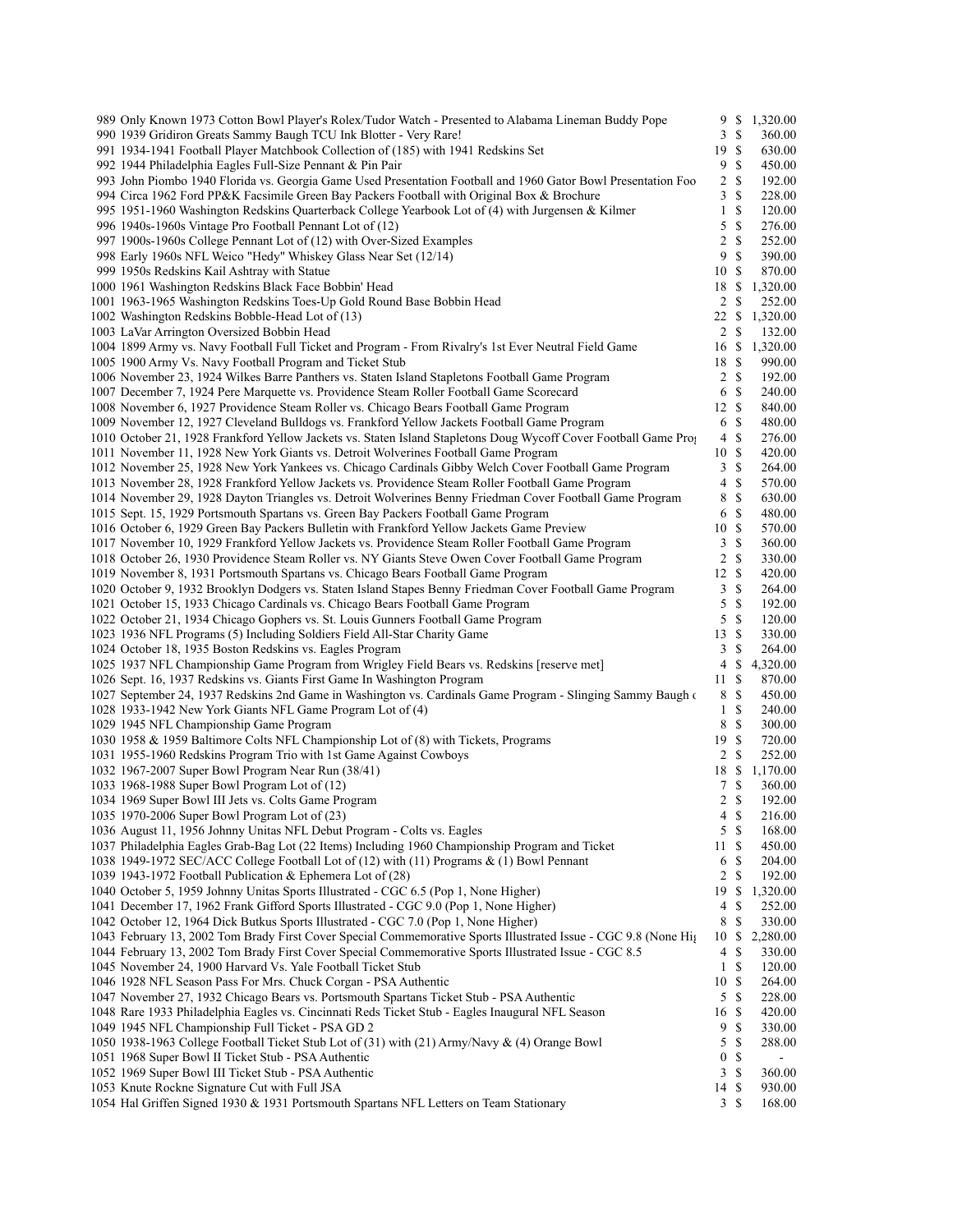| 989 Only Known 1973 Cotton Bowl Player's Rolex/Tudor Watch - Presented to Alabama Lineman Buddy Pope                                                                                     | 9               | \$                 | 1,320.00           |
|------------------------------------------------------------------------------------------------------------------------------------------------------------------------------------------|-----------------|--------------------|--------------------|
| 990 1939 Gridiron Greats Sammy Baugh TCU Ink Blotter - Very Rare!                                                                                                                        | 3               | <sup>\$</sup>      | 360.00             |
| 991 1934-1941 Football Player Matchbook Collection of (185) with 1941 Redskins Set                                                                                                       | 19 \$           |                    | 630.00             |
| 992 1944 Philadelphia Eagles Full-Size Pennant & Pin Pair                                                                                                                                | 9               | <sup>\$</sup>      | 450.00             |
| 993 John Piombo 1940 Florida vs. Georgia Game Used Presentation Football and 1960 Gator Bowl Presentation Foo                                                                            | $\overline{c}$  | <sup>\$</sup>      | 192.00             |
| 994 Circa 1962 Ford PP&K Facsimile Green Bay Packers Football with Original Box & Brochure                                                                                               | 3               | \$                 | 228.00             |
| 995 1951-1960 Washington Redskins Quarterback College Yearbook Lot of (4) with Jurgensen & Kilmer                                                                                        | $\mathbf{1}$    | $\mathbb{S}$       | 120.00             |
| 996 1940s-1960s Vintage Pro Football Pennant Lot of (12)                                                                                                                                 | 5               | $\mathbb{S}$       | 276.00             |
| 997 1900s-1960s College Pennant Lot of (12) with Over-Sized Examples                                                                                                                     | $\overline{2}$  | <sup>\$</sup>      | 252.00             |
| 998 Early 1960s NFL Weico "Hedy" Whiskey Glass Near Set (12/14)                                                                                                                          | 9               | \$                 | 390.00             |
| 999 1950s Redskins Kail Ashtray with Statue                                                                                                                                              | 10S             |                    | 870.00             |
| 1000 1961 Washington Redskins Black Face Bobbin' Head                                                                                                                                    |                 |                    | 18 \$ 1,320.00     |
| 1001 1963-1965 Washington Redskins Toes-Up Gold Round Base Bobbin Head                                                                                                                   | 2<br>22S        | \$                 | 252.00             |
| 1002 Washington Redskins Bobble-Head Lot of (13)<br>1003 LaVar Arrington Oversized Bobbin Head                                                                                           | $\overline{2}$  | $\mathbb{S}$       | 1,320.00<br>132.00 |
| 1004 1899 Army vs. Navy Football Full Ticket and Program - From Rivalry's 1st Ever Neutral Field Game                                                                                    | 16              | $\mathbb{S}$       | 1,320.00           |
| 1005 1900 Army Vs. Navy Football Program and Ticket Stub                                                                                                                                 | 18 \$           |                    | 990.00             |
| 1006 November 23, 1924 Wilkes Barre Panthers vs. Staten Island Stapletons Football Game Program                                                                                          | $\overline{c}$  | <sup>\$</sup>      | 192.00             |
| 1007 December 7, 1924 Pere Marquette vs. Providence Steam Roller Football Game Scorecard                                                                                                 | 6               | -S                 | 240.00             |
| 1008 November 6, 1927 Providence Steam Roller vs. Chicago Bears Football Game Program                                                                                                    | 12 \$           |                    | 840.00             |
| 1009 November 12, 1927 Cleveland Bulldogs vs. Frankford Yellow Jackets Football Game Program                                                                                             | 6               | $\mathbb{S}$       | 480.00             |
| 1010 October 21, 1928 Frankford Yellow Jackets vs. Staten Island Stapletons Doug Wycoff Cover Football Game Pro                                                                          | 4               | <sup>\$</sup>      | 276.00             |
| 1011 November 11, 1928 New York Giants vs. Detroit Wolverines Football Game Program                                                                                                      | 10              | <sup>\$</sup>      | 420.00             |
| 1012 November 25, 1928 New York Yankees vs. Chicago Cardinals Gibby Welch Cover Football Game Program                                                                                    | $\mathfrak{Z}$  | $\mathbb{S}$       | 264.00             |
| 1013 November 28, 1928 Frankford Yellow Jackets vs. Providence Steam Roller Football Game Program                                                                                        | 4               | <sup>\$</sup>      | 570.00             |
| 1014 November 29, 1928 Dayton Triangles vs. Detroit Wolverines Benny Friedman Cover Football Game Program                                                                                | 8               | $\mathbb{S}$       | 630.00             |
| 1015 Sept. 15, 1929 Portsmouth Spartans vs. Green Bay Packers Football Game Program                                                                                                      | 6               | <sup>\$</sup>      | 480.00             |
| 1016 October 6, 1929 Green Bay Packers Bulletin with Frankford Yellow Jackets Game Preview                                                                                               | 10S             |                    | 570.00             |
| 1017 November 10, 1929 Frankford Yellow Jackets vs. Providence Steam Roller Football Game Program                                                                                        | 3               | \$                 | 360.00             |
| 1018 October 26, 1930 Providence Steam Roller vs. NY Giants Steve Owen Cover Football Game Program                                                                                       | 2               | $\mathbb{S}$       | 330.00             |
| 1019 November 8, 1931 Portsmouth Spartans vs. Chicago Bears Football Game Program                                                                                                        | 12              | <sup>\$</sup>      | 420.00             |
| 1020 October 9, 1932 Brooklyn Dodgers vs. Staten Island Stapes Benny Friedman Cover Football Game Program                                                                                | 3               | $\mathbb{S}$       | 264.00             |
| 1021 October 15, 1933 Chicago Cardinals vs. Chicago Bears Football Game Program                                                                                                          | 5               | <sup>\$</sup>      | 192.00             |
| 1022 October 21, 1934 Chicago Gophers vs. St. Louis Gunners Football Game Program                                                                                                        | 5               | $\mathbb{S}$       | 120.00             |
| 1023 1936 NFL Programs (5) Including Soldiers Field All-Star Charity Game                                                                                                                | 13              | <sup>\$</sup>      | 330.00             |
| 1024 October 18, 1935 Boston Redskins vs. Eagles Program                                                                                                                                 | 3               | \$                 | 264.00             |
| 1025 1937 NFL Championship Game Program from Wrigley Field Bears vs. Redskins [reserve met]                                                                                              | 4               | \$<br>$\mathbb{S}$ | 4,320.00<br>870.00 |
| 1026 Sept. 16, 1937 Redskins vs. Giants First Game In Washington Program<br>1027 September 24, 1937 Redskins 2nd Game in Washington vs. Cardinals Game Program - Slinging Sammy Baugh of | 11<br>8         | \$                 | 450.00             |
| 1028 1933-1942 New York Giants NFL Game Program Lot of (4)                                                                                                                               | 1               | $\mathbb{S}$       | 240.00             |
| 1029 1945 NFL Championship Game Program                                                                                                                                                  | 8               | $\mathbb{S}$       | 300.00             |
| 1030 1958 & 1959 Baltimore Colts NFL Championship Lot of (8) with Tickets, Programs                                                                                                      | 19              | -S                 | 720.00             |
| 1031 1955-1960 Redskins Program Trio with 1st Game Against Cowboys                                                                                                                       | $\overline{2}$  | <sup>\$</sup>      | 252.00             |
| 1032 1967-2007 Super Bowl Program Near Run (38/41)                                                                                                                                       | 18              | \$                 | 1,170.00           |
| 1033 1968-1988 Super Bowl Program Lot of (12)                                                                                                                                            | 7               | \$                 | 360.00             |
| 1034 1969 Super Bowl III Jets vs. Colts Game Program                                                                                                                                     | 2S              |                    | 192.00             |
| 1035 1970-2006 Super Bowl Program Lot of (23)                                                                                                                                            | 4\$             |                    | 216.00             |
| 1036 August 11, 1956 Johnny Unitas NFL Debut Program - Colts vs. Eagles                                                                                                                  | $5 \text{ }$ \$ |                    | 168.00             |
| 1037 Philadelphia Eagles Grab-Bag Lot (22 Items) Including 1960 Championship Program and Ticket                                                                                          | 11S             |                    | 450.00             |
| 1038 1949-1972 SEC/ACC College Football Lot of (12) with (11) Programs & (1) Bowl Pennant                                                                                                | 6               | \$                 | 204.00             |
| 1039 1943-1972 Football Publication & Ephemera Lot of (28)                                                                                                                               | 2               | \$                 | 192.00             |
| 1040 October 5, 1959 Johnny Unitas Sports Illustrated - CGC 6.5 (Pop 1, None Higher)                                                                                                     | 19              | \$                 | 1,320.00           |
| 1041 December 17, 1962 Frank Gifford Sports Illustrated - CGC 9.0 (Pop 1, None Higher)                                                                                                   | 4               | \$                 | 252.00             |
| 1042 October 12, 1964 Dick Butkus Sports Illustrated - CGC 7.0 (Pop 1, None Higher)                                                                                                      | 8               | \$                 | 330.00             |
| 1043 February 13, 2002 Tom Brady First Cover Special Commemorative Sports Illustrated Issue - CGC 9.8 (None Hig                                                                          | 10              | \$                 | 2,280.00           |
| 1044 February 13, 2002 Tom Brady First Cover Special Commemorative Sports Illustrated Issue - CGC 8.5                                                                                    | 4               | \$                 | 330.00             |
| 1045 November 24, 1900 Harvard Vs. Yale Football Ticket Stub                                                                                                                             | $\mathbf{1}$    | \$                 | 120.00             |
| 1046 1928 NFL Season Pass For Mrs. Chuck Corgan - PSA Authentic                                                                                                                          | 10 \$           |                    | 264.00             |
| 1047 November 27, 1932 Chicago Bears vs. Portsmouth Spartans Ticket Stub - PSA Authentic                                                                                                 | 5               | \$                 | 228.00             |
| 1048 Rare 1933 Philadelphia Eagles vs. Cincinnati Reds Ticket Stub - Eagles Inaugural NFL Season                                                                                         | 16<br>9         | $\mathbb{S}$<br>\$ | 420.00<br>330.00   |
| 1049 1945 NFL Championship Full Ticket - PSA GD 2<br>1050 1938-1963 College Football Ticket Stub Lot of (31) with (21) Army/Navy & (4) Orange Bowl                                       | 5               | \$                 | 288.00             |
| 1051 1968 Super Bowl II Ticket Stub - PSA Authentic                                                                                                                                      | $\mathbf{0}$    | \$                 |                    |
| 1052 1969 Super Bowl III Ticket Stub - PSA Authentic                                                                                                                                     | $\mathbf{3}$    | $\mathbb{S}$       | 360.00             |
| 1053 Knute Rockne Signature Cut with Full JSA                                                                                                                                            | 14              | \$                 | 930.00             |
| 1054 Hal Griffen Signed 1930 & 1931 Portsmouth Spartans NFL Letters on Team Stationary                                                                                                   | 3S              |                    | 168.00             |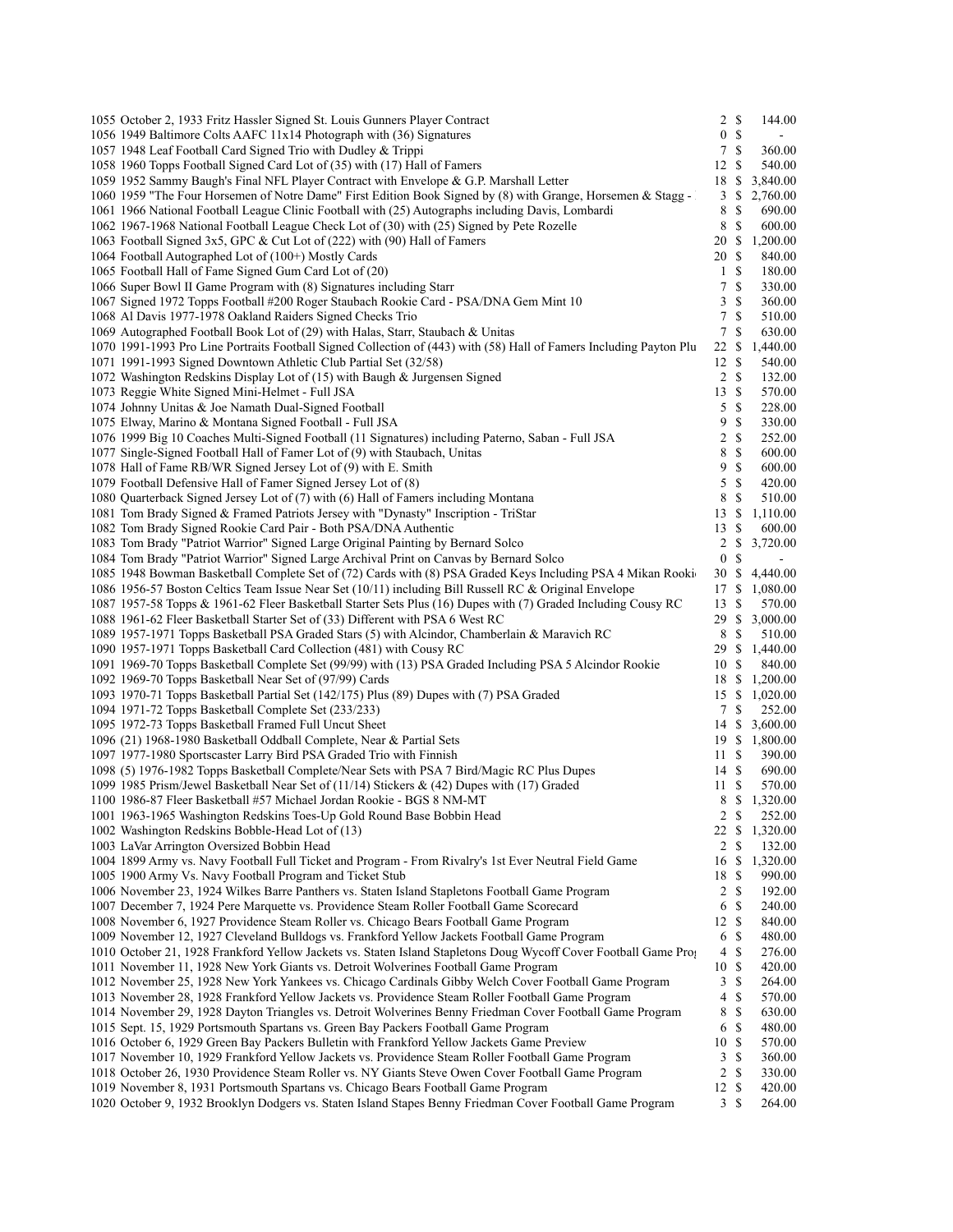| 1055 October 2, 1933 Fritz Hassler Signed St. Louis Gunners Player Contract                                         | $2 \sqrt{s}$     |               | 144.00         |
|---------------------------------------------------------------------------------------------------------------------|------------------|---------------|----------------|
| 1056 1949 Baltimore Colts AAFC 11x14 Photograph with (36) Signatures                                                | $\mathbf{0}$     | $\mathbb{S}$  |                |
| 1057 1948 Leaf Football Card Signed Trio with Dudley & Trippi                                                       | $\tau$           | $\mathbb{S}$  | 360.00         |
| 1058 1960 Topps Football Signed Card Lot of (35) with (17) Hall of Famers                                           | 12               | <sup>\$</sup> | 540.00         |
| 1059 1952 Sammy Baugh's Final NFL Player Contract with Envelope & G.P. Marshall Letter                              | 18               | $\mathbb{S}$  | 3,840.00       |
| 1060 1959 "The Four Horsemen of Notre Dame" First Edition Book Signed by (8) with Grange, Horsemen & Stagg -        | 3                | \$            | 2,760.00       |
| 1061 1966 National Football League Clinic Football with (25) Autographs including Davis, Lombardi                   | 8                | $\mathbb{S}$  | 690.00         |
| 1062 1967-1968 National Football League Check Lot of (30) with (25) Signed by Pete Rozelle                          | 8                | <sup>\$</sup> | 600.00         |
| 1063 Football Signed 3x5, GPC & Cut Lot of (222) with (90) Hall of Famers                                           | 20 \$            |               | 1,200.00       |
| 1064 Football Autographed Lot of (100+) Mostly Cards                                                                | 20               | -S            | 840.00         |
| 1065 Football Hall of Fame Signed Gum Card Lot of (20)                                                              | $\mathbf{1}$     | $\mathbb{S}$  | 180.00         |
| 1066 Super Bowl II Game Program with (8) Signatures including Starr                                                 | 7                | \$            | 330.00         |
| 1067 Signed 1972 Topps Football #200 Roger Staubach Rookie Card - PSA/DNA Gem Mint 10                               | 3                | \$            | 360.00         |
| 1068 Al Davis 1977-1978 Oakland Raiders Signed Checks Trio                                                          | $\tau$           | \$            | 510.00         |
| 1069 Autographed Football Book Lot of (29) with Halas, Starr, Staubach & Unitas                                     | 7                | \$            | 630.00         |
| 1070 1991-1993 Pro Line Portraits Football Signed Collection of (443) with (58) Hall of Famers Including Payton Plu | 22               | -S            | 1,440.00       |
| 1071 1991-1993 Signed Downtown Athletic Club Partial Set (32/58)                                                    | 12               | <sup>\$</sup> | 540.00         |
|                                                                                                                     | $\overline{c}$   | <sup>\$</sup> |                |
| 1072 Washington Redskins Display Lot of (15) with Baugh & Jurgensen Signed                                          |                  |               | 132.00         |
| 1073 Reggie White Signed Mini-Helmet - Full JSA                                                                     | 13               | <sup>\$</sup> | 570.00         |
| 1074 Johnny Unitas & Joe Namath Dual-Signed Football                                                                | 5                | $\mathbb{S}$  | 228.00         |
| 1075 Elway, Marino & Montana Signed Football - Full JSA                                                             | 9                | $\mathbb{S}$  | 330.00         |
| 1076 1999 Big 10 Coaches Multi-Signed Football (11 Signatures) including Paterno, Saban - Full JSA                  | 2                | $\mathbb{S}$  | 252.00         |
| 1077 Single-Signed Football Hall of Famer Lot of (9) with Staubach, Unitas                                          | 8                | \$            | 600.00         |
| 1078 Hall of Fame RB/WR Signed Jersey Lot of (9) with E. Smith                                                      | 9                | $\mathbb{S}$  | 600.00         |
| 1079 Football Defensive Hall of Famer Signed Jersey Lot of (8)                                                      | 5                | $\mathbb{S}$  | 420.00         |
| 1080 Quarterback Signed Jersey Lot of (7) with (6) Hall of Famers including Montana                                 | 8                | \$            | 510.00         |
| 1081 Tom Brady Signed & Framed Patriots Jersey with "Dynasty" Inscription - TriStar                                 | 13               | \$            | 1,110.00       |
| 1082 Tom Brady Signed Rookie Card Pair - Both PSA/DNA Authentic                                                     | 13               | -S            | 600.00         |
| 1083 Tom Brady "Patriot Warrior" Signed Large Original Painting by Bernard Solco                                    | 2                | \$            | 3,720.00       |
| 1084 Tom Brady "Patriot Warrior" Signed Large Archival Print on Canvas by Bernard Solco                             | $\bf{0}$         | \$            |                |
| 1085 1948 Bowman Basketball Complete Set of (72) Cards with (8) PSA Graded Keys Including PSA 4 Mikan Rooki         | 30               | <sup>\$</sup> | 4,440.00       |
| 1086 1956-57 Boston Celtics Team Issue Near Set (10/11) including Bill Russell RC & Original Envelope               | 17               | <sup>\$</sup> | 1,080.00       |
| 1087 1957-58 Topps & 1961-62 Fleer Basketball Starter Sets Plus (16) Dupes with (7) Graded Including Cousy RC       | 13               | <sup>\$</sup> | 570.00         |
| 1088 1961-62 Fleer Basketball Starter Set of (33) Different with PSA 6 West RC                                      | 29               | -S            | 3,000.00       |
| 1089 1957-1971 Topps Basketball PSA Graded Stars (5) with Alcindor, Chamberlain & Maravich RC                       | 8                | \$            | 510.00         |
| 1090 1957-1971 Topps Basketball Card Collection (481) with Cousy RC                                                 | 29               | <sup>\$</sup> | 1,440.00       |
| 1091 1969-70 Topps Basketball Complete Set (99/99) with (13) PSA Graded Including PSA 5 Alcindor Rookie             | 10               | -S            | 840.00         |
| 1092 1969-70 Topps Basketball Near Set of (97/99) Cards                                                             | 18               | \$            | 1,200.00       |
| 1093 1970-71 Topps Basketball Partial Set (142/175) Plus (89) Dupes with (7) PSA Graded                             | 15               | \$            | 1,020.00       |
| 1094 1971-72 Topps Basketball Complete Set (233/233)                                                                | 7                | \$            | 252.00         |
| 1095 1972-73 Topps Basketball Framed Full Uncut Sheet                                                               |                  |               | 14 \$ 3,600.00 |
| 1096 (21) 1968-1980 Basketball Oddball Complete, Near & Partial Sets                                                |                  |               | 19 \$ 1,800.00 |
| 1097 1977-1980 Sportscaster Larry Bird PSA Graded Trio with Finnish                                                 | 11S              |               | 390.00         |
| 1098 (5) 1976-1982 Topps Basketball Complete/Near Sets with PSA 7 Bird/Magic RC Plus Dupes                          | 14S              |               | 690.00         |
| 1099 1985 Prism/Jewel Basketball Near Set of (11/14) Stickers & (42) Dupes with (17) Graded                         | 11               | -S            | 570.00         |
| 1100 1986-87 Fleer Basketball #57 Michael Jordan Rookie - BGS 8 NM-MT                                               |                  |               | 8 \$ 1,320.00  |
|                                                                                                                     |                  |               |                |
| 1001 1963-1965 Washington Redskins Toes-Up Gold Round Base Bobbin Head                                              | 2                | -S            | 252.00         |
| 1002 Washington Redskins Bobble-Head Lot of (13)                                                                    | $22 \text{ }$ \$ | $\mathbb{S}$  | 1,320.00       |
| 1003 LaVar Arrington Oversized Bobbin Head                                                                          | 2                |               | 132.00         |
| 1004 1899 Army vs. Navy Football Full Ticket and Program - From Rivalry's 1st Ever Neutral Field Game               | 16               | \$            | 1,320.00       |
| 1005 1900 Army Vs. Navy Football Program and Ticket Stub                                                            | 18               | $\mathbb{S}$  | 990.00         |
| 1006 November 23, 1924 Wilkes Barre Panthers vs. Staten Island Stapletons Football Game Program                     | 2                | \$            | 192.00         |
| 1007 December 7, 1924 Pere Marquette vs. Providence Steam Roller Football Game Scorecard                            | 6                | $\mathbb{S}$  | 240.00         |
| 1008 November 6, 1927 Providence Steam Roller vs. Chicago Bears Football Game Program                               | 12S              |               | 840.00         |
| 1009 November 12, 1927 Cleveland Bulldogs vs. Frankford Yellow Jackets Football Game Program                        | 6                | \$            | 480.00         |
| 1010 October 21, 1928 Frankford Yellow Jackets vs. Staten Island Stapletons Doug Wycoff Cover Football Game Pro     | 4                | \$            | 276.00         |
| 1011 November 11, 1928 New York Giants vs. Detroit Wolverines Football Game Program                                 | 10               | <sup>\$</sup> | 420.00         |
| 1012 November 25, 1928 New York Yankees vs. Chicago Cardinals Gibby Welch Cover Football Game Program               | 3                | \$            | 264.00         |
| 1013 November 28, 1928 Frankford Yellow Jackets vs. Providence Steam Roller Football Game Program                   | 4                | \$            | 570.00         |
| 1014 November 29, 1928 Dayton Triangles vs. Detroit Wolverines Benny Friedman Cover Football Game Program           | 8                | \$            | 630.00         |
| 1015 Sept. 15, 1929 Portsmouth Spartans vs. Green Bay Packers Football Game Program                                 | 6                | $\mathbb{S}$  | 480.00         |
| 1016 October 6, 1929 Green Bay Packers Bulletin with Frankford Yellow Jackets Game Preview                          | 10               | <sup>\$</sup> | 570.00         |
| 1017 November 10, 1929 Frankford Yellow Jackets vs. Providence Steam Roller Football Game Program                   | 3                | \$            | 360.00         |
| 1018 October 26, 1930 Providence Steam Roller vs. NY Giants Steve Owen Cover Football Game Program                  | $\overline{c}$   | \$            | 330.00         |
| 1019 November 8, 1931 Portsmouth Spartans vs. Chicago Bears Football Game Program                                   | 12               | \$            | 420.00         |
| 1020 October 9, 1932 Brooklyn Dodgers vs. Staten Island Stapes Benny Friedman Cover Football Game Program           | 3S               |               | 264.00         |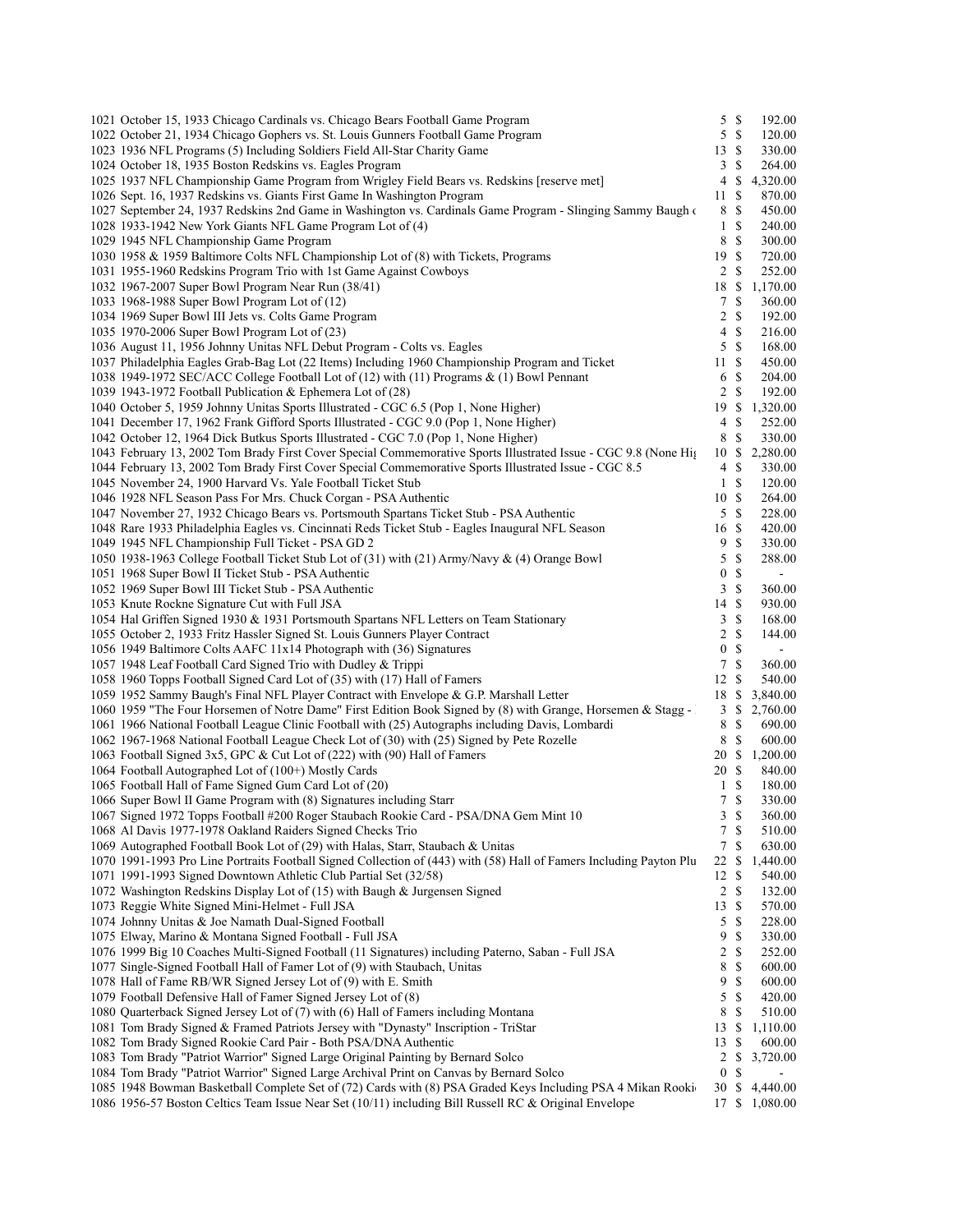| 1021 October 15, 1933 Chicago Cardinals vs. Chicago Bears Football Game Program                                                                                                                                      | 5              | <b>S</b>      | 192.00   |
|----------------------------------------------------------------------------------------------------------------------------------------------------------------------------------------------------------------------|----------------|---------------|----------|
| 1022 October 21, 1934 Chicago Gophers vs. St. Louis Gunners Football Game Program                                                                                                                                    | 5              | $\mathbb{S}$  | 120.00   |
| 1023 1936 NFL Programs (5) Including Soldiers Field All-Star Charity Game                                                                                                                                            | 13S            |               | 330.00   |
| 1024 October 18, 1935 Boston Redskins vs. Eagles Program                                                                                                                                                             | 3              | \$            | 264.00   |
| 1025 1937 NFL Championship Game Program from Wrigley Field Bears vs. Redskins [reserve met]                                                                                                                          | 4              | \$            | 4,320.00 |
| 1026 Sept. 16, 1937 Redskins vs. Giants First Game In Washington Program                                                                                                                                             | 11             | \$            | 870.00   |
| 1027 September 24, 1937 Redskins 2nd Game in Washington vs. Cardinals Game Program - Slinging Sammy Baugh of                                                                                                         | 8              | \$            | 450.00   |
| 1028 1933-1942 New York Giants NFL Game Program Lot of (4)                                                                                                                                                           | $\mathbf{1}$   | \$            | 240.00   |
| 1029 1945 NFL Championship Game Program                                                                                                                                                                              | 8              | \$            | 300.00   |
| 1030 1958 & 1959 Baltimore Colts NFL Championship Lot of (8) with Tickets, Programs                                                                                                                                  | 19S            |               | 720.00   |
| 1031 1955-1960 Redskins Program Trio with 1st Game Against Cowboys                                                                                                                                                   | $\overline{2}$ | \$            | 252.00   |
| 1032 1967-2007 Super Bowl Program Near Run (38/41)                                                                                                                                                                   | 18             | \$            | 1,170.00 |
| 1033 1968-1988 Super Bowl Program Lot of (12)                                                                                                                                                                        | 7              | \$            | 360.00   |
| 1034 1969 Super Bowl III Jets vs. Colts Game Program                                                                                                                                                                 | 2              | <sup>\$</sup> |          |
|                                                                                                                                                                                                                      |                |               | 192.00   |
| 1035 1970-2006 Super Bowl Program Lot of (23)                                                                                                                                                                        | 4              | \$            | 216.00   |
| 1036 August 11, 1956 Johnny Unitas NFL Debut Program - Colts vs. Eagles                                                                                                                                              | 5              | $\mathbb{S}$  | 168.00   |
| 1037 Philadelphia Eagles Grab-Bag Lot (22 Items) Including 1960 Championship Program and Ticket                                                                                                                      | 11             | S             | 450.00   |
| 1038 1949-1972 SEC/ACC College Football Lot of (12) with (11) Programs & (1) Bowl Pennant                                                                                                                            | 6              | \$            | 204.00   |
| 1039 1943-1972 Football Publication & Ephemera Lot of (28)                                                                                                                                                           | 2              | \$            | 192.00   |
| 1040 October 5, 1959 Johnny Unitas Sports Illustrated - CGC 6.5 (Pop 1, None Higher)                                                                                                                                 | 19             | \$            | 1,320.00 |
| 1041 December 17, 1962 Frank Gifford Sports Illustrated - CGC 9.0 (Pop 1, None Higher)                                                                                                                               | 4              | \$            | 252.00   |
| 1042 October 12, 1964 Dick Butkus Sports Illustrated - CGC 7.0 (Pop 1, None Higher)                                                                                                                                  | 8              | \$            | 330.00   |
| 1043 February 13, 2002 Tom Brady First Cover Special Commemorative Sports Illustrated Issue - CGC 9.8 (None His                                                                                                      | 10             | \$            | 2,280.00 |
| 1044 February 13, 2002 Tom Brady First Cover Special Commemorative Sports Illustrated Issue - CGC 8.5                                                                                                                | 4              | \$            | 330.00   |
| 1045 November 24, 1900 Harvard Vs. Yale Football Ticket Stub                                                                                                                                                         | $\mathbf{1}$   | \$            | 120.00   |
| 1046 1928 NFL Season Pass For Mrs. Chuck Corgan - PSA Authentic                                                                                                                                                      | 10S            |               | 264.00   |
| 1047 November 27, 1932 Chicago Bears vs. Portsmouth Spartans Ticket Stub - PSA Authentic                                                                                                                             | 5              | $\mathbb{S}$  | 228.00   |
| 1048 Rare 1933 Philadelphia Eagles vs. Cincinnati Reds Ticket Stub - Eagles Inaugural NFL Season                                                                                                                     | 16 \$          |               | 420.00   |
| 1049 1945 NFL Championship Full Ticket - PSA GD 2                                                                                                                                                                    | 9              | \$            | 330.00   |
| 1050 1938-1963 College Football Ticket Stub Lot of (31) with (21) Army/Navy & (4) Orange Bowl                                                                                                                        | 5              | \$            | 288.00   |
|                                                                                                                                                                                                                      |                | \$            |          |
| 1051 1968 Super Bowl II Ticket Stub - PSA Authentic                                                                                                                                                                  | $\bf{0}$       |               |          |
| 1052 1969 Super Bowl III Ticket Stub - PSA Authentic                                                                                                                                                                 | 3              | \$            | 360.00   |
| 1053 Knute Rockne Signature Cut with Full JSA                                                                                                                                                                        | 14             | \$            | 930.00   |
|                                                                                                                                                                                                                      | 3              | S             | 168.00   |
| 1054 Hal Griffen Signed 1930 & 1931 Portsmouth Spartans NFL Letters on Team Stationary                                                                                                                               |                |               |          |
| 1055 October 2, 1933 Fritz Hassler Signed St. Louis Gunners Player Contract                                                                                                                                          | 2              | \$            | 144.00   |
| 1056 1949 Baltimore Colts AAFC 11x14 Photograph with (36) Signatures                                                                                                                                                 | $\bf{0}$       | \$            |          |
| 1057 1948 Leaf Football Card Signed Trio with Dudley & Trippi                                                                                                                                                        | 7              | \$            | 360.00   |
| 1058 1960 Topps Football Signed Card Lot of (35) with (17) Hall of Famers                                                                                                                                            | 12             | S             | 540.00   |
| 1059 1952 Sammy Baugh's Final NFL Player Contract with Envelope & G.P. Marshall Letter                                                                                                                               | 18             | \$            | 3,840.00 |
| 1060 1959 "The Four Horsemen of Notre Dame" First Edition Book Signed by (8) with Grange, Horsemen & Stagg -                                                                                                         | 3              | \$            | 2,760.00 |
| 1061 1966 National Football League Clinic Football with (25) Autographs including Davis, Lombardi                                                                                                                    | 8              | \$            | 690.00   |
| 1062 1967-1968 National Football League Check Lot of (30) with (25) Signed by Pete Rozelle                                                                                                                           | 8              | <sup>\$</sup> | 600.00   |
| 1063 Football Signed 3x5, GPC & Cut Lot of (222) with (90) Hall of Famers                                                                                                                                            | 20 \$          |               | 1,200.00 |
| 1064 Football Autographed Lot of (100+) Mostly Cards                                                                                                                                                                 | 20 \$          |               | 840.00   |
|                                                                                                                                                                                                                      | $\mathbf{1}$   | \$            | 180.00   |
| 1065 Football Hall of Fame Signed Gum Card Lot of (20)                                                                                                                                                               | 7              |               | 330.00   |
| 1066 Super Bowl II Game Program with (8) Signatures including Starr                                                                                                                                                  |                | \$            |          |
| 1067 Signed 1972 Topps Football #200 Roger Staubach Rookie Card - PSA/DNA Gem Mint 10                                                                                                                                | 3              | $\mathbb S$   | 360.00   |
| 1068 Al Davis 1977-1978 Oakland Raiders Signed Checks Trio                                                                                                                                                           | 7              | \$            | 510.00   |
| 1069 Autographed Football Book Lot of (29) with Halas, Starr, Staubach & Unitas                                                                                                                                      | 7              | \$            | 630.00   |
| 1070 1991-1993 Pro Line Portraits Football Signed Collection of (443) with (58) Hall of Famers Including Payton Plu                                                                                                  | 22             | \$            | 1,440.00 |
| 1071 1991-1993 Signed Downtown Athletic Club Partial Set (32/58)                                                                                                                                                     | 12S            |               | 540.00   |
| 1072 Washington Redskins Display Lot of (15) with Baugh & Jurgensen Signed                                                                                                                                           | 2              | \$            | 132.00   |
| 1073 Reggie White Signed Mini-Helmet - Full JSA                                                                                                                                                                      | 13             | \$            | 570.00   |
| 1074 Johnny Unitas & Joe Namath Dual-Signed Football                                                                                                                                                                 | 5              | \$            | 228.00   |
| 1075 Elway, Marino & Montana Signed Football - Full JSA                                                                                                                                                              | 9              | \$            | 330.00   |
| 1076 1999 Big 10 Coaches Multi-Signed Football (11 Signatures) including Paterno, Saban - Full JSA                                                                                                                   | 2              | \$            | 252.00   |
| 1077 Single-Signed Football Hall of Famer Lot of (9) with Staubach, Unitas                                                                                                                                           | 8              | \$            | 600.00   |
| 1078 Hall of Fame RB/WR Signed Jersey Lot of (9) with E. Smith                                                                                                                                                       | 9              | \$            | 600.00   |
| 1079 Football Defensive Hall of Famer Signed Jersey Lot of (8)                                                                                                                                                       | 5              | \$            | 420.00   |
| 1080 Quarterback Signed Jersey Lot of (7) with (6) Hall of Famers including Montana                                                                                                                                  | 8              | \$            | 510.00   |
| 1081 Tom Brady Signed & Framed Patriots Jersey with "Dynasty" Inscription - TriStar                                                                                                                                  | 13             | \$            | 1,110.00 |
| 1082 Tom Brady Signed Rookie Card Pair - Both PSA/DNA Authentic                                                                                                                                                      | 13             | \$            | 600.00   |
| 1083 Tom Brady "Patriot Warrior" Signed Large Original Painting by Bernard Solco                                                                                                                                     | 2              | \$            | 3,720.00 |
| 1084 Tom Brady "Patriot Warrior" Signed Large Archival Print on Canvas by Bernard Solco                                                                                                                              | $\bf{0}$       | \$            |          |
| 1085 1948 Bowman Basketball Complete Set of (72) Cards with (8) PSA Graded Keys Including PSA 4 Mikan Rooki<br>1086 1956-57 Boston Celtics Team Issue Near Set (10/11) including Bill Russell RC & Original Envelope | 30             | \$            | 4,440.00 |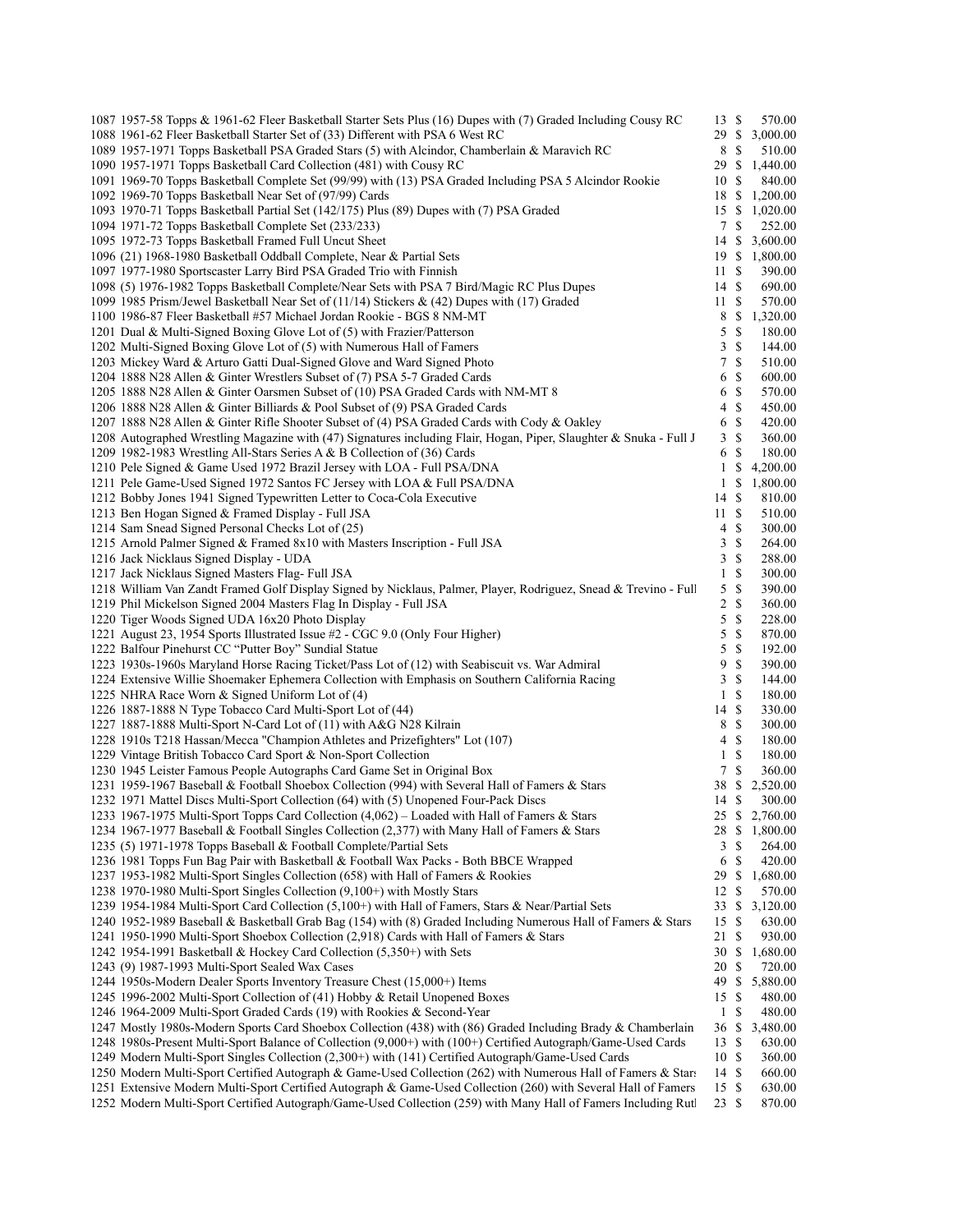| 1087 1957-58 Topps & 1961-62 Fleer Basketball Starter Sets Plus (16) Dupes with (7) Graded Including Cousy RC      | 13S          |    | 570.00              |  |
|--------------------------------------------------------------------------------------------------------------------|--------------|----|---------------------|--|
| 1088 1961-62 Fleer Basketball Starter Set of (33) Different with PSA 6 West RC                                     | 29S          |    | 3,000.00            |  |
| 1089 1957-1971 Topps Basketball PSA Graded Stars (5) with Alcindor, Chamberlain & Maravich RC                      | 8 \$         |    | 510.00              |  |
| 1090 1957-1971 Topps Basketball Card Collection (481) with Cousy RC                                                | 29S          |    | 1,440.00            |  |
| 1091 1969-70 Topps Basketball Complete Set (99/99) with (13) PSA Graded Including PSA 5 Alcindor Rookie            | 10 \$        |    | 840.00              |  |
| 1092 1969-70 Topps Basketball Near Set of (97/99) Cards                                                            | 18 \$        |    | 1,200.00            |  |
| 1093 1970-71 Topps Basketball Partial Set (142/175) Plus (89) Dupes with (7) PSA Graded                            |              |    | 15 \$ 1,020.00      |  |
| 1094 1971-72 Topps Basketball Complete Set (233/233)                                                               | $\tau$       | \$ | 252.00              |  |
| 1095 1972-73 Topps Basketball Framed Full Uncut Sheet                                                              |              |    | 14 \$ 3,600.00      |  |
| 1096 (21) 1968-1980 Basketball Oddball Complete, Near & Partial Sets                                               |              |    | 19 \$ 1,800.00      |  |
| 1097 1977-1980 Sportscaster Larry Bird PSA Graded Trio with Finnish                                                | 11S          |    | 390.00              |  |
| 1098 (5) 1976-1982 Topps Basketball Complete/Near Sets with PSA 7 Bird/Magic RC Plus Dupes                         | 14S          |    | 690.00              |  |
| 1099 1985 Prism/Jewel Basketball Near Set of (11/14) Stickers & (42) Dupes with (17) Graded                        | 11S          |    | 570.00              |  |
| 1100 1986-87 Fleer Basketball #57 Michael Jordan Rookie - BGS 8 NM-MT                                              |              |    | 8 \$ 1,320.00       |  |
| 1201 Dual & Multi-Signed Boxing Glove Lot of (5) with Frazier/Patterson                                            | 5S           |    | 180.00              |  |
| 1202 Multi-Signed Boxing Glove Lot of (5) with Numerous Hall of Famers                                             | 3            | \$ | 144.00              |  |
| 1203 Mickey Ward & Arturo Gatti Dual-Signed Glove and Ward Signed Photo                                            | 7S           |    | 510.00              |  |
| 1204 1888 N28 Allen & Ginter Wrestlers Subset of (7) PSA 5-7 Graded Cards                                          | 6 \$         |    | 600.00              |  |
| 1205 1888 N28 Allen & Ginter Oarsmen Subset of (10) PSA Graded Cards with NM-MT 8                                  | 6 \$         |    |                     |  |
|                                                                                                                    | $4 \text{ }$ |    | 570.00              |  |
| 1206 1888 N28 Allen & Ginter Billiards & Pool Subset of (9) PSA Graded Cards                                       |              |    | 450.00              |  |
| 1207 1888 N28 Allen & Ginter Rifle Shooter Subset of (4) PSA Graded Cards with Cody & Oakley                       | 6 \$         |    | 420.00              |  |
| 1208 Autographed Wrestling Magazine with (47) Signatures including Flair, Hogan, Piper, Slaughter & Snuka - Full J | 3S           |    | 360.00              |  |
| 1209 1982-1983 Wrestling All-Stars Series A & B Collection of (36) Cards                                           | 6 \$         |    | 180.00              |  |
| 1210 Pele Signed & Game Used 1972 Brazil Jersey with LOA - Full PSA/DNA                                            | $\mathbf{1}$ | \$ | 4,200.00            |  |
| 1211 Pele Game-Used Signed 1972 Santos FC Jersey with LOA & Full PSA/DNA                                           |              |    | $1 \quad $1,800.00$ |  |
| 1212 Bobby Jones 1941 Signed Typewritten Letter to Coca-Cola Executive                                             | 14S          |    | 810.00              |  |
| 1213 Ben Hogan Signed & Framed Display - Full JSA                                                                  | 11S          |    | 510.00              |  |
| 1214 Sam Snead Signed Personal Checks Lot of (25)                                                                  | $4 \text{ }$ |    | 300.00              |  |
| 1215 Arnold Palmer Signed & Framed 8x10 with Masters Inscription - Full JSA                                        | 3S           |    | 264.00              |  |
| 1216 Jack Nicklaus Signed Display - UDA                                                                            | 3            | \$ | 288.00              |  |
| 1217 Jack Nicklaus Signed Masters Flag- Full JSA                                                                   | $\mathbf{1}$ | \$ | 300.00              |  |
| 1218 William Van Zandt Framed Golf Display Signed by Nicklaus, Palmer, Player, Rodriguez, Snead & Trevino - Full   | 5S           |    | 390.00              |  |
| 1219 Phil Mickelson Signed 2004 Masters Flag In Display - Full JSA                                                 | $2 \sqrt{s}$ |    | 360.00              |  |
| 1220 Tiger Woods Signed UDA 16x20 Photo Display                                                                    | 5            | \$ | 228.00              |  |
| 1221 August 23, 1954 Sports Illustrated Issue #2 - CGC 9.0 (Only Four Higher)                                      | 5            | \$ | 870.00              |  |
| 1222 Balfour Pinehurst CC "Putter Boy" Sundial Statue                                                              | 5            | \$ | 192.00              |  |
| 1223 1930s-1960s Maryland Horse Racing Ticket/Pass Lot of (12) with Seabiscuit vs. War Admiral                     | 9            | \$ | 390.00              |  |
| 1224 Extensive Willie Shoemaker Ephemera Collection with Emphasis on Southern California Racing                    | 3S           |    | 144.00              |  |
| 1225 NHRA Race Worn & Signed Uniform Lot of (4)                                                                    | $1 \text{ }$ |    | 180.00              |  |
| 1226 1887-1888 N Type Tobacco Card Multi-Sport Lot of (44)                                                         | 14S          |    | 330.00              |  |
| 1227 1887-1888 Multi-Sport N-Card Lot of (11) with A&G N28 Kilrain                                                 | 8 \$         |    | 300.00              |  |
| 1228 1910s T218 Hassan/Mecca "Champion Athletes and Prizefighters" Lot (107)                                       | $4 \text{ }$ |    | 180.00              |  |
| 1229 Vintage British Tobacco Card Sport & Non-Sport Collection                                                     | $\mathbf{1}$ | \$ | 180.00              |  |
| 1230 1945 Leister Famous People Autographs Card Game Set in Original Box                                           | 7 \$         |    | 360.00              |  |
| 1231 1959-1967 Baseball & Football Shoebox Collection (994) with Several Hall of Famers & Stars                    | 38 S         |    | 2,520.00            |  |
| 1232 1971 Mattel Discs Multi-Sport Collection (64) with (5) Unopened Four-Pack Discs                               | 14S          |    | 300.00              |  |
| 1233 1967-1975 Multi-Sport Topps Card Collection (4,062) - Loaded with Hall of Famers & Stars                      | 25           |    | \$2,760.00          |  |
| 1234 1967-1977 Baseball & Football Singles Collection (2,377) with Many Hall of Famers & Stars                     | 28 \$        |    | 1,800.00            |  |
| 1235 (5) 1971-1978 Topps Baseball & Football Complete/Partial Sets                                                 | 3            | S  | 264.00              |  |
| 1236 1981 Topps Fun Bag Pair with Basketball & Football Wax Packs - Both BBCE Wrapped                              | 6            | \$ | 420.00              |  |
| 1237 1953-1982 Multi-Sport Singles Collection (658) with Hall of Famers & Rookies                                  | 29S          |    | 1,680.00            |  |
| 1238 1970-1980 Multi-Sport Singles Collection (9,100+) with Mostly Stars                                           | 12S          |    | 570.00              |  |
|                                                                                                                    |              |    |                     |  |
| 1239 1954-1984 Multi-Sport Card Collection (5,100+) with Hall of Famers, Stars & Near/Partial Sets                 | 33 \$        |    | 3,120.00            |  |
| 1240 1952-1989 Baseball & Basketball Grab Bag (154) with (8) Graded Including Numerous Hall of Famers & Stars      | 15S          |    | 630.00              |  |
| 1241 1950-1990 Multi-Sport Shoebox Collection (2,918) Cards with Hall of Famers & Stars                            | 21S          |    | 930.00              |  |
| 1242 1954-1991 Basketball & Hockey Card Collection (5,350+) with Sets                                              | 30S          |    | 1,680.00            |  |
| 1243 (9) 1987-1993 Multi-Sport Sealed Wax Cases                                                                    | 20 S         |    | 720.00              |  |
| 1244 1950s-Modern Dealer Sports Inventory Treasure Chest (15,000+) Items                                           | 49 \$        |    | 5,880.00            |  |
| 1245 1996-2002 Multi-Sport Collection of (41) Hobby & Retail Unopened Boxes                                        | 15S          |    | 480.00              |  |
| 1246 1964-2009 Multi-Sport Graded Cards (19) with Rookies & Second-Year                                            | $\mathbf{1}$ | S  | 480.00              |  |
| 1247 Mostly 1980s-Modern Sports Card Shoebox Collection (438) with (86) Graded Including Brady & Chamberlain       | 36           | \$ | 3,480.00            |  |
| 1248 1980s-Present Multi-Sport Balance of Collection (9,000+) with (100+) Certified Autograph/Game-Used Cards      | 13S          |    | 630.00              |  |
| 1249 Modern Multi-Sport Singles Collection (2,300+) with (141) Certified Autograph/Game-Used Cards                 | 10S          |    | 360.00              |  |
| 1250 Modern Multi-Sport Certified Autograph & Game-Used Collection (262) with Numerous Hall of Famers & Stars      | 14S          |    | 660.00              |  |
| 1251 Extensive Modern Multi-Sport Certified Autograph & Game-Used Collection (260) with Several Hall of Famers     | 15S          |    | 630.00              |  |
| 1252 Modern Multi-Sport Certified Autograph/Game-Used Collection (259) with Many Hall of Famers Including Rutl     | 23S          |    | 870.00              |  |
|                                                                                                                    |              |    |                     |  |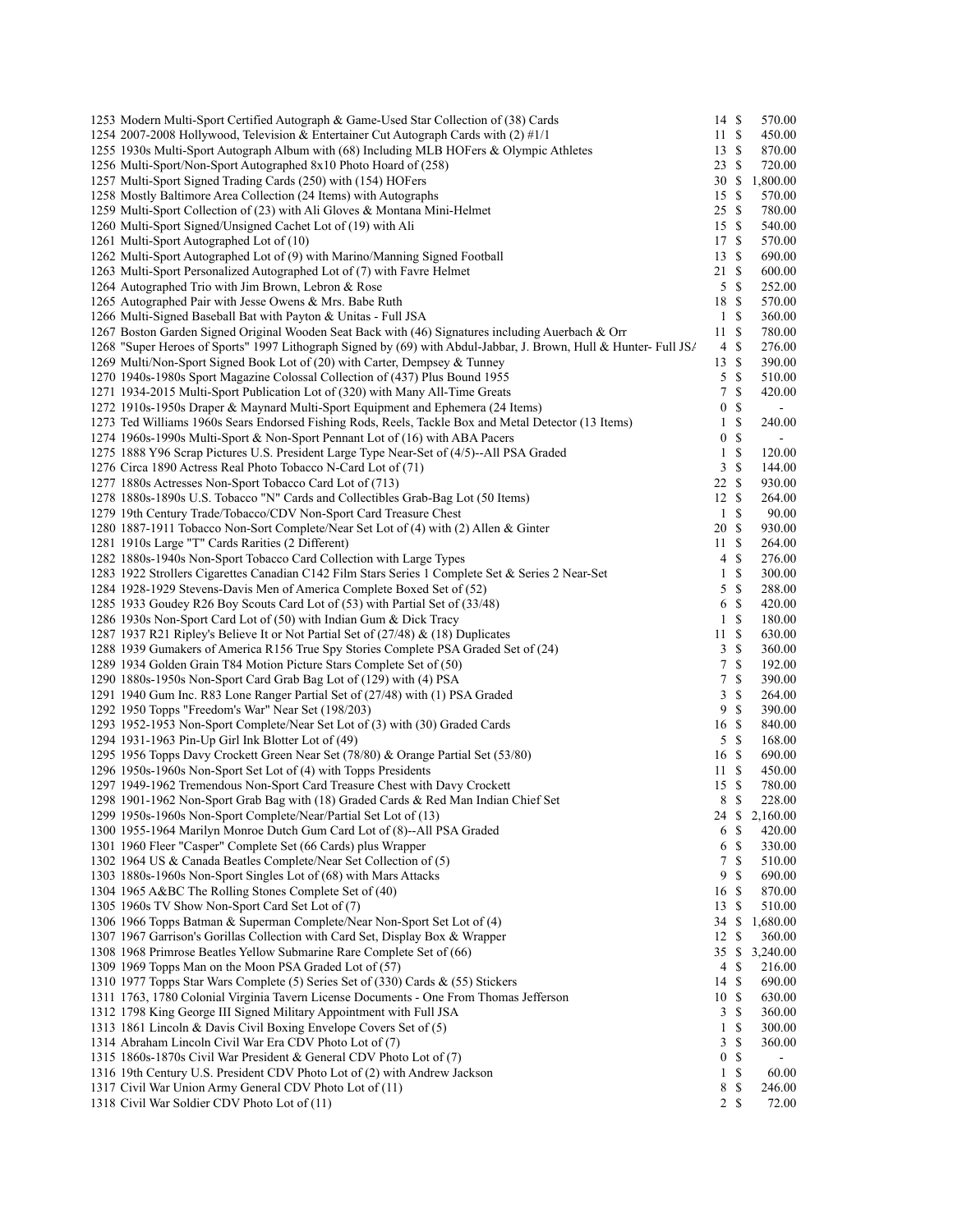| 1253 Modern Multi-Sport Certified Autograph & Game-Used Star Collection of (38) Cards                             | 14S              |                           | 570.00         |
|-------------------------------------------------------------------------------------------------------------------|------------------|---------------------------|----------------|
| 1254 2007-2008 Hollywood, Television & Entertainer Cut Autograph Cards with (2) #1/1                              | 11               | $\mathbb{S}$              | 450.00         |
| 1255 1930s Multi-Sport Autograph Album with (68) Including MLB HOFers & Olympic Athletes                          | 13S              |                           | 870.00         |
| 1256 Multi-Sport/Non-Sport Autographed 8x10 Photo Hoard of (258)                                                  | 23               | $\mathbb{S}$              | 720.00         |
| 1257 Multi-Sport Signed Trading Cards (250) with (154) HOFers                                                     | 30S              |                           | 1,800.00       |
| 1258 Mostly Baltimore Area Collection (24 Items) with Autographs                                                  | 15               | $\mathbb{S}$              | 570.00         |
| 1259 Multi-Sport Collection of (23) with Ali Gloves & Montana Mini-Helmet                                         | 25               | -S                        | 780.00         |
| 1260 Multi-Sport Signed/Unsigned Cachet Lot of (19) with Ali                                                      | 15S              |                           | 540.00         |
| 1261 Multi-Sport Autographed Lot of (10)                                                                          | 17S              |                           | 570.00         |
| 1262 Multi-Sport Autographed Lot of (9) with Marino/Manning Signed Football                                       | 13               | \$                        | 690.00         |
| 1263 Multi-Sport Personalized Autographed Lot of (7) with Favre Helmet                                            | 21               | - \$                      | 600.00         |
| 1264 Autographed Trio with Jim Brown, Lebron & Rose                                                               | 5                | - \$                      | 252.00         |
| 1265 Autographed Pair with Jesse Owens & Mrs. Babe Ruth                                                           | 18 \$            |                           | 570.00         |
| 1266 Multi-Signed Baseball Bat with Payton & Unitas - Full JSA                                                    | $\,1$            | $\mathcal{S}$             | 360.00         |
| 1267 Boston Garden Signed Original Wooden Seat Back with (46) Signatures including Auerbach & Orr                 | 11               | -S                        | 780.00         |
| 1268 "Super Heroes of Sports" 1997 Lithograph Signed by (69) with Abdul-Jabbar, J. Brown, Hull & Hunter- Full JS/ | 4                | $\mathbb{S}$              | 276.00         |
| 1269 Multi/Non-Sport Signed Book Lot of (20) with Carter, Dempsey & Tunney                                        | 13               | <sup>\$</sup>             | 390.00         |
| 1270 1940s-1980s Sport Magazine Colossal Collection of (437) Plus Bound 1955                                      | 5                | $\mathbb{S}$              | 510.00         |
| 1271 1934-2015 Multi-Sport Publication Lot of (320) with Many All-Time Greats                                     | 7                | $\boldsymbol{\mathsf{S}}$ | 420.00         |
| 1272 1910s-1950s Draper & Maynard Multi-Sport Equipment and Ephemera (24 Items)                                   | $\boldsymbol{0}$ | \$                        |                |
| 1273 Ted Williams 1960s Sears Endorsed Fishing Rods, Reels, Tackle Box and Metal Detector (13 Items)              | 1                | \$                        | 240.00         |
| 1274 1960s-1990s Multi-Sport & Non-Sport Pennant Lot of (16) with ABA Pacers                                      | $\boldsymbol{0}$ | \$                        | $\blacksquare$ |
| 1275 1888 Y96 Scrap Pictures U.S. President Large Type Near-Set of (4/5)--All PSA Graded                          | 1                | \$                        | 120.00         |
| 1276 Circa 1890 Actress Real Photo Tobacco N-Card Lot of (71)                                                     | 3                | \$                        | 144.00         |
|                                                                                                                   | 22               | $\mathcal{S}$             | 930.00         |
| 1277 1880s Actresses Non-Sport Tobacco Card Lot of (713)                                                          |                  |                           |                |
| 1278 1880s-1890s U.S. Tobacco "N" Cards and Collectibles Grab-Bag Lot (50 Items)                                  | 12               | -S                        | 264.00         |
| 1279 19th Century Trade/Tobacco/CDV Non-Sport Card Treasure Chest                                                 | $\mathbf{1}$     | <sup>\$</sup>             | 90.00          |
| 1280 1887-1911 Tobacco Non-Sort Complete/Near Set Lot of (4) with (2) Allen & Ginter                              | 20 <sup>5</sup>  |                           | 930.00         |
| 1281 1910s Large "T" Cards Rarities (2 Different)                                                                 | 11S              |                           | 264.00         |
| 1282 1880s-1940s Non-Sport Tobacco Card Collection with Large Types                                               | 4                | \$                        | 276.00         |
| 1283 1922 Strollers Cigarettes Canadian C142 Film Stars Series 1 Complete Set & Series 2 Near-Set                 | 1                | \$                        | 300.00         |
| 1284 1928-1929 Stevens-Davis Men of America Complete Boxed Set of (52)                                            | 5                | <sup>\$</sup>             | 288.00         |
| 1285 1933 Goudey R26 Boy Scouts Card Lot of (53) with Partial Set of (33/48)                                      | 6                | $\mathbb{S}$              | 420.00         |
| 1286 1930s Non-Sport Card Lot of (50) with Indian Gum & Dick Tracy                                                | 1                | \$                        | 180.00         |
| 1287 1937 R21 Ripley's Believe It or Not Partial Set of (27/48) & (18) Duplicates                                 | 11               | $\mathcal{S}$             | 630.00         |
| 1288 1939 Gumakers of America R156 True Spy Stories Complete PSA Graded Set of (24)                               | 3                | \$                        | 360.00         |
| 1289 1934 Golden Grain T84 Motion Picture Stars Complete Set of (50)                                              | 7                | \$                        | 192.00         |
| 1290 1880s-1950s Non-Sport Card Grab Bag Lot of (129) with (4) PSA                                                | 7                | \$                        | 390.00         |
| 1291 1940 Gum Inc. R83 Lone Ranger Partial Set of (27/48) with (1) PSA Graded                                     | 3                | \$                        | 264.00         |
| 1292 1950 Topps "Freedom's War" Near Set (198/203)                                                                | 9                | <sup>\$</sup>             | 390.00         |
| 1293 1952-1953 Non-Sport Complete/Near Set Lot of (3) with (30) Graded Cards                                      | 16               | - \$                      | 840.00         |
| 1294 1931-1963 Pin-Up Girl Ink Blotter Lot of (49)                                                                | 5                | -S                        | 168.00         |
| 1295 1956 Topps Davy Crockett Green Near Set (78/80) & Orange Partial Set (53/80)                                 | 16S              |                           | 690.00         |
| 1296 1950s-1960s Non-Sport Set Lot of (4) with Topps Presidents                                                   | 11               | - \$                      | 450.00         |
| 1297 1949-1962 Tremendous Non-Sport Card Treasure Chest with Davy Crockett                                        | 15               | -S                        | 780.00         |
| 1298 1901-1962 Non-Sport Grab Bag with (18) Graded Cards & Red Man Indian Chief Set                               | 8 \$             |                           | 228.00         |
| 1299 1950s-1960s Non-Sport Complete/Near/Partial Set Lot of (13)                                                  | 24               | \$                        | 2,160.00       |
| 1300 1955-1964 Marilyn Monroe Dutch Gum Card Lot of (8)--All PSA Graded                                           | 6                | S                         | 420.00         |
| 1301 1960 Fleer "Casper" Complete Set (66 Cards) plus Wrapper                                                     | 6                | <sup>\$</sup>             | 330.00         |
| 1302 1964 US & Canada Beatles Complete/Near Set Collection of (5)                                                 | 7                | \$                        | 510.00         |
| 1303 1880s-1960s Non-Sport Singles Lot of (68) with Mars Attacks                                                  | 9                | \$                        | 690.00         |
| 1304 1965 A&BC The Rolling Stones Complete Set of (40)                                                            | 16               | <sup>\$</sup>             | 870.00         |
| 1305 1960s TV Show Non-Sport Card Set Lot of (7)                                                                  | 13               | S                         | 510.00         |
| 1306 1966 Topps Batman & Superman Complete/Near Non-Sport Set Lot of (4)                                          | 34 \$            |                           | 1,680.00       |
| 1307 1967 Garrison's Gorillas Collection with Card Set, Display Box & Wrapper                                     | 12               | S                         | 360.00         |
| 1308 1968 Primrose Beatles Yellow Submarine Rare Complete Set of (66)                                             | 35               | \$                        | 3,240.00       |
|                                                                                                                   |                  |                           |                |
| 1309 1969 Topps Man on the Moon PSA Graded Lot of (57)                                                            | 4                | \$                        | 216.00         |
| 1310 1977 Topps Star Wars Complete (5) Series Set of (330) Cards & (55) Stickers                                  | 14S              |                           | 690.00         |
| 1311 1763, 1780 Colonial Virginia Tavern License Documents - One From Thomas Jefferson                            | 10               | \$                        | 630.00         |
| 1312 1798 King George III Signed Military Appointment with Full JSA                                               | 3                | \$                        | 360.00         |
| 1313 1861 Lincoln & Davis Civil Boxing Envelope Covers Set of (5)                                                 | $\mathbf{1}$     | \$                        | 300.00         |
| 1314 Abraham Lincoln Civil War Era CDV Photo Lot of (7)                                                           | 3                | \$                        | 360.00         |
| 1315 1860s-1870s Civil War President & General CDV Photo Lot of (7)                                               | $\boldsymbol{0}$ | \$                        |                |
| 1316 19th Century U.S. President CDV Photo Lot of (2) with Andrew Jackson                                         | 1                | \$                        | 60.00          |
| 1317 Civil War Union Army General CDV Photo Lot of (11)                                                           | 8                | \$                        | 246.00         |
| 1318 Civil War Soldier CDV Photo Lot of (11)                                                                      |                  | 2S                        | 72.00          |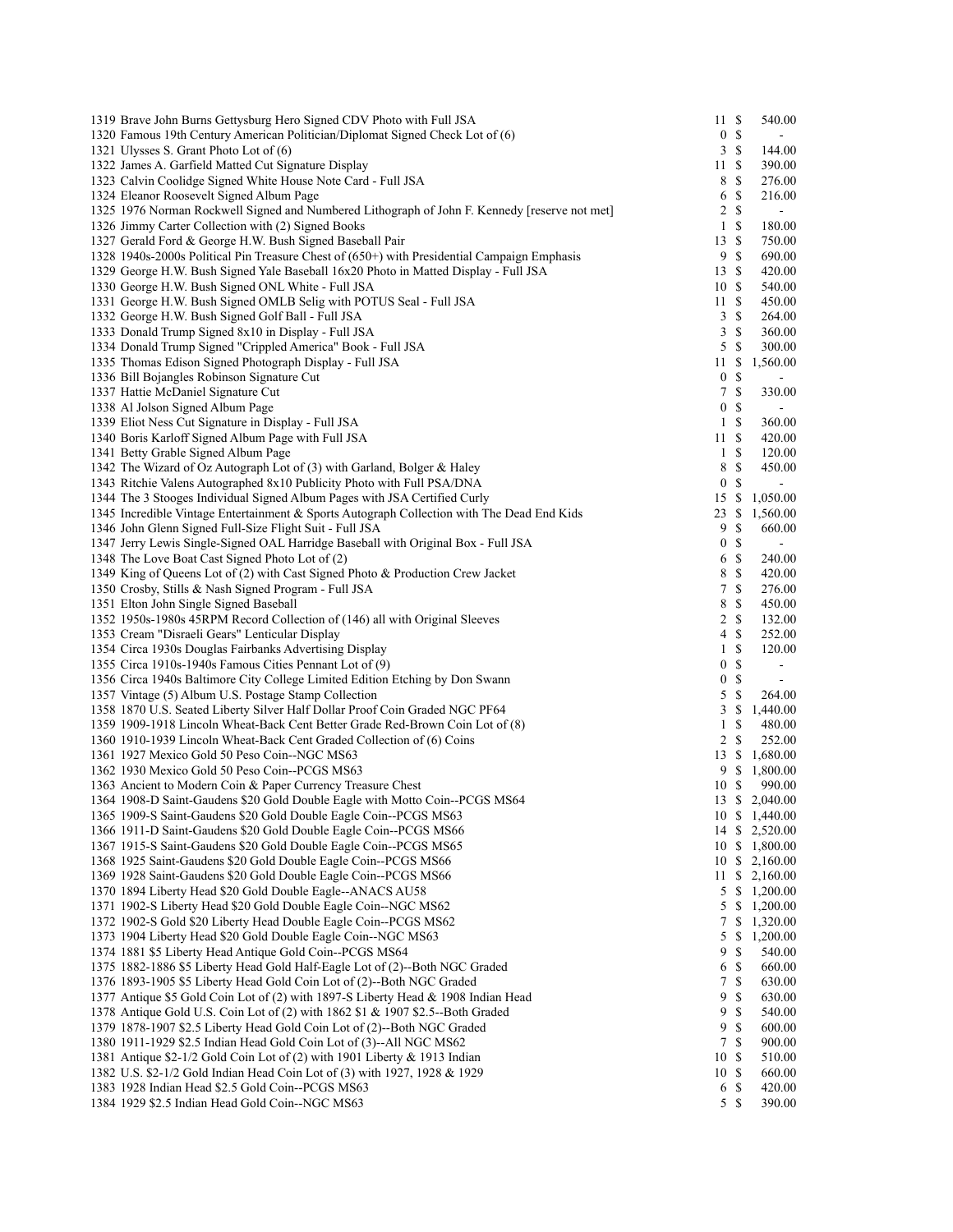| 1319 Brave John Burns Gettysburg Hero Signed CDV Photo with Full JSA                          | 11               | $\boldsymbol{\mathsf{S}}$ | 540.00                |
|-----------------------------------------------------------------------------------------------|------------------|---------------------------|-----------------------|
| 1320 Famous 19th Century American Politician/Diplomat Signed Check Lot of (6)                 | $\boldsymbol{0}$ | \$                        | $\blacksquare$        |
| 1321 Ulysses S. Grant Photo Lot of (6)                                                        | 3                | $\mathbf S$               | 144.00                |
| 1322 James A. Garfield Matted Cut Signature Display                                           | 11               | -\$                       | 390.00                |
| 1323 Calvin Coolidge Signed White House Note Card - Full JSA                                  | 8                | \$                        | 276.00                |
| 1324 Eleanor Roosevelt Signed Album Page                                                      | 6                | \$                        | 216.00                |
| 1325 1976 Norman Rockwell Signed and Numbered Lithograph of John F. Kennedy [reserve not met] | 2                | \$                        | $\blacksquare$        |
|                                                                                               |                  |                           |                       |
| 1326 Jimmy Carter Collection with (2) Signed Books                                            | $\mathbf{1}$     | $\mathbb{S}$              | 180.00                |
| 1327 Gerald Ford & George H.W. Bush Signed Baseball Pair                                      | 13               | -S                        | 750.00                |
| 1328 1940s-2000s Political Pin Treasure Chest of (650+) with Presidential Campaign Emphasis   | 9                | $\mathbb{S}$              | 690.00                |
| 1329 George H.W. Bush Signed Yale Baseball 16x20 Photo in Matted Display - Full JSA           | 13               | <sup>\$</sup>             | 420.00                |
| 1330 George H.W. Bush Signed ONL White - Full JSA                                             | 10               | <sup>\$</sup>             | 540.00                |
| 1331 George H.W. Bush Signed OMLB Selig with POTUS Seal - Full JSA                            | 11               | <sup>\$</sup>             | 450.00                |
| 1332 George H.W. Bush Signed Golf Ball - Full JSA                                             | 3                | S                         | 264.00                |
| 1333 Donald Trump Signed 8x10 in Display - Full JSA                                           | 3                | <sup>\$</sup>             | 360.00                |
| 1334 Donald Trump Signed "Crippled America" Book - Full JSA                                   | 5                | <sup>\$</sup>             | 300.00                |
|                                                                                               |                  |                           |                       |
| 1335 Thomas Edison Signed Photograph Display - Full JSA                                       | 11               | \$                        | 1,560.00              |
| 1336 Bill Bojangles Robinson Signature Cut                                                    | $\boldsymbol{0}$ | S                         | $\blacksquare$        |
| 1337 Hattie McDaniel Signature Cut                                                            | $\tau$           | $\mathbb{S}$              | 330.00                |
| 1338 Al Jolson Signed Album Page                                                              | $\boldsymbol{0}$ | \$                        |                       |
| 1339 Eliot Ness Cut Signature in Display - Full JSA                                           | $\mathbf{1}$     | $\mathbb{S}$              | 360.00                |
| 1340 Boris Karloff Signed Album Page with Full JSA                                            | 11               | <sup>\$</sup>             | 420.00                |
| 1341 Betty Grable Signed Album Page                                                           | $\mathbf{1}$     | S                         | 120.00                |
| 1342 The Wizard of Oz Autograph Lot of (3) with Garland, Bolger & Haley                       | 8                | $\mathbb{S}$              | 450.00                |
| 1343 Ritchie Valens Autographed 8x10 Publicity Photo with Full PSA/DNA                        | $\boldsymbol{0}$ | \$                        |                       |
|                                                                                               |                  |                           |                       |
| 1344 The 3 Stooges Individual Signed Album Pages with JSA Certified Curly                     | 15               | $\mathbb{S}$              | 1,050.00              |
| 1345 Incredible Vintage Entertainment & Sports Autograph Collection with The Dead End Kids    | 23               | \$                        | 1,560.00              |
| 1346 John Glenn Signed Full-Size Flight Suit - Full JSA                                       | 9                | \$                        | 660.00                |
| 1347 Jerry Lewis Single-Signed OAL Harridge Baseball with Original Box - Full JSA             | $\boldsymbol{0}$ | $\mathbb{S}$              | $\blacksquare$        |
| 1348 The Love Boat Cast Signed Photo Lot of (2)                                               | 6                | S                         | 240.00                |
| 1349 King of Queens Lot of (2) with Cast Signed Photo & Production Crew Jacket                | 8                | $\mathbb{S}$              | 420.00                |
| 1350 Crosby, Stills & Nash Signed Program - Full JSA                                          | 7                | <sup>\$</sup>             | 276.00                |
| 1351 Elton John Single Signed Baseball                                                        | 8                | $\mathbb{S}$              | 450.00                |
| 1352 1950s-1980s 45RPM Record Collection of (146) all with Original Sleeves                   | 2                | $\mathbb{S}$              | 132.00                |
|                                                                                               |                  |                           |                       |
| 1353 Cream "Disraeli Gears" Lenticular Display                                                | 4                | $\mathbb{S}$              | 252.00                |
| 1354 Circa 1930s Douglas Fairbanks Advertising Display                                        | 1                | $\mathbb{S}$              | 120.00                |
| 1355 Circa 1910s-1940s Famous Cities Pennant Lot of (9)                                       | $\boldsymbol{0}$ | $\mathbb{S}$              |                       |
| 1356 Circa 1940s Baltimore City College Limited Edition Etching by Don Swann                  | $\boldsymbol{0}$ | $\mathbb{S}$              | $\blacksquare$        |
| 1357 Vintage (5) Album U.S. Postage Stamp Collection                                          | 5                | $\mathbb{S}$              | 264.00                |
| 1358 1870 U.S. Seated Liberty Silver Half Dollar Proof Coin Graded NGC PF64                   | 3                | \$                        | 1,440.00              |
| 1359 1909-1918 Lincoln Wheat-Back Cent Better Grade Red-Brown Coin Lot of (8)                 | 1                | S                         | 480.00                |
| 1360 1910-1939 Lincoln Wheat-Back Cent Graded Collection of (6) Coins                         | $\overline{2}$   | <sup>\$</sup>             | 252.00                |
| 1361 1927 Mexico Gold 50 Peso Coin--NGC MS63                                                  | 13               | \$                        | 1,680.00              |
|                                                                                               |                  |                           |                       |
| 1362 1930 Mexico Gold 50 Peso Coin--PCGS MS63                                                 |                  | 9\$                       | 1,800.00              |
| 1363 Ancient to Modern Coin & Paper Currency Treasure Chest                                   | 10S              |                           | 990.00                |
| 1364 1908-D Saint-Gaudens \$20 Gold Double Eagle with Motto Coin--PCGS MS64                   |                  |                           | 13 \$ 2,040.00        |
| 1365 1909-S Saint-Gaudens \$20 Gold Double Eagle Coin--PCGS MS63                              |                  |                           | 10 \$ 1,440.00        |
| 1366 1911-D Saint-Gaudens \$20 Gold Double Eagle Coin--PCGS MS66                              |                  |                           | 14 \$ 2,520.00        |
| 1367 1915-S Saint-Gaudens \$20 Gold Double Eagle Coin--PCGS MS65                              | 10               |                           | \$1,800.00            |
| 1368 1925 Saint-Gaudens \$20 Gold Double Eagle Coin--PCGS MS66                                |                  |                           | $10 \t S \t 2,160.00$ |
| 1369 1928 Saint-Gaudens \$20 Gold Double Eagle Coin--PCGS MS66                                |                  |                           | $11 \quad $2,160.00$  |
| 1370 1894 Liberty Head \$20 Gold Double Eagle--ANACS AU58                                     | 5                |                           | \$1,200.00            |
|                                                                                               |                  |                           |                       |
| 1371 1902-S Liberty Head \$20 Gold Double Eagle Coin--NGC MS62                                | 5                | \$                        | 1,200.00              |
| 1372 1902-S Gold \$20 Liberty Head Double Eagle Coin--PCGS MS62                               | 7                | \$                        | 1,320.00              |
| 1373 1904 Liberty Head \$20 Gold Double Eagle Coin--NGC MS63                                  | 5                | \$                        | 1,200.00              |
| 1374 1881 \$5 Liberty Head Antique Gold Coin--PCGS MS64                                       | 9                | \$                        | 540.00                |
| 1375 1882-1886 \$5 Liberty Head Gold Half-Eagle Lot of (2)--Both NGC Graded                   | 6                | \$                        | 660.00                |
| 1376 1893-1905 \$5 Liberty Head Gold Coin Lot of (2)--Both NGC Graded                         | 7                | \$                        | 630.00                |
| 1377 Antique \$5 Gold Coin Lot of (2) with 1897-S Liberty Head & 1908 Indian Head             | 9                | \$                        | 630.00                |
| 1378 Antique Gold U.S. Coin Lot of (2) with 1862 \$1 & 1907 \$2.5--Both Graded                | 9                | \$                        | 540.00                |
| 1379 1878-1907 \$2.5 Liberty Head Gold Coin Lot of (2)--Both NGC Graded                       | 9                | \$                        | 600.00                |
| 1380 1911-1929 \$2.5 Indian Head Gold Coin Lot of (3)--All NGC MS62                           | 7                | S                         | 900.00                |
|                                                                                               |                  |                           |                       |
| 1381 Antique \$2-1/2 Gold Coin Lot of (2) with 1901 Liberty & 1913 Indian                     | 10               | S                         | 510.00                |
| 1382 U.S. \$2-1/2 Gold Indian Head Coin Lot of (3) with 1927, 1928 & 1929                     | 10               | S                         | 660.00                |
| 1383 1928 Indian Head \$2.5 Gold Coin--PCGS MS63                                              | 6                | \$                        | 420.00                |
| 1384 1929 \$2.5 Indian Head Gold Coin--NGC MS63                                               | 5                | -S                        | 390.00                |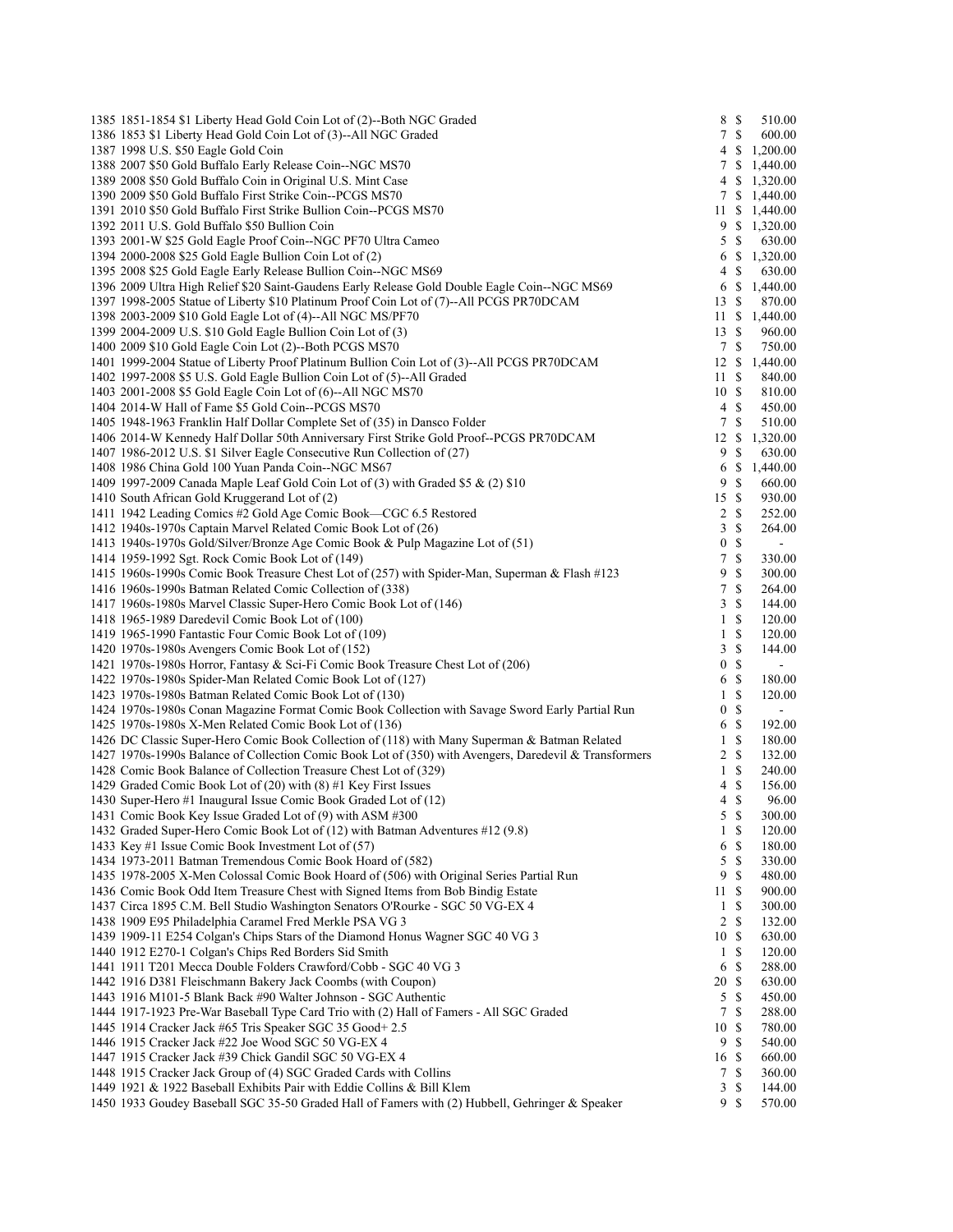| 1385 1851-1854 \$1 Liberty Head Gold Coin Lot of (2)--Both NGC Graded                                                                                                                    |                       | 8 \$                  | 510.00                   |
|------------------------------------------------------------------------------------------------------------------------------------------------------------------------------------------|-----------------------|-----------------------|--------------------------|
| 1386 1853 \$1 Liberty Head Gold Coin Lot of (3)--All NGC Graded                                                                                                                          |                       | 7S                    | 600.00                   |
| 1387 1998 U.S. \$50 Eagle Gold Coin                                                                                                                                                      | 4                     | \$                    | 1,200.00                 |
| 1388 2007 \$50 Gold Buffalo Early Release Coin--NGC MS70                                                                                                                                 |                       |                       | 7 \$ 1,440.00            |
| 1389 2008 \$50 Gold Buffalo Coin in Original U.S. Mint Case                                                                                                                              |                       |                       | 4 \$ 1,320.00            |
| 1390 2009 \$50 Gold Buffalo First Strike Coin--PCGS MS70                                                                                                                                 |                       |                       | 7 \$ 1,440.00            |
| 1391 2010 \$50 Gold Buffalo First Strike Bullion Coin--PCGS MS70                                                                                                                         |                       |                       | 11 \$ 1,440.00           |
| 1392 2011 U.S. Gold Buffalo \$50 Bullion Coin                                                                                                                                            |                       |                       | 9 \$ 1,320.00            |
| 1393 2001-W \$25 Gold Eagle Proof Coin--NGC PF70 Ultra Cameo                                                                                                                             | 5                     | -S                    | 630.00                   |
| 1394 2000-2008 \$25 Gold Eagle Bullion Coin Lot of (2)                                                                                                                                   | 6                     | \$                    | 1,320.00                 |
| 1395 2008 \$25 Gold Eagle Early Release Bullion Coin--NGC MS69                                                                                                                           | 4                     | <sup>\$</sup><br>6 \$ | 630.00                   |
| 1396 2009 Ultra High Relief \$20 Saint-Gaudens Early Release Gold Double Eagle Coin--NGC MS69<br>1397 1998-2005 Statue of Liberty \$10 Platinum Proof Coin Lot of (7)--All PCGS PR70DCAM | 13S                   |                       | 1,440.00                 |
| 1398 2003-2009 \$10 Gold Eagle Lot of (4)--All NGC MS/PF70                                                                                                                               | 11S                   |                       | 870.00<br>1,440.00       |
| 1399 2004-2009 U.S. \$10 Gold Eagle Bullion Coin Lot of (3)                                                                                                                              | 13S                   |                       | 960.00                   |
| 1400 2009 \$10 Gold Eagle Coin Lot (2)--Both PCGS MS70                                                                                                                                   |                       | 7S                    | 750.00                   |
| 1401 1999-2004 Statue of Liberty Proof Platinum Bullion Coin Lot of (3)--All PCGS PR70DCAM                                                                                               | 12S                   |                       | 1,440.00                 |
| 1402 1997-2008 \$5 U.S. Gold Eagle Bullion Coin Lot of (5)--All Graded                                                                                                                   | 11S                   |                       | 840.00                   |
| 1403 2001-2008 \$5 Gold Eagle Coin Lot of (6)--All NGC MS70                                                                                                                              | 10S                   |                       | 810.00                   |
| 1404 2014-W Hall of Fame \$5 Gold Coin--PCGS MS70                                                                                                                                        | 4                     | S                     | 450.00                   |
| 1405 1948-1963 Franklin Half Dollar Complete Set of (35) in Dansco Folder                                                                                                                | 7                     | $\mathbb{S}$          | 510.00                   |
| 1406 2014-W Kennedy Half Dollar 50th Anniversary First Strike Gold Proof--PCGS PR70DCAM                                                                                                  | 12                    | \$                    | 1,320.00                 |
| 1407 1986-2012 U.S. \$1 Silver Eagle Consecutive Run Collection of (27)                                                                                                                  | 9                     | <sup>\$</sup>         | 630.00                   |
| 1408 1986 China Gold 100 Yuan Panda Coin--NGC MS67                                                                                                                                       | 6                     | \$                    | 1,440.00                 |
| 1409 1997-2009 Canada Maple Leaf Gold Coin Lot of (3) with Graded \$5 & (2) \$10                                                                                                         | 9                     | $\mathbb{S}$          | 660.00                   |
| 1410 South African Gold Kruggerand Lot of (2)                                                                                                                                            | 15S                   |                       | 930.00                   |
| 1411 1942 Leading Comics #2 Gold Age Comic Book—CGC 6.5 Restored                                                                                                                         |                       | 2 S                   | 252.00                   |
| 1412 1940s-1970s Captain Marvel Related Comic Book Lot of (26)                                                                                                                           | 3                     | \$                    | 264.00                   |
| 1413 1940s-1970s Gold/Silver/Bronze Age Comic Book & Pulp Magazine Lot of (51)                                                                                                           | $\boldsymbol{0}$      | $\mathbb{S}$          | $\overline{\phantom{0}}$ |
| 1414 1959-1992 Sgt. Rock Comic Book Lot of (149)                                                                                                                                         | 7                     | $\mathbb{S}$          | 330.00                   |
| 1415 1960s-1990s Comic Book Treasure Chest Lot of (257) with Spider-Man, Superman & Flash #123                                                                                           | 9                     | $\mathbb{S}$          | 300.00                   |
| 1416 1960s-1990s Batman Related Comic Collection of (338)                                                                                                                                | 7                     | $\mathbb{S}$          | 264.00                   |
| 1417 1960s-1980s Marvel Classic Super-Hero Comic Book Lot of (146)                                                                                                                       | 3                     | $\mathbb S$           | 144.00                   |
| 1418 1965-1989 Daredevil Comic Book Lot of (100)                                                                                                                                         | $\mathbf{1}$          | $\mathbb{S}$          | 120.00                   |
| 1419 1965-1990 Fantastic Four Comic Book Lot of (109)                                                                                                                                    | $\mathbf{1}$          | \$                    | 120.00                   |
| 1420 1970s-1980s Avengers Comic Book Lot of (152)<br>1421 1970s-1980s Horror, Fantasy & Sci-Fi Comic Book Treasure Chest Lot of (206)                                                    | 3<br>$\boldsymbol{0}$ | \$<br>$\mathbb{S}$    | 144.00<br>÷,             |
| 1422 1970s-1980s Spider-Man Related Comic Book Lot of (127)                                                                                                                              | 6                     | $\mathbb{S}$          | 180.00                   |
| 1423 1970s-1980s Batman Related Comic Book Lot of (130)                                                                                                                                  | $\mathbf{1}$          | \$                    | 120.00                   |
| 1424 1970s-1980s Conan Magazine Format Comic Book Collection with Savage Sword Early Partial Run                                                                                         | $\mathbf{0}$          | $\mathbb{S}$          | $\overline{\phantom{0}}$ |
| 1425 1970s-1980s X-Men Related Comic Book Lot of (136)                                                                                                                                   | 6                     | \$                    | 192.00                   |
| 1426 DC Classic Super-Hero Comic Book Collection of (118) with Many Superman & Batman Related                                                                                            | $\mathbf{1}$          | \$                    | 180.00                   |
| 1427 1970s-1990s Balance of Collection Comic Book Lot of (350) with Avengers, Daredevil & Transformers                                                                                   | 2 S                   |                       | 132.00                   |
| 1428 Comic Book Balance of Collection Treasure Chest Lot of (329)                                                                                                                        | $\mathbf{1}$          | S                     | 240.00                   |
| 1429 Graded Comic Book Lot of (20) with (8) #1 Key First Issues                                                                                                                          | 4                     | $\mathbb{S}$          | 156.00                   |
| 1430 Super-Hero #1 Inaugural Issue Comic Book Graded Lot of (12)                                                                                                                         | 4S                    |                       | 96.00                    |
| 1431 Comic Book Key Issue Graded Lot of (9) with ASM #300                                                                                                                                | $\mathcal{L}$         | -S                    | 300.00                   |
| 1432 Graded Super-Hero Comic Book Lot of (12) with Batman Adventures #12 (9.8)                                                                                                           | $\mathbf{1}$          | $\mathbb{S}$          | 120.00                   |
| 1433 Key #1 Issue Comic Book Investment Lot of (57)                                                                                                                                      | 6                     | \$                    | 180.00                   |
| 1434 1973-2011 Batman Tremendous Comic Book Hoard of (582)                                                                                                                               | 5                     | $\mathbb S$           | 330.00                   |
| 1435 1978-2005 X-Men Colossal Comic Book Hoard of (506) with Original Series Partial Run                                                                                                 | 9                     | <sup>\$</sup>         | 480.00                   |
| 1436 Comic Book Odd Item Treasure Chest with Signed Items from Bob Bindig Estate                                                                                                         | 11                    | <sup>\$</sup>         | 900.00                   |
| 1437 Circa 1895 C.M. Bell Studio Washington Senators O'Rourke - SGC 50 VG-EX 4                                                                                                           | $\mathbf{1}$          | \$                    | 300.00                   |
| 1438 1909 E95 Philadelphia Caramel Fred Merkle PSA VG 3                                                                                                                                  |                       | 2 S                   | 132.00                   |
| 1439 1909-11 E254 Colgan's Chips Stars of the Diamond Honus Wagner SGC 40 VG 3                                                                                                           | 10S                   | <sup>\$</sup>         | 630.00<br>120.00         |
| 1440 1912 E270-1 Colgan's Chips Red Borders Sid Smith<br>1441 1911 T201 Mecca Double Folders Crawford/Cobb - SGC 40 VG 3                                                                 | $\mathbf{1}$<br>6     | \$                    | 288.00                   |
| 1442 1916 D381 Fleischmann Bakery Jack Coombs (with Coupon)                                                                                                                              | 20                    | $\mathbb{S}$          | 630.00                   |
| 1443 1916 M101-5 Blank Back #90 Walter Johnson - SGC Authentic                                                                                                                           | 5                     | $\mathbb{S}$          | 450.00                   |
| 1444 1917-1923 Pre-War Baseball Type Card Trio with (2) Hall of Famers - All SGC Graded                                                                                                  | 7                     | <sup>\$</sup>         | 288.00                   |
| 1445 1914 Cracker Jack #65 Tris Speaker SGC 35 Good+ 2.5                                                                                                                                 | 10                    | <sup>\$</sup>         | 780.00                   |
| 1446 1915 Cracker Jack #22 Joe Wood SGC 50 VG-EX 4                                                                                                                                       | 9                     | \$                    | 540.00                   |
| 1447 1915 Cracker Jack #39 Chick Gandil SGC 50 VG-EX 4                                                                                                                                   | 16 \$                 |                       | 660.00                   |
| 1448 1915 Cracker Jack Group of (4) SGC Graded Cards with Collins                                                                                                                        | 7                     | <sup>\$</sup>         | 360.00                   |
| 1449 1921 & 1922 Baseball Exhibits Pair with Eddie Collins & Bill Klem                                                                                                                   | 3                     | \$                    | 144.00                   |
| 1450 1933 Goudey Baseball SGC 35-50 Graded Hall of Famers with (2) Hubbell, Gehringer & Speaker                                                                                          |                       | 9S                    | 570.00                   |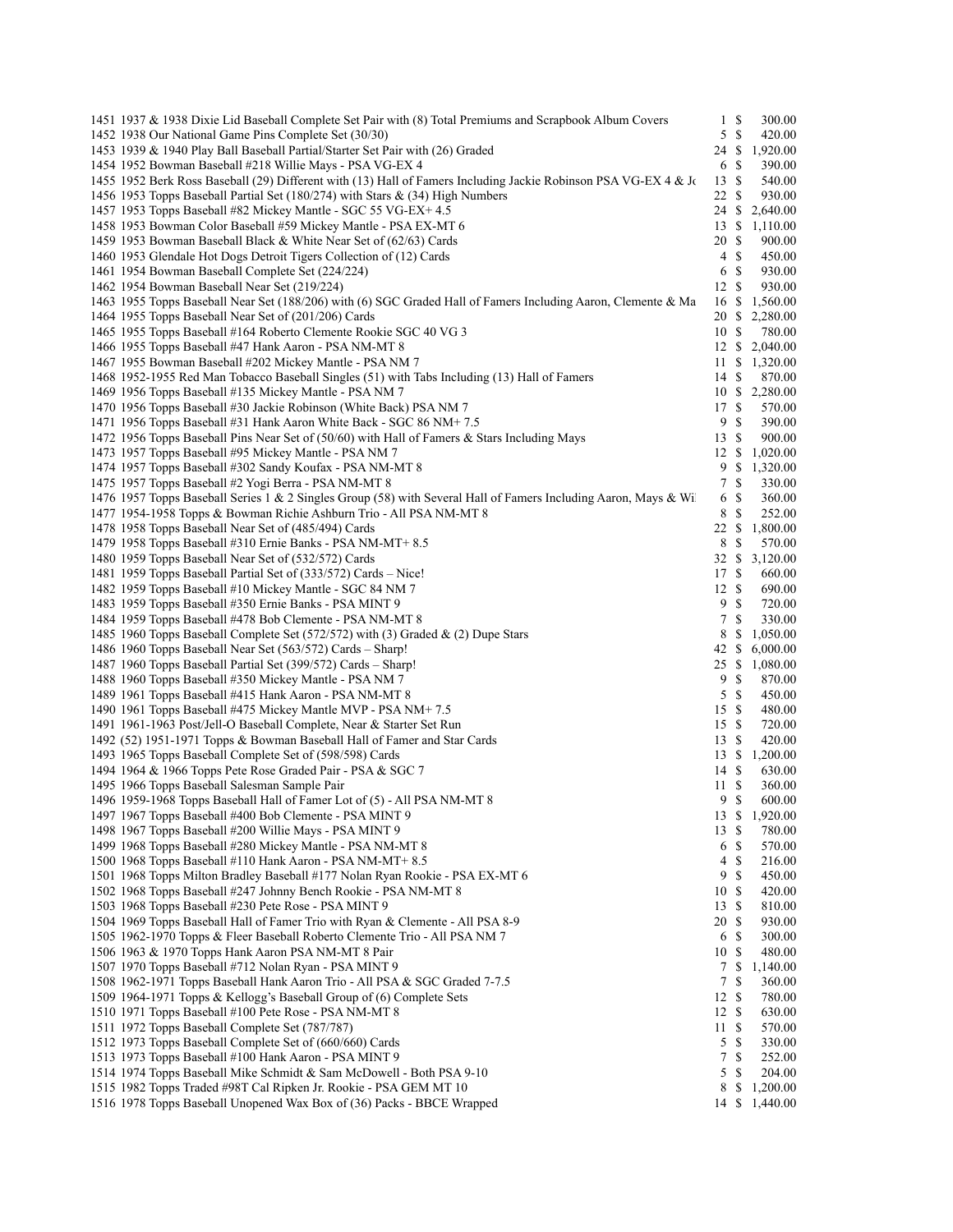| 1451 1937 & 1938 Dixie Lid Baseball Complete Set Pair with (8) Total Premiums and Scrapbook Album Covers                                 | $\mathbf{1}$ | \$            | 300.00                   |
|------------------------------------------------------------------------------------------------------------------------------------------|--------------|---------------|--------------------------|
| 1452 1938 Our National Game Pins Complete Set (30/30)                                                                                    | 5            | \$            | 420.00                   |
| 1453 1939 & 1940 Play Ball Baseball Partial/Starter Set Pair with (26) Graded                                                            | 24 \$        |               | 1,920.00                 |
| 1454 1952 Bowman Baseball #218 Willie Mays - PSA VG-EX 4                                                                                 | 6            | -S            | 390.00                   |
| 1455 1952 Berk Ross Baseball (29) Different with (13) Hall of Famers Including Jackie Robinson PSA VG-EX 4 & Jo                          | 13           | \$            | 540.00                   |
| 1456 1953 Topps Baseball Partial Set (180/274) with Stars & (34) High Numbers                                                            | 22           | <sup>\$</sup> | 930.00                   |
| 1457 1953 Topps Baseball #82 Mickey Mantle - SGC 55 VG-EX+ 4.5                                                                           | 24 \$        |               | 2,640.00                 |
| 1458 1953 Bowman Color Baseball #59 Mickey Mantle - PSA EX-MT 6                                                                          | 13           | <sup>\$</sup> | 1,110.00                 |
| 1459 1953 Bowman Baseball Black & White Near Set of (62/63) Cards                                                                        | 20           | $\mathbb{S}$  | 900.00                   |
| 1460 1953 Glendale Hot Dogs Detroit Tigers Collection of (12) Cards                                                                      | 4            | $\mathbb{S}$  | 450.00                   |
| 1461 1954 Bowman Baseball Complete Set (224/224)                                                                                         | 6            | -S            | 930.00                   |
| 1462 1954 Bowman Baseball Near Set (219/224)                                                                                             | 12S          |               | 930.00                   |
| 1463 1955 Topps Baseball Near Set (188/206) with (6) SGC Graded Hall of Famers Including Aaron, Clemente & Ma                            | 16           | \$            | 1,560.00                 |
| 1464 1955 Topps Baseball Near Set of (201/206) Cards                                                                                     | 20           | -S            | 2,280.00                 |
| 1465 1955 Topps Baseball #164 Roberto Clemente Rookie SGC 40 VG 3                                                                        | 10 \$        |               | 780.00                   |
| 1466 1955 Topps Baseball #47 Hank Aaron - PSA NM-MT 8                                                                                    | 12S          |               | 2,040.00                 |
| 1467 1955 Bowman Baseball #202 Mickey Mantle - PSA NM 7                                                                                  | 11           | \$            | 1,320.00                 |
| 1468 1952-1955 Red Man Tobacco Baseball Singles (51) with Tabs Including (13) Hall of Famers                                             | 14 S         |               | 870.00                   |
| 1469 1956 Topps Baseball #135 Mickey Mantle - PSA NM 7                                                                                   | 17 \$        |               | 10 \$ 2,280.00<br>570.00 |
| 1470 1956 Topps Baseball #30 Jackie Robinson (White Back) PSA NM 7<br>1471 1956 Topps Baseball #31 Hank Aaron White Back - SGC 86 NM+7.5 | 9            | \$            | 390.00                   |
| 1472 1956 Topps Baseball Pins Near Set of (50/60) with Hall of Famers & Stars Including Mays                                             | 13S          |               | 900.00                   |
| 1473 1957 Topps Baseball #95 Mickey Mantle - PSA NM 7                                                                                    | 12S          |               | 1,020.00                 |
| 1474 1957 Topps Baseball #302 Sandy Koufax - PSA NM-MT 8                                                                                 | 9            | \$            | 1,320.00                 |
| 1475 1957 Topps Baseball #2 Yogi Berra - PSA NM-MT 8                                                                                     | $\tau$       | $\mathbb{S}$  | 330.00                   |
| 1476 1957 Topps Baseball Series 1 & 2 Singles Group (58) with Several Hall of Famers Including Aaron, Mays & Wi                          | 6            | \$            | 360.00                   |
| 1477 1954-1958 Topps & Bowman Richie Ashburn Trio - All PSA NM-MT 8                                                                      | 8            | \$            | 252.00                   |
| 1478 1958 Topps Baseball Near Set of (485/494) Cards                                                                                     | 22           | \$            | 1,800.00                 |
| 1479 1958 Topps Baseball #310 Ernie Banks - PSA NM-MT+8.5                                                                                | 8            | -S            | 570.00                   |
| 1480 1959 Topps Baseball Near Set of (532/572) Cards                                                                                     | 32S          |               | 3,120.00                 |
| 1481 1959 Topps Baseball Partial Set of (333/572) Cards – Nice!                                                                          | 17           | -S            | 660.00                   |
| 1482 1959 Topps Baseball #10 Mickey Mantle - SGC 84 NM 7                                                                                 | 12           | - \$          | 690.00                   |
| 1483 1959 Topps Baseball #350 Ernie Banks - PSA MINT 9                                                                                   | 9            | $\mathbb{S}$  | 720.00                   |
| 1484 1959 Topps Baseball #478 Bob Clemente - PSA NM-MT 8                                                                                 | 7            | S             | 330.00                   |
| 1485 1960 Topps Baseball Complete Set (572/572) with (3) Graded & (2) Dupe Stars                                                         | 8            | \$.           | 1,050.00                 |
| 1486 1960 Topps Baseball Near Set (563/572) Cards - Sharp!                                                                               | 42           | \$            | 6,000.00                 |
| 1487 1960 Topps Baseball Partial Set (399/572) Cards – Sharp!                                                                            | 25 \$        |               | 1,080.00                 |
| 1488 1960 Topps Baseball #350 Mickey Mantle - PSA NM 7                                                                                   | 9            | <sup>\$</sup> | 870.00                   |
| 1489 1961 Topps Baseball #415 Hank Aaron - PSA NM-MT 8                                                                                   | 5            | \$            | 450.00                   |
| 1490 1961 Topps Baseball #475 Mickey Mantle MVP - PSA NM+7.5                                                                             | 15           | -S            | 480.00                   |
| 1491 1961-1963 Post/Jell-O Baseball Complete, Near & Starter Set Run                                                                     | 15S          |               | 720.00                   |
| 1492 (52) 1951-1971 Topps & Bowman Baseball Hall of Famer and Star Cards                                                                 | 13           | -S            | 420.00                   |
| 1493 1965 Topps Baseball Complete Set of (598/598) Cards                                                                                 |              |               | 13 \$ 1,200.00           |
| 1494 1964 & 1966 Topps Pete Rose Graded Pair - PSA & SGC 7                                                                               | 14 \$        |               | 630.00                   |
| 1495 1966 Topps Baseball Salesman Sample Pair                                                                                            | 11           | $\mathbb{S}$  | 360.00                   |
| 1496 1959-1968 Topps Baseball Hall of Famer Lot of (5) - All PSA NM-MT 8                                                                 | 9            | \$            | 600.00                   |
| 1497 1967 Topps Baseball #400 Bob Clemente - PSA MINT 9                                                                                  | 13 S         |               | 1,920.00                 |
| 1498 1967 Topps Baseball #200 Willie Mays - PSA MINT 9<br>1499 1968 Topps Baseball #280 Mickey Mantle - PSA NM-MT 8                      | 13           | \$<br>-S      | 780.00<br>570.00         |
| 1500 1968 Topps Baseball #110 Hank Aaron - PSA NM-MT+ 8.5                                                                                | 6<br>4       | $\mathbb{S}$  | 216.00                   |
| 1501 1968 Topps Milton Bradley Baseball #177 Nolan Ryan Rookie - PSA EX-MT 6                                                             | 9            | <sup>\$</sup> | 450.00                   |
| 1502 1968 Topps Baseball #247 Johnny Bench Rookie - PSA NM-MT 8                                                                          | 10           | -S            | 420.00                   |
| 1503 1968 Topps Baseball #230 Pete Rose - PSA MINT 9                                                                                     | 13           | $\mathbb{S}$  | 810.00                   |
| 1504 1969 Topps Baseball Hall of Famer Trio with Ryan & Clemente - All PSA 8-9                                                           | 20           | -S            | 930.00                   |
| 1505 1962-1970 Topps & Fleer Baseball Roberto Clemente Trio - All PSA NM 7                                                               | 6            | \$            | 300.00                   |
| 1506 1963 & 1970 Topps Hank Aaron PSA NM-MT 8 Pair                                                                                       | 10           | -S            | 480.00                   |
| 1507 1970 Topps Baseball #712 Nolan Ryan - PSA MINT 9                                                                                    | 7            | \$            | 1,140.00                 |
| 1508 1962-1971 Topps Baseball Hank Aaron Trio - All PSA & SGC Graded 7-7.5                                                               | 7            | S             | 360.00                   |
| 1509 1964-1971 Topps & Kellogg's Baseball Group of (6) Complete Sets                                                                     | 12           | $\mathbb{S}$  | 780.00                   |
| 1510 1971 Topps Baseball #100 Pete Rose - PSA NM-MT 8                                                                                    | 12           | \$            | 630.00                   |
| 1511 1972 Topps Baseball Complete Set (787/787)                                                                                          | 11           | \$            | 570.00                   |
| 1512 1973 Topps Baseball Complete Set of (660/660) Cards                                                                                 | 5            | \$            | 330.00                   |
| 1513 1973 Topps Baseball #100 Hank Aaron - PSA MINT 9                                                                                    | 7            | \$            | 252.00                   |
| 1514 1974 Topps Baseball Mike Schmidt & Sam McDowell - Both PSA 9-10                                                                     | 5            | \$            | 204.00                   |
| 1515 1982 Topps Traded #98T Cal Ripken Jr. Rookie - PSA GEM MT 10                                                                        | 8            | \$            | 1,200.00                 |
| 1516 1978 Topps Baseball Unopened Wax Box of (36) Packs - BBCE Wrapped                                                                   | 14 \$        |               | 1,440.00                 |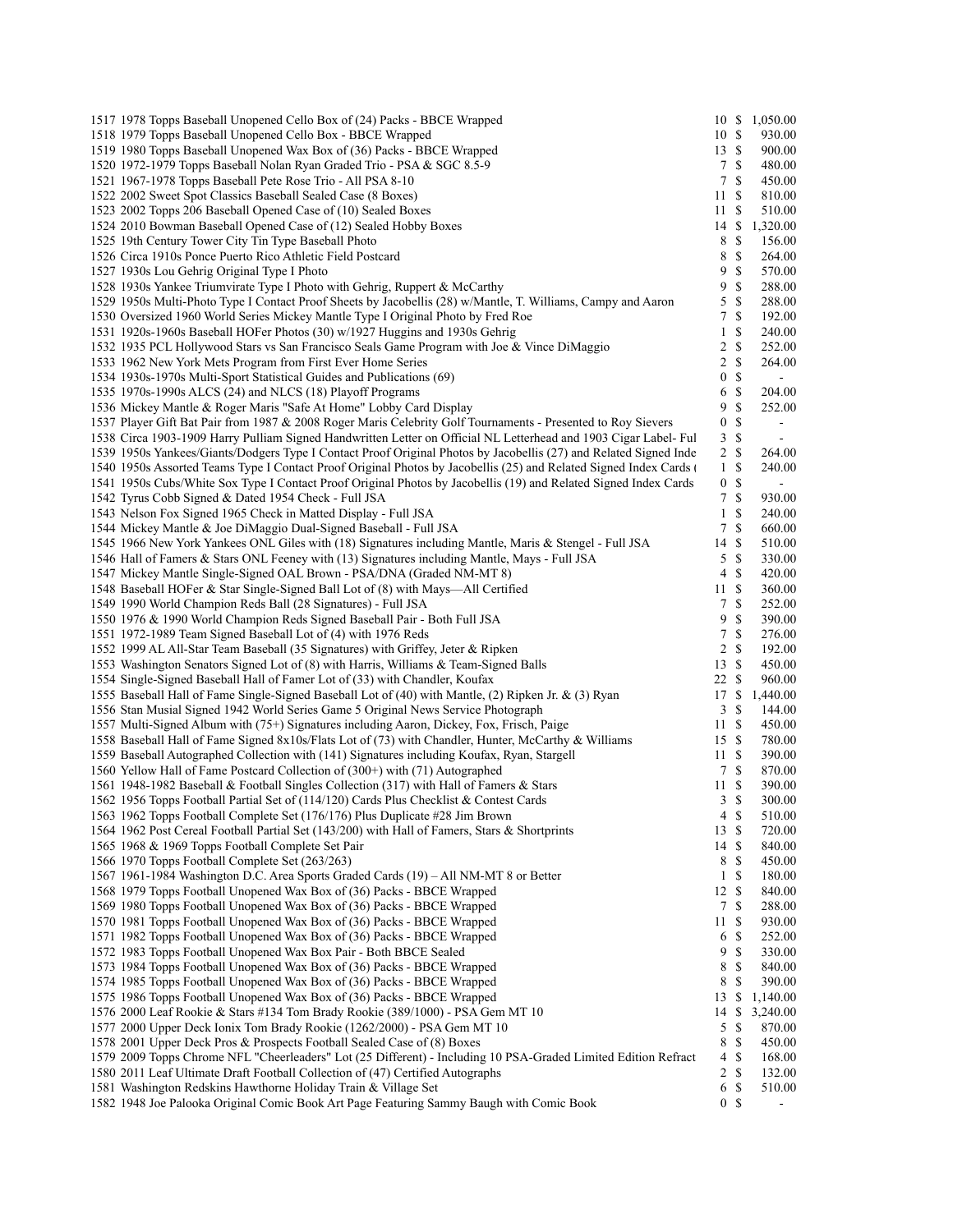| 1517 1978 Topps Baseball Unopened Cello Box of (24) Packs - BBCE Wrapped                                                                         |                  |               | 10 \$ 1,050.00           |  |
|--------------------------------------------------------------------------------------------------------------------------------------------------|------------------|---------------|--------------------------|--|
| 1518 1979 Topps Baseball Unopened Cello Box - BBCE Wrapped                                                                                       | 10S              |               | 930.00                   |  |
| 1519 1980 Topps Baseball Unopened Wax Box of (36) Packs - BBCE Wrapped                                                                           | 13S              |               | 900.00                   |  |
| 1520 1972-1979 Topps Baseball Nolan Ryan Graded Trio - PSA & SGC 8.5-9                                                                           | 7S               |               | 480.00                   |  |
| 1521 1967-1978 Topps Baseball Pete Rose Trio - All PSA 8-10                                                                                      | $7\phantom{.0}$  | $\mathbb{S}$  | 450.00                   |  |
| 1522 2002 Sweet Spot Classics Baseball Sealed Case (8 Boxes)                                                                                     | 11S              |               | 810.00                   |  |
| 1523 2002 Topps 206 Baseball Opened Case of (10) Sealed Boxes                                                                                    | 11 \$            |               | 510.00                   |  |
| 1524 2010 Bowman Baseball Opened Case of (12) Sealed Hobby Boxes                                                                                 |                  |               | 14 \$ 1,320.00           |  |
| 1525 19th Century Tower City Tin Type Baseball Photo                                                                                             | 8 \$             |               | 156.00                   |  |
| 1526 Circa 1910s Ponce Puerto Rico Athletic Field Postcard                                                                                       | 8                | ${\mathbb S}$ | 264.00                   |  |
| 1527 1930s Lou Gehrig Original Type I Photo                                                                                                      | 9                | \$            | 570.00                   |  |
| 1528 1930s Yankee Triumvirate Type I Photo with Gehrig, Ruppert & McCarthy                                                                       | 9                | \$            | 288.00                   |  |
| 1529 1950s Multi-Photo Type I Contact Proof Sheets by Jacobellis (28) w/Mantle, T. Williams, Campy and Aaron                                     | 5                | $\mathbb{S}$  | 288.00                   |  |
| 1530 Oversized 1960 World Series Mickey Mantle Type I Original Photo by Fred Roe                                                                 | 7                | \$            | 192.00                   |  |
| 1531 1920s-1960s Baseball HOFer Photos (30) w/1927 Huggins and 1930s Gehrig                                                                      | $\mathbf{1}$     | \$            | 240.00                   |  |
| 1532 1935 PCL Hollywood Stars vs San Francisco Seals Game Program with Joe & Vince DiMaggio                                                      | $\overline{c}$   | \$            | 252.00                   |  |
| 1533 1962 New York Mets Program from First Ever Home Series                                                                                      | $\overline{2}$   | \$            | 264.00                   |  |
|                                                                                                                                                  | $\boldsymbol{0}$ | \$            |                          |  |
| 1534 1930s-1970s Multi-Sport Statistical Guides and Publications (69)                                                                            |                  |               | $\blacksquare$           |  |
| 1535 1970s-1990s ALCS (24) and NLCS (18) Playoff Programs                                                                                        | 6                | \$            | 204.00                   |  |
| 1536 Mickey Mantle & Roger Maris "Safe At Home" Lobby Card Display                                                                               | 9                | \$            | 252.00                   |  |
| 1537 Player Gift Bat Pair from 1987 & 2008 Roger Maris Celebrity Golf Tournaments - Presented to Roy Sievers                                     | $\boldsymbol{0}$ | $\mathbb{S}$  | $\overline{\phantom{a}}$ |  |
| 1538 Circa 1903-1909 Harry Pulliam Signed Handwritten Letter on Official NL Letterhead and 1903 Cigar Label- Ful                                 | $\overline{3}$   | \$            | $\overline{\phantom{a}}$ |  |
| 1539 1950s Yankees/Giants/Dodgers Type I Contact Proof Original Photos by Jacobellis (27) and Related Signed Inde                                | 2 S              |               | 264.00                   |  |
| 1540 1950s Assorted Teams Type I Contact Proof Original Photos by Jacobellis (25) and Related Signed Index Cards                                 | $\mathbf{1}$     | \$            | 240.00                   |  |
| 1541 1950s Cubs/White Sox Type I Contact Proof Original Photos by Jacobellis (19) and Related Signed Index Cards                                 | 0 <sup>5</sup>   |               | $\blacksquare$           |  |
| 1542 Tyrus Cobb Signed & Dated 1954 Check - Full JSA                                                                                             | $7\overline{ }$  | $\mathbb{S}$  | 930.00                   |  |
| 1543 Nelson Fox Signed 1965 Check in Matted Display - Full JSA                                                                                   | $\mathbf{1}$     | \$            | 240.00                   |  |
| 1544 Mickey Mantle & Joe DiMaggio Dual-Signed Baseball - Full JSA                                                                                | $\tau$           | \$            | 660.00                   |  |
| 1545 1966 New York Yankees ONL Giles with (18) Signatures including Mantle, Maris & Stengel - Full JSA                                           | 14               | $\mathbb{S}$  | 510.00                   |  |
| 1546 Hall of Famers & Stars ONL Feeney with (13) Signatures including Mantle, Mays - Full JSA                                                    | 5S               |               | 330.00                   |  |
| 1547 Mickey Mantle Single-Signed OAL Brown - PSA/DNA (Graded NM-MT 8)                                                                            | 4                | \$            | 420.00                   |  |
| 1548 Baseball HOFer & Star Single-Signed Ball Lot of (8) with Mays—All Certified                                                                 | 11               | <sup>\$</sup> | 360.00                   |  |
| 1549 1990 World Champion Reds Ball (28 Signatures) - Full JSA                                                                                    | $7\phantom{.0}$  | \$            | 252.00                   |  |
| 1550 1976 & 1990 World Champion Reds Signed Baseball Pair - Both Full JSA                                                                        | 9                | \$            | 390.00                   |  |
| 1551 1972-1989 Team Signed Baseball Lot of (4) with 1976 Reds                                                                                    | $7\phantom{.0}$  | \$            | 276.00                   |  |
| 1552 1999 AL All-Star Team Baseball (35 Signatures) with Griffey, Jeter & Ripken                                                                 | $\overline{2}$   | $\mathbb{S}$  | 192.00                   |  |
| 1553 Washington Senators Signed Lot of (8) with Harris, Williams & Team-Signed Balls                                                             | 13S              |               | 450.00                   |  |
| 1554 Single-Signed Baseball Hall of Famer Lot of (33) with Chandler, Koufax                                                                      | 22S              |               | 960.00                   |  |
| 1555 Baseball Hall of Fame Single-Signed Baseball Lot of (40) with Mantle, (2) Ripken Jr. & (3) Ryan                                             |                  |               | 17 \$ 1,440.00           |  |
| 1556 Stan Musial Signed 1942 World Series Game 5 Original News Service Photograph                                                                | 3S               |               | 144.00                   |  |
| 1557 Multi-Signed Album with (75+) Signatures including Aaron, Dickey, Fox, Frisch, Paige                                                        | 11S              |               | 450.00                   |  |
| 1558 Baseball Hall of Fame Signed 8x10s/Flats Lot of (73) with Chandler, Hunter, McCarthy & Williams                                             | 15S              |               | 780.00                   |  |
| 1559 Baseball Autographed Collection with (141) Signatures including Koufax, Ryan, Stargell                                                      | 11S              |               | 390.00                   |  |
| 1560 Yellow Hall of Fame Postcard Collection of (300+) with (71) Autographed                                                                     | 7S               |               | 870.00                   |  |
| 1561 1948-1982 Baseball & Football Singles Collection (317) with Hall of Famers & Stars                                                          | 11S              |               | 390.00                   |  |
| 1562 1956 Topps Football Partial Set of (114/120) Cards Plus Checklist & Contest Cards                                                           | 3S               |               | 300.00                   |  |
| 1563 1962 Topps Football Complete Set (176/176) Plus Duplicate #28 Jim Brown                                                                     | $4 \text{ }$ \$  |               | 510.00                   |  |
| 1564 1962 Post Cereal Football Partial Set (143/200) with Hall of Famers, Stars & Shortprints                                                    | 13S              |               | 720.00                   |  |
| 1565 1968 & 1969 Topps Football Complete Set Pair                                                                                                | 14 \$            |               | 840.00                   |  |
| 1566 1970 Topps Football Complete Set (263/263)                                                                                                  | 8 \$             |               | 450.00                   |  |
|                                                                                                                                                  |                  | 1 S           | 180.00                   |  |
| 1567 1961-1984 Washington D.C. Area Sports Graded Cards (19) – All NM-MT 8 or Better                                                             |                  |               |                          |  |
| 1568 1979 Topps Football Unopened Wax Box of (36) Packs - BBCE Wrapped                                                                           | 12S              |               | 840.00                   |  |
| 1569 1980 Topps Football Unopened Wax Box of (36) Packs - BBCE Wrapped                                                                           | $\tau$           | \$            | 288.00                   |  |
| 1570 1981 Topps Football Unopened Wax Box of (36) Packs - BBCE Wrapped                                                                           | 11               | -\$           | 930.00                   |  |
| 1571 1982 Topps Football Unopened Wax Box of (36) Packs - BBCE Wrapped                                                                           | 6                | \$            | 252.00                   |  |
| 1572 1983 Topps Football Unopened Wax Box Pair - Both BBCE Sealed                                                                                | 9                | \$            | 330.00                   |  |
| 1573 1984 Topps Football Unopened Wax Box of (36) Packs - BBCE Wrapped                                                                           | 8                | \$            | 840.00                   |  |
|                                                                                                                                                  | 8                | \$            | 390.00                   |  |
| 1574 1985 Topps Football Unopened Wax Box of (36) Packs - BBCE Wrapped<br>1575 1986 Topps Football Unopened Wax Box of (36) Packs - BBCE Wrapped | 13               |               |                          |  |
| 1576 2000 Leaf Rookie & Stars #134 Tom Brady Rookie (389/1000) - PSA Gem MT 10                                                                   | 14               | \$<br>\$      | 1,140.00<br>3,240.00     |  |
| 1577 2000 Upper Deck Ionix Tom Brady Rookie (1262/2000) - PSA Gem MT 10                                                                          | 5                | \$            | 870.00                   |  |
| 1578 2001 Upper Deck Pros & Prospects Football Sealed Case of (8) Boxes                                                                          | 8                | \$            | 450.00                   |  |
| 1579 2009 Topps Chrome NFL "Cheerleaders" Lot (25 Different) - Including 10 PSA-Graded Limited Edition Refract                                   | 4                | $\mathbb{S}$  | 168.00                   |  |
| 1580 2011 Leaf Ultimate Draft Football Collection of (47) Certified Autographs                                                                   | 2 S              |               | 132.00                   |  |
| 1581 Washington Redskins Hawthorne Holiday Train & Village Set                                                                                   | 6                | \$            | 510.00                   |  |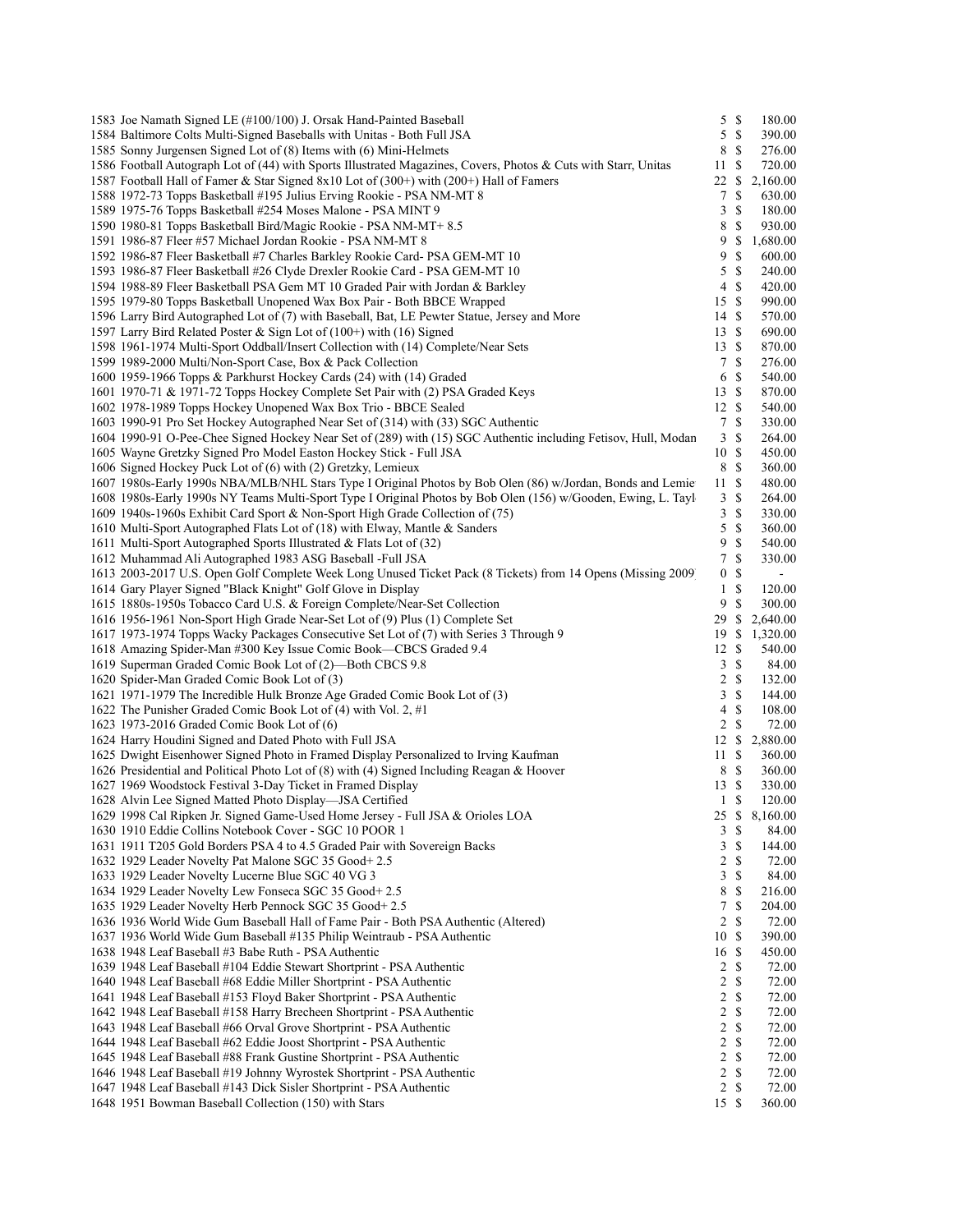| 1583 Joe Namath Signed LE (#100/100) J. Orsak Hand-Painted Baseball                                             | 5                 | \$                            | 180.00     |
|-----------------------------------------------------------------------------------------------------------------|-------------------|-------------------------------|------------|
| 1584 Baltimore Colts Multi-Signed Baseballs with Unitas - Both Full JSA                                         | 5                 | $\mathbb{S}$                  | 390.00     |
| 1585 Sonny Jurgensen Signed Lot of (8) Items with (6) Mini-Helmets                                              | 8                 | $\mathbb{S}$                  | 276.00     |
| 1586 Football Autograph Lot of (44) with Sports Illustrated Magazines, Covers, Photos & Cuts with Starr, Unitas | 11                | \$                            | 720.00     |
| 1587 Football Hall of Famer & Star Signed 8x10 Lot of (300+) with (200+) Hall of Famers                         | 22                | \$                            | 2,160.00   |
| 1588 1972-73 Topps Basketball #195 Julius Erving Rookie - PSA NM-MT 8                                           | 7                 | \$                            | 630.00     |
| 1589 1975-76 Topps Basketball #254 Moses Malone - PSA MINT 9                                                    | 3                 | \$                            | 180.00     |
| 1590 1980-81 Topps Basketball Bird/Magic Rookie - PSA NM-MT+8.5                                                 | 8                 | $\mathbb{S}$                  | 930.00     |
| 1591 1986-87 Fleer #57 Michael Jordan Rookie - PSA NM-MT 8                                                      | 9                 | \$                            | 1,680.00   |
| 1592 1986-87 Fleer Basketball #7 Charles Barkley Rookie Card- PSA GEM-MT 10                                     | 9                 | \$                            | 600.00     |
| 1593 1986-87 Fleer Basketball #26 Clyde Drexler Rookie Card - PSA GEM-MT 10                                     | 5                 | $\mathbb{S}$                  | 240.00     |
| 1594 1988-89 Fleer Basketball PSA Gem MT 10 Graded Pair with Jordan & Barkley                                   | 4                 | $\mathbb{S}$                  | 420.00     |
| 1595 1979-80 Topps Basketball Unopened Wax Box Pair - Both BBCE Wrapped                                         | 15                | -S                            | 990.00     |
| 1596 Larry Bird Autographed Lot of (7) with Baseball, Bat, LE Pewter Statue, Jersey and More                    | 14                | $\mathbb{S}$                  | 570.00     |
| 1597 Larry Bird Related Poster & Sign Lot of (100+) with (16) Signed                                            | 13                | $\mathbb{S}$                  | 690.00     |
| 1598 1961-1974 Multi-Sport Oddball/Insert Collection with (14) Complete/Near Sets                               | 13                | $\mathbb{S}$                  | 870.00     |
| 1599 1989-2000 Multi/Non-Sport Case, Box & Pack Collection                                                      | 7                 | <sup>\$</sup>                 | 276.00     |
| 1600 1959-1966 Topps & Parkhurst Hockey Cards (24) with (14) Graded                                             | 6                 | \$                            | 540.00     |
| 1601 1970-71 & 1971-72 Topps Hockey Complete Set Pair with (2) PSA Graded Keys                                  | 13                | -S                            | 870.00     |
| 1602 1978-1989 Topps Hockey Unopened Wax Box Trio - BBCE Sealed                                                 | 12 \$             |                               | 540.00     |
| 1603 1990-91 Pro Set Hockey Autographed Near Set of (314) with (33) SGC Authentic                               | $\tau$            | $\mathbb{S}$                  | 330.00     |
| 1604 1990-91 O-Pee-Chee Signed Hockey Near Set of (289) with (15) SGC Authentic including Fetisov, Hull, Modan  | 3                 | \$                            | 264.00     |
| 1605 Wayne Gretzky Signed Pro Model Easton Hockey Stick - Full JSA                                              | 10                | <sup>\$</sup>                 | 450.00     |
| 1606 Signed Hockey Puck Lot of (6) with (2) Gretzky, Lemieux                                                    | 8                 | $\mathbb{S}$                  | 360.00     |
| 1607 1980s-Early 1990s NBA/MLB/NHL Stars Type I Original Photos by Bob Olen (86) w/Jordan, Bonds and Lemie      | 11                | -S                            | 480.00     |
| 1608 1980s-Early 1990s NY Teams Multi-Sport Type I Original Photos by Bob Olen (156) w/Gooden, Ewing, L. Tayl   | 3                 | $\mathbb{S}$                  | 264.00     |
| 1609 1940s-1960s Exhibit Card Sport & Non-Sport High Grade Collection of (75)                                   | 3                 | \$                            | 330.00     |
| 1610 Multi-Sport Autographed Flats Lot of (18) with Elway, Mantle & Sanders                                     | 5                 | $\mathbb{S}$                  | 360.00     |
|                                                                                                                 | 9                 | \$                            |            |
| 1611 Multi-Sport Autographed Sports Illustrated & Flats Lot of (32)                                             | 7                 | $\mathbb{S}$                  | 540.00     |
| 1612 Muhammad Ali Autographed 1983 ASG Baseball -Full JSA                                                       |                   |                               | 330.00     |
| 1613 2003-2017 U.S. Open Golf Complete Week Long Unused Ticket Pack (8 Tickets) from 14 Opens (Missing 2009     | $\boldsymbol{0}$  | \$                            |            |
| 1614 Gary Player Signed "Black Knight" Golf Glove in Display                                                    | $\mathbf{1}$<br>9 | $\mathbb{S}$<br><sup>\$</sup> | 120.00     |
| 1615 1880s-1950s Tobacco Card U.S. & Foreign Complete/Near-Set Collection                                       |                   |                               | 300.00     |
| 1616 1956-1961 Non-Sport High Grade Near-Set Lot of (9) Plus (1) Complete Set                                   | 29                | <sup>\$</sup>                 | 2,640.00   |
| 1617 1973-1974 Topps Wacky Packages Consecutive Set Lot of (7) with Series 3 Through 9                          | 19                | <sup>\$</sup>                 | 1,320.00   |
| 1618 Amazing Spider-Man #300 Key Issue Comic Book—CBCS Graded 9.4                                               | 12S               |                               | 540.00     |
| 1619 Superman Graded Comic Book Lot of (2)—Both CBCS 9.8                                                        | 3                 | $\mathbb{S}$                  | 84.00      |
| 1620 Spider-Man Graded Comic Book Lot of (3)                                                                    | $\overline{c}$    | <sup>\$</sup>                 | 132.00     |
| 1621 1971-1979 The Incredible Hulk Bronze Age Graded Comic Book Lot of (3)                                      | 3                 | \$                            | 144.00     |
| 1622 The Punisher Graded Comic Book Lot of (4) with Vol. 2, #1                                                  | 4                 | \$                            | $108.00\,$ |
| 1623 1973-2016 Graded Comic Book Lot of (6)                                                                     | 2                 | $\mathbb{S}$                  | 72.00      |
| 1624 Harry Houdini Signed and Dated Photo with Full JSA                                                         | 12                | \$                            | 2,880.00   |
| 1625 Dwight Eisenhower Signed Photo in Framed Display Personalized to Irving Kaufman                            | 11                | $\mathbb{S}$                  | 360.00     |
| 1626 Presidential and Political Photo Lot of (8) with (4) Signed Including Reagan & Hoover                      | 8                 | $\mathbb{S}$                  | 360.00     |
| 1627 1969 Woodstock Festival 3-Day Ticket in Framed Display                                                     | 13S               |                               | 330.00     |
| 1628 Alvin Lee Signed Matted Photo Display—JSA Certified                                                        | $\mathbf{1}$      | -S                            | 120.00     |
| 1629 1998 Cal Ripken Jr. Signed Game-Used Home Jersey - Full JSA & Orioles LOA                                  | 25                | \$                            | 8,160.00   |
| 1630 1910 Eddie Collins Notebook Cover - SGC 10 POOR 1                                                          | $\mathfrak{Z}$    | \$                            | 84.00      |
| 1631 1911 T205 Gold Borders PSA 4 to 4.5 Graded Pair with Sovereign Backs                                       | $\mathfrak{Z}$    | $\mathbb S$                   | 144.00     |
| 1632 1929 Leader Novelty Pat Malone SGC 35 Good+ 2.5                                                            | $\boldsymbol{2}$  | $\mathbb{S}$                  | 72.00      |
| 1633 1929 Leader Novelty Lucerne Blue SGC 40 VG 3                                                               | $\mathfrak{Z}$    | $\mathbb{S}$                  | 84.00      |
| 1634 1929 Leader Novelty Lew Fonseca SGC 35 Good+2.5                                                            | 8                 | \$                            | 216.00     |
| 1635 1929 Leader Novelty Herb Pennock SGC 35 Good+ 2.5                                                          | 7                 | $\mathbb{S}$                  | 204.00     |
| 1636 1936 World Wide Gum Baseball Hall of Fame Pair - Both PSA Authentic (Altered)                              | $\overline{2}$    | $\mathbb{S}$                  | 72.00      |
| 1637 1936 World Wide Gum Baseball #135 Philip Weintraub - PSA Authentic                                         | 10S               |                               | 390.00     |
| 1638 1948 Leaf Baseball #3 Babe Ruth - PSA Authentic                                                            | 16 \$             |                               | 450.00     |
| 1639 1948 Leaf Baseball #104 Eddie Stewart Shortprint - PSA Authentic                                           | $2 \sqrt{s}$      |                               | 72.00      |
| 1640 1948 Leaf Baseball #68 Eddie Miller Shortprint - PSA Authentic                                             | $\overline{c}$    | $\mathbb{S}$                  | 72.00      |
| 1641 1948 Leaf Baseball #153 Floyd Baker Shortprint - PSA Authentic                                             | $\boldsymbol{2}$  | $\mathbb{S}$                  | 72.00      |
| 1642 1948 Leaf Baseball #158 Harry Brecheen Shortprint - PSA Authentic                                          | $\overline{c}$    | \$                            | 72.00      |
| 1643 1948 Leaf Baseball #66 Orval Grove Shortprint - PSA Authentic                                              | $\boldsymbol{2}$  | $\mathbb{S}$                  | 72.00      |
| 1644 1948 Leaf Baseball #62 Eddie Joost Shortprint - PSA Authentic                                              | $\sqrt{2}$        | $\mathbb{S}$                  | 72.00      |
| 1645 1948 Leaf Baseball #88 Frank Gustine Shortprint - PSA Authentic                                            | $\boldsymbol{2}$  | $\mathbb{S}$                  | 72.00      |
| 1646 1948 Leaf Baseball #19 Johnny Wyrostek Shortprint - PSA Authentic                                          | $\overline{2}$    | $\mathbb{S}$                  | 72.00      |
| 1647 1948 Leaf Baseball #143 Dick Sisler Shortprint - PSA Authentic                                             | $\overline{c}$    | \$                            | 72.00      |
| 1648 1951 Bowman Baseball Collection (150) with Stars                                                           | 15S               |                               | 360.00     |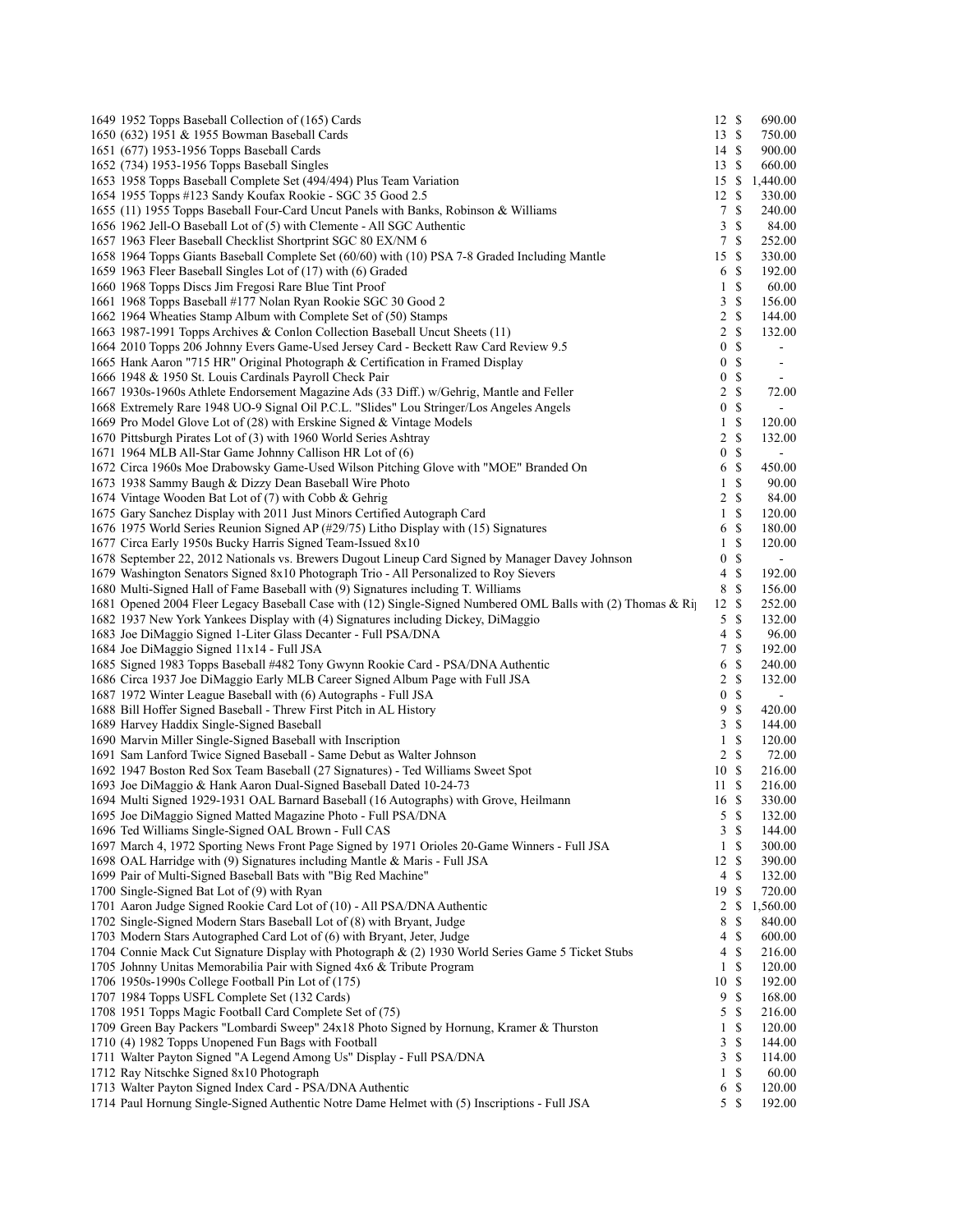| 1649 1952 Topps Baseball Collection of (165) Cards                                                                                                                     | 12S                   |                              | 690.00                           |
|------------------------------------------------------------------------------------------------------------------------------------------------------------------------|-----------------------|------------------------------|----------------------------------|
| 1650 (632) 1951 & 1955 Bowman Baseball Cards                                                                                                                           | 13S                   |                              | 750.00                           |
| 1651 (677) 1953-1956 Topps Baseball Cards                                                                                                                              | 14 \$                 |                              | 900.00                           |
| 1652 (734) 1953-1956 Topps Baseball Singles                                                                                                                            | 13S                   |                              | 660.00                           |
| 1653 1958 Topps Baseball Complete Set (494/494) Plus Team Variation                                                                                                    | 15                    | <sup>\$</sup>                | 1,440.00                         |
| 1654 1955 Topps #123 Sandy Koufax Rookie - SGC 35 Good 2.5                                                                                                             | 12                    | <sup>\$</sup>                | 330.00                           |
| 1655 (11) 1955 Topps Baseball Four-Card Uncut Panels with Banks, Robinson & Williams                                                                                   | $7\phantom{.0}$       | $\mathbb{S}$                 | 240.00                           |
| 1656 1962 Jell-O Baseball Lot of (5) with Clemente - All SGC Authentic                                                                                                 | 3                     | $\mathbb{S}$                 | 84.00                            |
| 1657 1963 Fleer Baseball Checklist Shortprint SGC 80 EX/NM 6                                                                                                           | $7\phantom{.0}$       | <sup>S</sup>                 | 252.00                           |
| 1658 1964 Topps Giants Baseball Complete Set (60/60) with (10) PSA 7-8 Graded Including Mantle                                                                         | 15                    | $\mathbb{S}$                 | 330.00                           |
| 1659 1963 Fleer Baseball Singles Lot of (17) with (6) Graded                                                                                                           | 6                     | $\mathbb{S}$                 | 192.00                           |
| 1660 1968 Topps Discs Jim Fregosi Rare Blue Tint Proof                                                                                                                 | $\mathbf{1}$          | $\mathbb{S}$                 | 60.00                            |
| 1661 1968 Topps Baseball #177 Nolan Ryan Rookie SGC 30 Good 2                                                                                                          | 3                     | $\mathbb{S}$<br>$\mathbb{S}$ | 156.00                           |
| 1662 1964 Wheaties Stamp Album with Complete Set of (50) Stamps                                                                                                        | $\overline{c}$        | $\mathbb S$                  | 144.00<br>132.00                 |
| 1663 1987-1991 Topps Archives & Conlon Collection Baseball Uncut Sheets (11)                                                                                           | 2<br>$\boldsymbol{0}$ | $\mathbb S$                  |                                  |
| 1664 2010 Topps 206 Johnny Evers Game-Used Jersey Card - Beckett Raw Card Review 9.5<br>1665 Hank Aaron "715 HR" Original Photograph & Certification in Framed Display | $\boldsymbol{0}$      | $\mathbb{S}$                 | $\blacksquare$<br>$\blacksquare$ |
| 1666 1948 & 1950 St. Louis Cardinals Payroll Check Pair                                                                                                                | $\boldsymbol{0}$      | $\mathbb{S}$                 |                                  |
| 1667 1930s-1960s Athlete Endorsement Magazine Ads (33 Diff.) w/Gehrig, Mantle and Feller                                                                               | 2                     | $\mathbb{S}$                 | $\blacksquare$<br>72.00          |
| 1668 Extremely Rare 1948 UO-9 Signal Oil P.C.L. "Slides" Lou Stringer/Los Angeles Angels                                                                               | $\boldsymbol{0}$      | \$                           | $\sim$                           |
| 1669 Pro Model Glove Lot of (28) with Erskine Signed & Vintage Models                                                                                                  | $\mathbf{1}$          | $\mathbb{S}$                 | 120.00                           |
| 1670 Pittsburgh Pirates Lot of (3) with 1960 World Series Ashtray                                                                                                      | 2                     | $\mathbb{S}$                 | 132.00                           |
| 1671 1964 MLB All-Star Game Johnny Callison HR Lot of (6)                                                                                                              | $\boldsymbol{0}$      | $\mathbb S$                  | $\blacksquare$                   |
| 1672 Circa 1960s Moe Drabowsky Game-Used Wilson Pitching Glove with "MOE" Branded On                                                                                   | 6                     | $\mathbb{S}$                 | 450.00                           |
| 1673 1938 Sammy Baugh & Dizzy Dean Baseball Wire Photo                                                                                                                 | 1                     | \$                           | 90.00                            |
| 1674 Vintage Wooden Bat Lot of (7) with Cobb & Gehrig                                                                                                                  | $\overline{c}$        | $\mathbb{S}$                 | 84.00                            |
| 1675 Gary Sanchez Display with 2011 Just Minors Certified Autograph Card                                                                                               | $\mathbf{1}$          | $\mathbb{S}$                 | 120.00                           |
| 1676 1975 World Series Reunion Signed AP (#29/75) Litho Display with (15) Signatures                                                                                   | 6                     | $\mathbb{S}$                 | 180.00                           |
| 1677 Circa Early 1950s Bucky Harris Signed Team-Issued 8x10                                                                                                            | 1                     | \$                           | 120.00                           |
| 1678 September 22, 2012 Nationals vs. Brewers Dugout Lineup Card Signed by Manager Davey Johnson                                                                       | $\boldsymbol{0}$      | $\mathbb{S}$                 | $\blacksquare$                   |
| 1679 Washington Senators Signed 8x10 Photograph Trio - All Personalized to Roy Sievers                                                                                 | 4                     | $\mathbb{S}$                 | 192.00                           |
| 1680 Multi-Signed Hall of Fame Baseball with (9) Signatures including T. Williams                                                                                      | 8                     | $\mathbb S$                  | 156.00                           |
| 1681 Opened 2004 Fleer Legacy Baseball Case with (12) Single-Signed Numbered OML Balls with (2) Thomas & Rip                                                           | 12S                   |                              | 252.00                           |
| 1682 1937 New York Yankees Display with (4) Signatures including Dickey, DiMaggio                                                                                      | 5                     | $\mathbb{S}$                 | 132.00                           |
| 1683 Joe DiMaggio Signed 1-Liter Glass Decanter - Full PSA/DNA                                                                                                         | 4                     | $\mathbb{S}$                 | 96.00                            |
| 1684 Joe DiMaggio Signed 11x14 - Full JSA                                                                                                                              | 7                     | $\mathbb{S}$                 | 192.00                           |
| 1685 Signed 1983 Topps Baseball #482 Tony Gwynn Rookie Card - PSA/DNA Authentic                                                                                        | 6                     | $\mathbb{S}$                 | 240.00                           |
| 1686 Circa 1937 Joe DiMaggio Early MLB Career Signed Album Page with Full JSA                                                                                          | $\overline{2}$        | $\mathbb S$                  | 132.00                           |
| 1687 1972 Winter League Baseball with (6) Autographs - Full JSA                                                                                                        | $\bf{0}$              | $\mathbb{S}$                 | $\blacksquare$                   |
| 1688 Bill Hoffer Signed Baseball - Threw First Pitch in AL History                                                                                                     | 9                     | $\mathbb{S}$                 | 420.00                           |
| 1689 Harvey Haddix Single-Signed Baseball                                                                                                                              | 3                     | $\mathbb{S}$                 | 144.00                           |
| 1690 Marvin Miller Single-Signed Baseball with Inscription                                                                                                             | 1                     | $\mathbb{S}$                 | 120.00                           |
| 1691 Sam Lanford Twice Signed Baseball - Same Debut as Walter Johnson                                                                                                  | 2                     | $\mathbb{S}$                 | 72.00                            |
| 1692 1947 Boston Red Sox Team Baseball (27 Signatures) - Ted Williams Sweet Spot                                                                                       | 10                    | $\mathbb{S}$                 | 216.00                           |
| 1693 Joe DiMaggio & Hank Aaron Dual-Signed Baseball Dated 10-24-73                                                                                                     | 11                    | <sup>\$</sup>                | 216.00                           |
| 1694 Multi Signed 1929-1931 OAL Barnard Baseball (16 Autographs) with Grove, Heilmann                                                                                  | 16 \$                 |                              | 330.00                           |
| 1695 Joe DiMaggio Signed Matted Magazine Photo - Full PSA/DNA<br>1696 Ted Williams Single-Signed OAL Brown - Full CAS                                                  | 5<br>$\mathfrak{Z}$   | -S<br>$\mathbb{S}$           | 132.00                           |
| 1697 March 4, 1972 Sporting News Front Page Signed by 1971 Orioles 20-Game Winners - Full JSA                                                                          | $\mathbf{1}$          | $\mathbb{S}$                 | 144.00<br>300.00                 |
| 1698 OAL Harridge with (9) Signatures including Mantle & Maris - Full JSA                                                                                              | 12                    | $\mathbb{S}$                 | 390.00                           |
| 1699 Pair of Multi-Signed Baseball Bats with "Big Red Machine"                                                                                                         | $\overline{4}$        | $\mathbb{S}$                 | 132.00                           |
| 1700 Single-Signed Bat Lot of (9) with Ryan                                                                                                                            | 19                    | $\mathbb{S}$                 | 720.00                           |
| 1701 Aaron Judge Signed Rookie Card Lot of (10) - All PSA/DNA Authentic                                                                                                | $\overline{c}$        | $\mathbb{S}$                 | 1,560.00                         |
| 1702 Single-Signed Modern Stars Baseball Lot of (8) with Bryant, Judge                                                                                                 | 8                     | $\mathbb{S}$                 | 840.00                           |
| 1703 Modern Stars Autographed Card Lot of (6) with Bryant, Jeter, Judge                                                                                                | 4                     | \$                           | 600.00                           |
| 1704 Connie Mack Cut Signature Display with Photograph & (2) 1930 World Series Game 5 Ticket Stubs                                                                     | 4                     | $\mathbb{S}$                 | 216.00                           |
| 1705 Johnny Unitas Memorabilia Pair with Signed 4x6 & Tribute Program                                                                                                  | $\mathbf{1}$          | $\mathbb{S}$                 | 120.00                           |
| 1706 1950s-1990s College Football Pin Lot of (175)                                                                                                                     | 10                    | $\mathbb{S}$                 | 192.00                           |
| 1707 1984 Topps USFL Complete Set (132 Cards)                                                                                                                          | 9                     | $\mathbb{S}$                 | 168.00                           |
| 1708 1951 Topps Magic Football Card Complete Set of (75)                                                                                                               | 5                     | $\mathbb{S}$                 | 216.00                           |
| 1709 Green Bay Packers "Lombardi Sweep" 24x18 Photo Signed by Hornung, Kramer & Thurston                                                                               | $\mathbf{1}$          | \$                           | 120.00                           |
| 1710 (4) 1982 Topps Unopened Fun Bags with Football                                                                                                                    | 3                     | \$                           | 144.00                           |
| 1711 Walter Payton Signed "A Legend Among Us" Display - Full PSA/DNA                                                                                                   | 3                     | $\mathbb{S}$                 | 114.00                           |
| 1712 Ray Nitschke Signed 8x10 Photograph                                                                                                                               | $\mathbf{1}$          | $\mathbb{S}$                 | 60.00                            |
| 1713 Walter Payton Signed Index Card - PSA/DNA Authentic                                                                                                               | 6                     | ${\mathbb S}$                | 120.00                           |
| 1714 Paul Hornung Single-Signed Authentic Notre Dame Helmet with (5) Inscriptions - Full JSA                                                                           | 5S                    |                              | 192.00                           |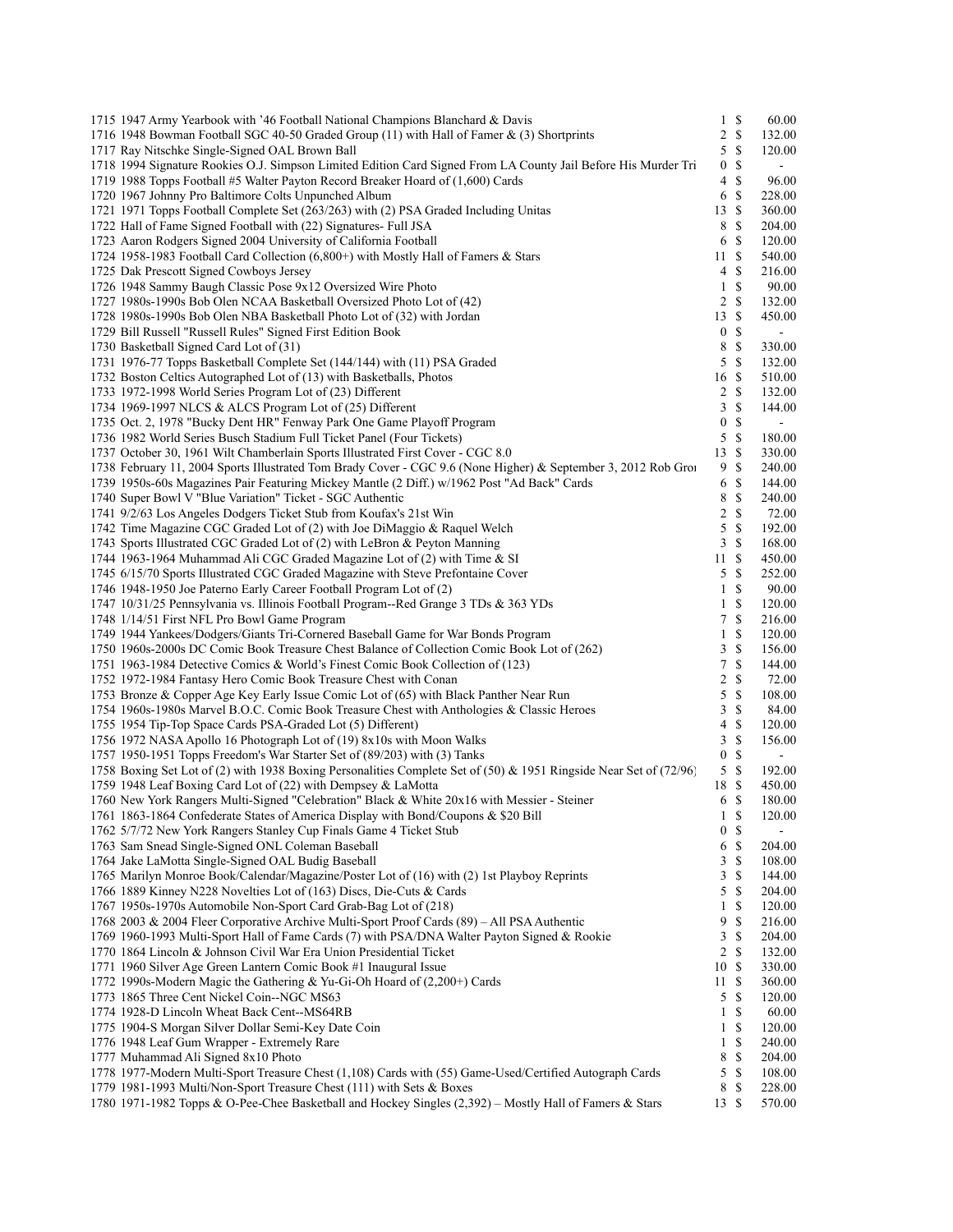| 1715 1947 Army Yearbook with '46 Football National Champions Blanchard & Davis                                     | $1 \text{ s}$    | 60.00          |
|--------------------------------------------------------------------------------------------------------------------|------------------|----------------|
| 1716 1948 Bowman Football SGC 40-50 Graded Group (11) with Hall of Famer & (3) Shortprints                         | $2 \sqrt{s}$     | 132.00         |
| 1717 Ray Nitschke Single-Signed OAL Brown Ball                                                                     | $5 \text{ }$ \$  | 120.00         |
| 1718 1994 Signature Rookies O.J. Simpson Limited Edition Card Signed From LA County Jail Before His Murder Tri     | 0S               | $\blacksquare$ |
| 1719 1988 Topps Football #5 Walter Payton Record Breaker Hoard of (1,600) Cards                                    | 4S               | 96.00          |
| 1720 1967 Johnny Pro Baltimore Colts Unpunched Album                                                               | 6 \$             | 228.00         |
| 1721 1971 Topps Football Complete Set (263/263) with (2) PSA Graded Including Unitas                               | 13S              | 360.00         |
| 1722 Hall of Fame Signed Football with (22) Signatures- Full JSA                                                   | 8 \$             | 204.00         |
| 1723 Aaron Rodgers Signed 2004 University of California Football                                                   | 6 \$             | 120.00         |
| 1724 1958-1983 Football Card Collection (6,800+) with Mostly Hall of Famers & Stars                                | 11S              | 540.00         |
| 1725 Dak Prescott Signed Cowboys Jersey                                                                            | 4S               | 216.00         |
| 1726 1948 Sammy Baugh Classic Pose 9x12 Oversized Wire Photo                                                       | $1 \text{ }$     | 90.00          |
| 1727 1980s-1990s Bob Olen NCAA Basketball Oversized Photo Lot of (42)                                              | $2 \sqrt{s}$     | 132.00         |
| 1728 1980s-1990s Bob Olen NBA Basketball Photo Lot of (32) with Jordan                                             | $13 \text{ }$ \$ | 450.00         |
| 1729 Bill Russell "Russell Rules" Signed First Edition Book                                                        | 0 <sup>5</sup>   | $\blacksquare$ |
| 1730 Basketball Signed Card Lot of (31)                                                                            | 8 \$             | 330.00         |
| 1731 1976-77 Topps Basketball Complete Set (144/144) with (11) PSA Graded                                          | $5 \text{ }$ \$  | 132.00         |
|                                                                                                                    | 16S              |                |
| 1732 Boston Celtics Autographed Lot of (13) with Basketballs, Photos                                               |                  | 510.00         |
| 1733 1972-1998 World Series Program Lot of (23) Different                                                          | $2 \sqrt{s}$     | 132.00         |
| 1734 1969-1997 NLCS & ALCS Program Lot of (25) Different                                                           | 3S               | 144.00         |
| 1735 Oct. 2, 1978 "Bucky Dent HR" Fenway Park One Game Playoff Program                                             | 0 <sup>5</sup>   | $\sim$         |
| 1736 1982 World Series Busch Stadium Full Ticket Panel (Four Tickets)                                              | $5 \text{ }$ \$  | 180.00         |
| 1737 October 30, 1961 Wilt Chamberlain Sports Illustrated First Cover - CGC 8.0                                    | 13S              | 330.00         |
| 1738 February 11, 2004 Sports Illustrated Tom Brady Cover - CGC 9.6 (None Higher) & September 3, 2012 Rob Groi     | 9S               | 240.00         |
| 1739 1950s-60s Magazines Pair Featuring Mickey Mantle (2 Diff.) w/1962 Post "Ad Back" Cards                        | 6 \$             | 144.00         |
| 1740 Super Bowl V "Blue Variation" Ticket - SGC Authentic                                                          | 8 \$             | 240.00         |
| 1741 9/2/63 Los Angeles Dodgers Ticket Stub from Koufax's 21st Win                                                 | 2S               | 72.00          |
| 1742 Time Magazine CGC Graded Lot of (2) with Joe DiMaggio & Raquel Welch                                          | $5 \text{ }$ \$  | 192.00         |
| 1743 Sports Illustrated CGC Graded Lot of (2) with LeBron & Peyton Manning                                         | 3S               | 168.00         |
| 1744 1963-1964 Muhammad Ali CGC Graded Magazine Lot of (2) with Time & SI                                          | 11S              | 450.00         |
| 1745 6/15/70 Sports Illustrated CGC Graded Magazine with Steve Prefontaine Cover                                   | 5S               | 252.00         |
| 1746 1948-1950 Joe Paterno Early Career Football Program Lot of (2)                                                | $1 \text{ }$     | 90.00          |
| 1747 10/31/25 Pennsylvania vs. Illinois Football Program--Red Grange 3 TDs & 363 YDs                               | $1 \text{ }$     | 120.00         |
| 1748 1/14/51 First NFL Pro Bowl Game Program                                                                       | 7S               | 216.00         |
| 1749 1944 Yankees/Dodgers/Giants Tri-Cornered Baseball Game for War Bonds Program                                  | 1 \$             | 120.00         |
| 1750 1960s-2000s DC Comic Book Treasure Chest Balance of Collection Comic Book Lot of (262)                        | 3S               | 156.00         |
| 1751 1963-1984 Detective Comics & World's Finest Comic Book Collection of (123)                                    | 7S               | 144.00         |
| 1752 1972-1984 Fantasy Hero Comic Book Treasure Chest with Conan                                                   | 2 S              | 72.00          |
| 1753 Bronze & Copper Age Key Early Issue Comic Lot of (65) with Black Panther Near Run                             | 5S               | 108.00         |
| 1754 1960s-1980s Marvel B.O.C. Comic Book Treasure Chest with Anthologies & Classic Heroes                         | 3S               | 84.00          |
| 1755 1954 Tip-Top Space Cards PSA-Graded Lot (5) Different)                                                        | 4S               | 120.00         |
| 1756 1972 NASA Apollo 16 Photograph Lot of (19) 8x10s with Moon Walks                                              | 3S               | 156.00         |
| 1757 1950-1951 Topps Freedom's War Starter Set of (89/203) with (3) Tanks                                          | 0S               | $\blacksquare$ |
| 1758 Boxing Set Lot of (2) with 1938 Boxing Personalities Complete Set of (50) & 1951 Ringside Near Set of (72/96) | $5 \text{ }$ \$  | 192.00         |
|                                                                                                                    | 18 \$            |                |
| 1759 1948 Leaf Boxing Card Lot of (22) with Dempsey & LaMotta                                                      | 6 \$             | 450.00         |
| 1760 New York Rangers Multi-Signed "Celebration" Black & White 20x16 with Messier - Steiner                        |                  | 180.00         |
| 1761 1863-1864 Confederate States of America Display with Bond/Coupons & \$20 Bill                                 | 1 \$             | 120.00         |
| 1762 5/7/72 New York Rangers Stanley Cup Finals Game 4 Ticket Stub                                                 | 0 S              |                |
| 1763 Sam Snead Single-Signed ONL Coleman Baseball                                                                  | 6 \$             | 204.00         |
| 1764 Jake LaMotta Single-Signed OAL Budig Baseball                                                                 | 3S               | 108.00         |
| 1765 Marilyn Monroe Book/Calendar/Magazine/Poster Lot of (16) with (2) 1st Playboy Reprints                        | 3S               | 144.00         |
| 1766 1889 Kinney N228 Novelties Lot of (163) Discs, Die-Cuts & Cards                                               | $5 \text{ }$ \$  | 204.00         |
| 1767 1950s-1970s Automobile Non-Sport Card Grab-Bag Lot of (218)                                                   | $1 \text{ }$ \$  | 120.00         |
| 1768 2003 & 2004 Fleer Corporative Archive Multi-Sport Proof Cards (89) - All PSA Authentic                        | 9S               | 216.00         |
| 1769 1960-1993 Multi-Sport Hall of Fame Cards (7) with PSA/DNA Walter Payton Signed & Rookie                       | 3S               | 204.00         |
| 1770 1864 Lincoln & Johnson Civil War Era Union Presidential Ticket                                                | $2 \sqrt{s}$     | 132.00         |
| 1771 1960 Silver Age Green Lantern Comic Book #1 Inaugural Issue                                                   | 10S              | 330.00         |
| 1772 1990s-Modern Magic the Gathering & Yu-Gi-Oh Hoard of (2,200+) Cards                                           | 11S              | 360.00         |
| 1773 1865 Three Cent Nickel Coin--NGC MS63                                                                         | 5S               | 120.00         |
| 1774 1928-D Lincoln Wheat Back Cent--MS64RB                                                                        | $1 \text{ }$     | 60.00          |
| 1775 1904-S Morgan Silver Dollar Semi-Key Date Coin                                                                | $1 \text{ }$     | 120.00         |
| 1776 1948 Leaf Gum Wrapper - Extremely Rare                                                                        | $1 \text{ }$     | 240.00         |
| 1777 Muhammad Ali Signed 8x10 Photo                                                                                | 8 \$             | 204.00         |
| 1778 1977-Modern Multi-Sport Treasure Chest (1,108) Cards with (55) Game-Used/Certified Autograph Cards            | 5S               | 108.00         |
| 1779 1981-1993 Multi/Non-Sport Treasure Chest (111) with Sets & Boxes                                              | 8 \$             | 228.00         |
| 1780 1971-1982 Topps & O-Pee-Chee Basketball and Hockey Singles (2,392) - Mostly Hall of Famers & Stars            | 13S              | 570.00         |
|                                                                                                                    |                  |                |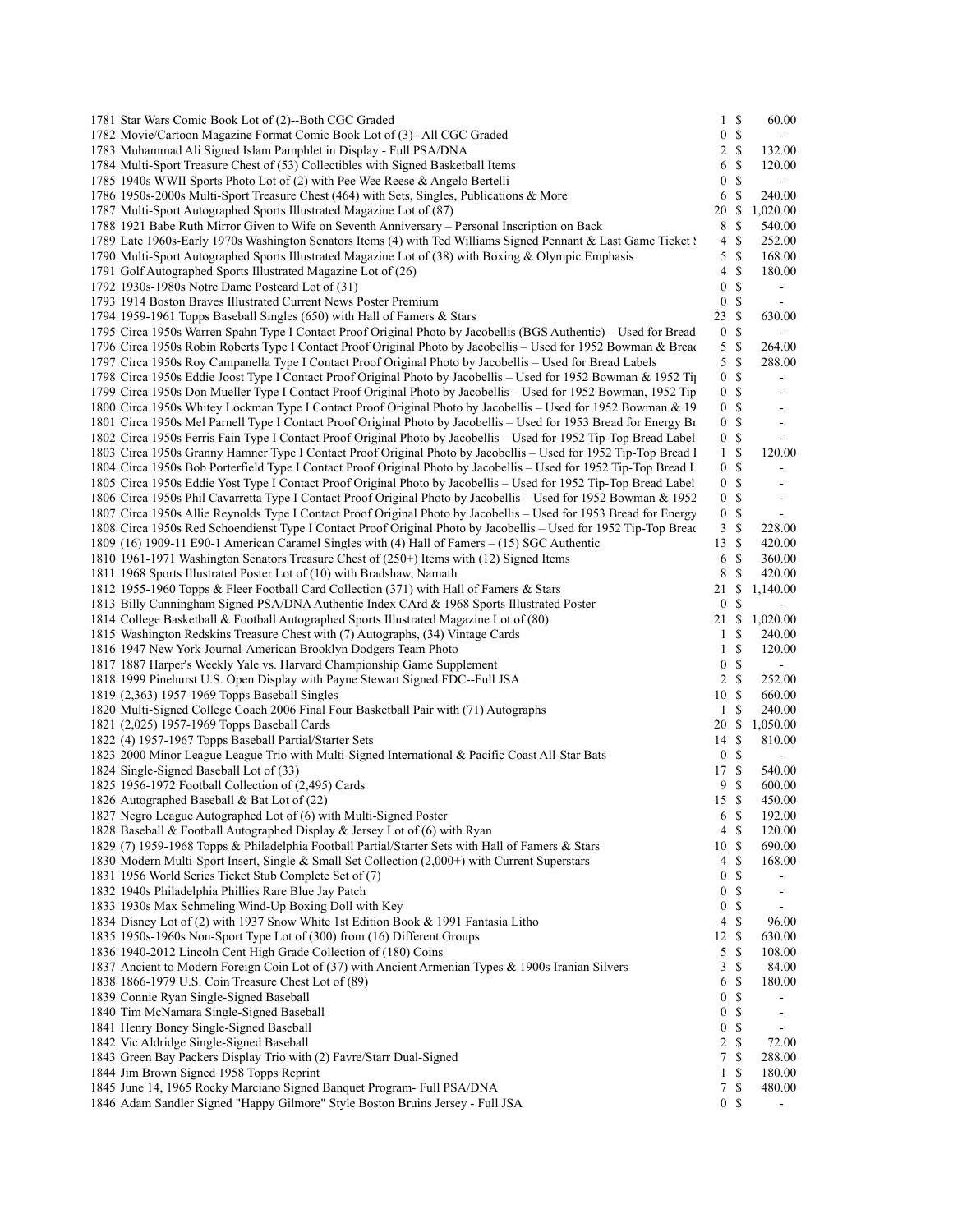| 1781 Star Wars Comic Book Lot of (2)--Both CGC Graded                                                              |                  | $1 \text{ }$              | 60.00                    |  |
|--------------------------------------------------------------------------------------------------------------------|------------------|---------------------------|--------------------------|--|
| 1782 Movie/Cartoon Magazine Format Comic Book Lot of (3)--All CGC Graded                                           | $\boldsymbol{0}$ | $\mathbb{S}$              | $\sim$                   |  |
| 1783 Muhammad Ali Signed Islam Pamphlet in Display - Full PSA/DNA                                                  |                  | $2 \sqrt{s}$              | 132.00                   |  |
| 1784 Multi-Sport Treasure Chest of (53) Collectibles with Signed Basketball Items                                  | 6                | -S                        | 120.00                   |  |
| 1785 1940s WWII Sports Photo Lot of (2) with Pee Wee Reese & Angelo Bertelli                                       | $\overline{0}$   | $\mathbb{S}$              | $\sim$                   |  |
| 1786 1950s-2000s Multi-Sport Treasure Chest (464) with Sets, Singles, Publications & More                          | 6                | <sup>\$</sup>             | 240.00                   |  |
| 1787 Multi-Sport Autographed Sports Illustrated Magazine Lot of (87)                                               | 20               | - S                       | 1,020.00                 |  |
| 1788 1921 Babe Ruth Mirror Given to Wife on Seventh Anniversary – Personal Inscription on Back                     | 8                | $\mathbf S$               | 540.00                   |  |
| 1789 Late 1960s-Early 1970s Washington Senators Items (4) with Ted Williams Signed Pennant & Last Game Ticket (    | 4                | -\$                       | 252.00                   |  |
| 1790 Multi-Sport Autographed Sports Illustrated Magazine Lot of (38) with Boxing & Olympic Emphasis                | 5                | - \$                      | 168.00                   |  |
| 1791 Golf Autographed Sports Illustrated Magazine Lot of (26)                                                      | 4                | -S                        | 180.00                   |  |
| 1792 1930s-1980s Notre Dame Postcard Lot of (31)                                                                   | $\overline{0}$   | <sup>\$</sup>             | $\blacksquare$           |  |
| 1793 1914 Boston Braves Illustrated Current News Poster Premium                                                    | 0S               |                           | $\sim$                   |  |
| 1794 1959-1961 Topps Baseball Singles (650) with Hall of Famers & Stars                                            | 23 \$            |                           | 630.00                   |  |
| 1795 Circa 1950s Warren Spahn Type I Contact Proof Original Photo by Jacobellis (BGS Authentic) – Used for Bread   | 0 <sup>5</sup>   |                           | $\sim$                   |  |
| 1796 Circa 1950s Robin Roberts Type I Contact Proof Original Photo by Jacobellis – Used for 1952 Bowman & Bread    | 5S               |                           | 264.00                   |  |
| 1797 Circa 1950s Roy Campanella Type I Contact Proof Original Photo by Jacobellis – Used for Bread Labels          | 5S               |                           | 288.00                   |  |
| 1798 Circa 1950s Eddie Joost Type I Contact Proof Original Photo by Jacobellis – Used for 1952 Bowman & 1952 Tip   | $\mathbf{0}$     | -\$                       | $\overline{\phantom{a}}$ |  |
| 1799 Circa 1950s Don Mueller Type I Contact Proof Original Photo by Jacobellis – Used for 1952 Bowman, 1952 Tip    | 0 <sup>5</sup>   |                           | $\overline{\phantom{a}}$ |  |
| 1800 Circa 1950s Whitey Lockman Type I Contact Proof Original Photo by Jacobellis – Used for 1952 Bowman & 19      | 0 <sup>5</sup>   |                           |                          |  |
|                                                                                                                    |                  | 0 S                       | $\overline{\phantom{a}}$ |  |
| 1801 Circa 1950s Mel Parnell Type I Contact Proof Original Photo by Jacobellis – Used for 1953 Bread for Energy Br |                  |                           | $\overline{\phantom{a}}$ |  |
| 1802 Circa 1950s Ferris Fain Type I Contact Proof Original Photo by Jacobellis - Used for 1952 Tip-Top Bread Label | 0 <sup>5</sup>   |                           | $\blacksquare$           |  |
| 1803 Circa 1950s Granny Hamner Type I Contact Proof Original Photo by Jacobellis - Used for 1952 Tip-Top Bread I   | 1 <sup>5</sup>   |                           | 120.00                   |  |
| 1804 Circa 1950s Bob Porterfield Type I Contact Proof Original Photo by Jacobellis - Used for 1952 Tip-Top Bread L | 0 <sup>5</sup>   |                           | ۰                        |  |
| 1805 Circa 1950s Eddie Yost Type I Contact Proof Original Photo by Jacobellis – Used for 1952 Tip-Top Bread Label  | 0 <sup>5</sup>   |                           | $\blacksquare$           |  |
| 1806 Circa 1950s Phil Cavarretta Type I Contact Proof Original Photo by Jacobellis – Used for 1952 Bowman & 1952   |                  | 0 <sup>5</sup>            | $\overline{\phantom{a}}$ |  |
| 1807 Circa 1950s Allie Reynolds Type I Contact Proof Original Photo by Jacobellis – Used for 1953 Bread for Energy | 0 <sup>5</sup>   |                           | $\blacksquare$           |  |
| 1808 Circa 1950s Red Schoendienst Type I Contact Proof Original Photo by Jacobellis – Used for 1952 Tip-Top Bread  | 3                | -S                        | 228.00                   |  |
| 1809 (16) 1909-11 E90-1 American Caramel Singles with (4) Hall of Famers – (15) SGC Authentic                      | 13S              |                           | 420.00                   |  |
| 1810 1961-1971 Washington Senators Treasure Chest of (250+) Items with (12) Signed Items                           | 6                | -\$                       | 360.00                   |  |
| 1811 1968 Sports Illustrated Poster Lot of (10) with Bradshaw, Namath                                              | 8                | <sup>\$</sup>             | 420.00                   |  |
| 1812 1955-1960 Topps & Fleer Football Card Collection (371) with Hall of Famers & Stars                            | 21               | -S                        | 1,140.00                 |  |
| 1813 Billy Cunningham Signed PSA/DNA Authentic Index CArd & 1968 Sports Illustrated Poster                         | $\boldsymbol{0}$ | <sup>\$</sup>             | $\blacksquare$           |  |
| 1814 College Basketball & Football Autographed Sports Illustrated Magazine Lot of (80)                             | 21 \$            |                           | 1,020.00                 |  |
| 1815 Washington Redskins Treasure Chest with (7) Autographs, (34) Vintage Cards                                    | $\mathbf{1}$     | <sup>\$</sup>             | 240.00                   |  |
| 1816 1947 New York Journal-American Brooklyn Dodgers Team Photo                                                    | $\mathbf{1}$     | S                         | 120.00                   |  |
| 1817 1887 Harper's Weekly Yale vs. Harvard Championship Game Supplement                                            | $\boldsymbol{0}$ | $\boldsymbol{\mathsf{S}}$ | $\blacksquare$           |  |
| 1818 1999 Pinehurst U.S. Open Display with Payne Stewart Signed FDC--Full JSA                                      | $2 \sqrt{s}$     |                           | 252.00                   |  |
| 1819 (2,363) 1957-1969 Topps Baseball Singles                                                                      | 10S              |                           | 660.00                   |  |
| 1820 Multi-Signed College Coach 2006 Final Four Basketball Pair with (71) Autographs                               | $\mathbf{1}$     | \$                        | 240.00                   |  |
| 1821 (2,025) 1957-1969 Topps Baseball Cards                                                                        | 20 \$            |                           | 1,050.00                 |  |
| 1822 (4) 1957-1967 Topps Baseball Partial/Starter Sets                                                             | 14               | - \$                      | 810.00                   |  |
| 1823 2000 Minor League League Trio with Multi-Signed International & Pacific Coast All-Star Bats                   | 0                | -S                        | $\blacksquare$           |  |
| 1824 Single-Signed Baseball Lot of (33)                                                                            | 17 \$            |                           | 540.00                   |  |
| 1825 1956-1972 Football Collection of (2,495) Cards                                                                | 9                | -S                        | 600.00                   |  |
| 1826 Autographed Baseball & Bat Lot of (22)                                                                        | 15S              |                           | 450.00                   |  |
| 1827 Negro League Autographed Lot of (6) with Multi-Signed Poster                                                  |                  | 6 <sup>8</sup>            | 192.00                   |  |
| 1828 Baseball & Football Autographed Display & Jersey Lot of (6) with Ryan                                         | $4 \text{ }$ \$  |                           | 120.00                   |  |
| 1829 (7) 1959-1968 Topps & Philadelphia Football Partial/Starter Sets with Hall of Famers & Stars                  | 10S              |                           | 690.00                   |  |
| 1830 Modern Multi-Sport Insert, Single & Small Set Collection (2,000+) with Current Superstars                     |                  | $4 \text{ }$ \$           | 168.00                   |  |
| 1831 1956 World Series Ticket Stub Complete Set of (7)                                                             | $\boldsymbol{0}$ | $\mathbb{S}$              | $\overline{\phantom{a}}$ |  |
| 1832 1940s Philadelphia Phillies Rare Blue Jay Patch                                                               | $\boldsymbol{0}$ | $\mathbb{S}$              | $\overline{\phantom{a}}$ |  |
| 1833 1930s Max Schmeling Wind-Up Boxing Doll with Key                                                              | $\boldsymbol{0}$ | $\mathbb{S}$              | $\overline{\phantom{a}}$ |  |
| 1834 Disney Lot of (2) with 1937 Snow White 1st Edition Book & 1991 Fantasia Litho                                 | 4                | \$                        | 96.00                    |  |
| 1835 1950s-1960s Non-Sport Type Lot of (300) from (16) Different Groups                                            | 12S              |                           | 630.00                   |  |
|                                                                                                                    |                  |                           |                          |  |
| 1836 1940-2012 Lincoln Cent High Grade Collection of (180) Coins                                                   | 5                | $\mathbb{S}$              | 108.00                   |  |
| 1837 Ancient to Modern Foreign Coin Lot of (37) with Ancient Armenian Types & 1900s Iranian Silvers                | 3                | $\boldsymbol{\mathsf{S}}$ | 84.00                    |  |
| 1838 1866-1979 U.S. Coin Treasure Chest Lot of (89)                                                                | 6                | $\mathbb{S}$              | 180.00                   |  |
| 1839 Connie Ryan Single-Signed Baseball                                                                            |                  | 0 S                       | $\overline{\phantom{a}}$ |  |
| 1840 Tim McNamara Single-Signed Baseball                                                                           | $\boldsymbol{0}$ | $\mathbb{S}$              | $\overline{\phantom{a}}$ |  |
| 1841 Henry Boney Single-Signed Baseball                                                                            | $\boldsymbol{0}$ | $\mathbb{S}$              | $\overline{\phantom{a}}$ |  |
| 1842 Vic Aldridge Single-Signed Baseball                                                                           | $\overline{c}$   | $\mathbb{S}$              | 72.00                    |  |
| 1843 Green Bay Packers Display Trio with (2) Favre/Starr Dual-Signed                                               |                  | 7S                        | 288.00                   |  |
| 1844 Jim Brown Signed 1958 Topps Reprint                                                                           |                  | $1 \text{ }$              | 180.00                   |  |
| 1845 June 14, 1965 Rocky Marciano Signed Banquet Program- Full PSA/DNA                                             |                  | 7S                        | 480.00                   |  |
| 1846 Adam Sandler Signed "Happy Gilmore" Style Boston Bruins Jersey - Full JSA                                     |                  | 0 S                       | $\blacksquare$           |  |